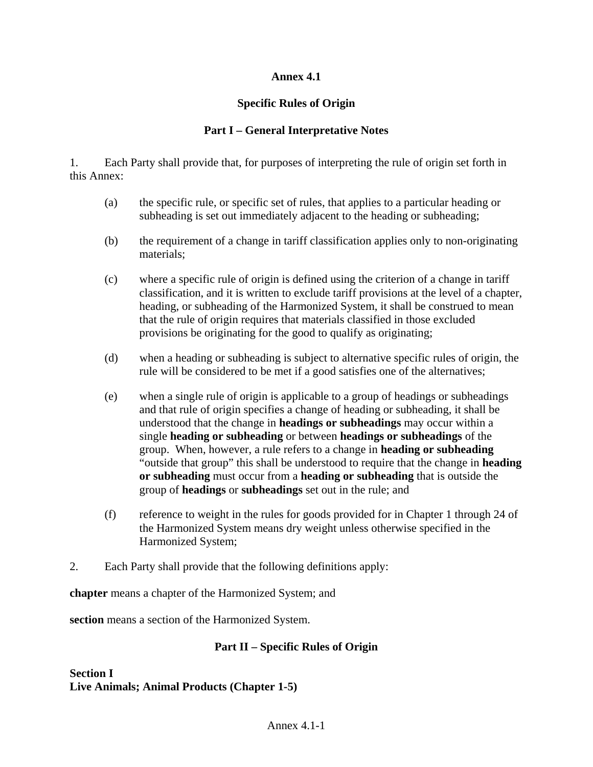## **Annex 4.1**

# **Specific Rules of Origin**

# **Part I – General Interpretative Notes**

1. Each Party shall provide that, for purposes of interpreting the rule of origin set forth in this Annex:

- (a) the specific rule, or specific set of rules, that applies to a particular heading or subheading is set out immediately adjacent to the heading or subheading;
- (b) the requirement of a change in tariff classification applies only to non-originating materials;
- (c) where a specific rule of origin is defined using the criterion of a change in tariff classification, and it is written to exclude tariff provisions at the level of a chapter, heading, or subheading of the Harmonized System, it shall be construed to mean that the rule of origin requires that materials classified in those excluded provisions be originating for the good to qualify as originating;
- (d) when a heading or subheading is subject to alternative specific rules of origin, the rule will be considered to be met if a good satisfies one of the alternatives;
- (e) when a single rule of origin is applicable to a group of headings or subheadings and that rule of origin specifies a change of heading or subheading, it shall be understood that the change in **headings or subheadings** may occur within a single **heading or subheading** or between **headings or subheadings** of the group. When, however, a rule refers to a change in **heading or subheading** "outside that group" this shall be understood to require that the change in **heading or subheading** must occur from a **heading or subheading** that is outside the group of **headings** or **subheadings** set out in the rule; and
- (f) reference to weight in the rules for goods provided for in Chapter 1 through 24 of the Harmonized System means dry weight unless otherwise specified in the Harmonized System;
- 2. Each Party shall provide that the following definitions apply:

**chapter** means a chapter of the Harmonized System; and

**section** means a section of the Harmonized System.

## **Part II – Specific Rules of Origin**

**Section I Live Animals; Animal Products (Chapter 1-5)**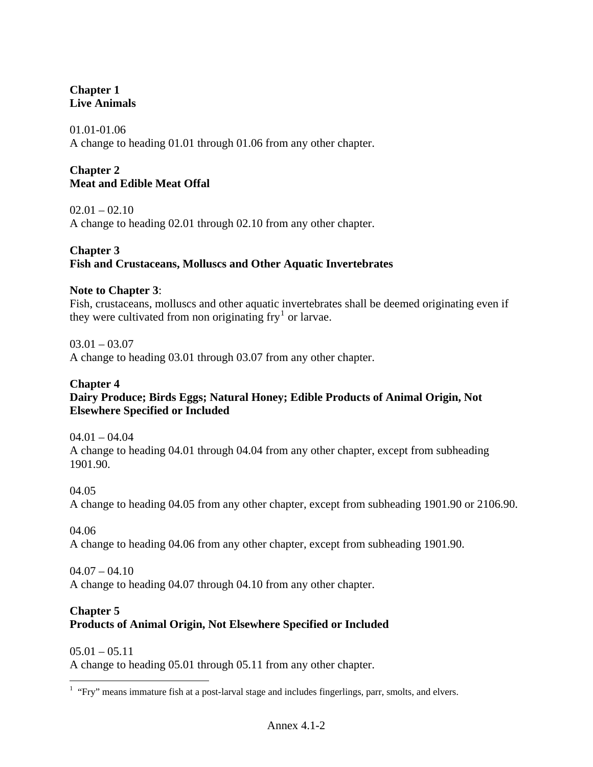# **Chapter 1 Live Animals**

01.01-01.06 A change to heading 01.01 through 01.06 from any other chapter.

# **Chapter 2 Meat and Edible Meat Offal**

 $02.01 - 02.10$ A change to heading 02.01 through 02.10 from any other chapter.

## **Chapter 3 Fish and Crustaceans, Molluscs and Other Aquatic Invertebrates**

## **Note to Chapter 3**:

Fish, crustaceans, molluscs and other aquatic invertebrates shall be deemed originating even if they were cultivated from non originating  $\text{fry}^1$  $\text{fry}^1$  or larvae.

 $03.01 - 03.07$ A change to heading 03.01 through 03.07 from any other chapter.

## **Chapter 4**

# **Dairy Produce; Birds Eggs; Natural Honey; Edible Products of Animal Origin, Not Elsewhere Specified or Included**

 $04.01 - 04.04$ A change to heading 04.01 through 04.04 from any other chapter, except from subheading 1901.90.

04.05

A change to heading 04.05 from any other chapter, except from subheading 1901.90 or 2106.90.

04.06

A change to heading 04.06 from any other chapter, except from subheading 1901.90.

 $04.07 - 04.10$ A change to heading 04.07 through 04.10 from any other chapter.

# **Chapter 5**

 $\overline{a}$ 

# **Products of Animal Origin, Not Elsewhere Specified or Included**

 $05.01 - 05.11$ A change to heading 05.01 through 05.11 from any other chapter.

<span id="page-1-0"></span> $<sup>1</sup>$  "Fry" means immature fish at a post-larval stage and includes fingerlings, parr, smolts, and elvers.</sup>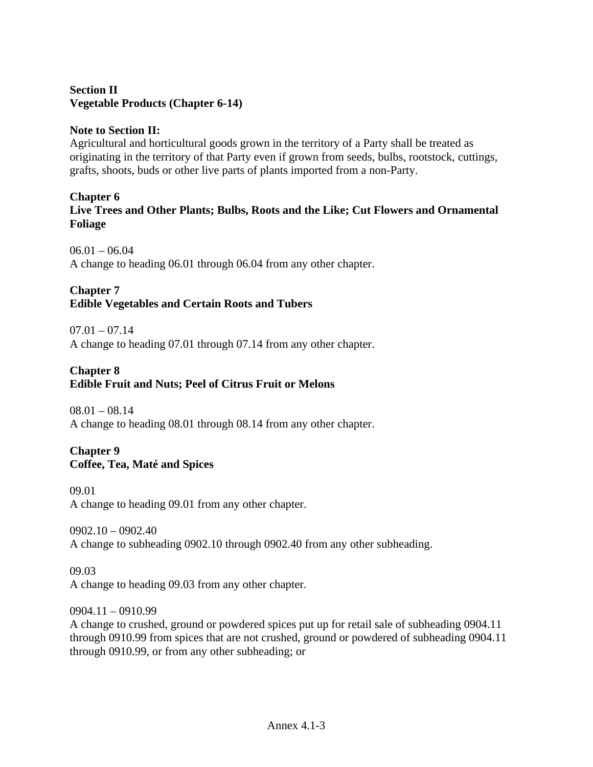## **Section II Vegetable Products (Chapter 6-14)**

### **Note to Section II:**

Agricultural and horticultural goods grown in the territory of a Party shall be treated as originating in the territory of that Party even if grown from seeds, bulbs, rootstock, cuttings, grafts, shoots, buds or other live parts of plants imported from a non-Party.

#### **Chapter 6**

**Live Trees and Other Plants; Bulbs, Roots and the Like; Cut Flowers and Ornamental Foliage**

 $06.01 - 06.04$ A change to heading 06.01 through 06.04 from any other chapter.

# **Chapter 7**

## **Edible Vegetables and Certain Roots and Tubers**

 $07.01 - 07.14$ 

A change to heading 07.01 through 07.14 from any other chapter.

## **Chapter 8**

## **Edible Fruit and Nuts; Peel of Citrus Fruit or Melons**

 $08.01 - 08.14$ A change to heading 08.01 through 08.14 from any other chapter.

### **Chapter 9 Coffee, Tea, Maté and Spices**

09.01 A change to heading 09.01 from any other chapter.

 $0902.10 - 0902.40$ A change to subheading 0902.10 through 0902.40 from any other subheading.

09.03 A change to heading 09.03 from any other chapter.

0904.11 – 0910.99

A change to crushed, ground or powdered spices put up for retail sale of subheading 0904.11 through 0910.99 from spices that are not crushed, ground or powdered of subheading 0904.11 through 0910.99, or from any other subheading; or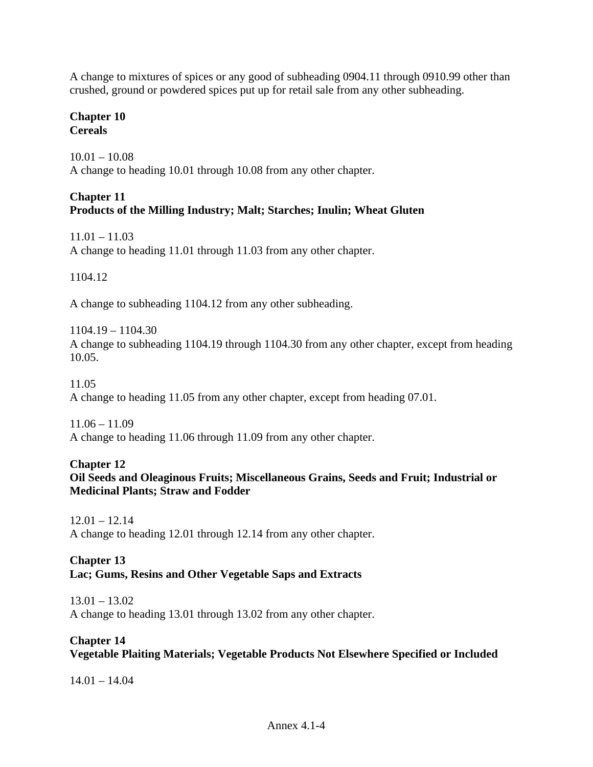A change to mixtures of spices or any good of subheading 0904.11 through 0910.99 other than crushed, ground or powdered spices put up for retail sale from any other subheading.

#### **Chapter 10 Cereals**

10.01 – 10.08 A change to heading 10.01 through 10.08 from any other chapter.

## **Chapter 11 Products of the Milling Industry; Malt; Starches; Inulin; Wheat Gluten**

 $11.01 - 11.03$ A change to heading 11.01 through 11.03 from any other chapter.

1104.12

A change to subheading 1104.12 from any other subheading.

1104.19 – 1104.30 A change to subheading 1104.19 through 1104.30 from any other chapter, except from heading 10.05.

11.05

A change to heading 11.05 from any other chapter, except from heading 07.01.

 $11.06 - 11.09$ A change to heading 11.06 through 11.09 from any other chapter.

#### **Chapter 12 Oil Seeds and Oleaginous Fruits; Miscellaneous Grains, Seeds and Fruit; Industrial or Medicinal Plants; Straw and Fodder**

 $12.01 - 12.14$ A change to heading 12.01 through 12.14 from any other chapter.

#### **Chapter 13 Lac; Gums, Resins and Other Vegetable Saps and Extracts**

13.01 – 13.02 A change to heading 13.01 through 13.02 from any other chapter.

# **Chapter 14**

**Vegetable Plaiting Materials; Vegetable Products Not Elsewhere Specified or Included**

14.01 – 14.04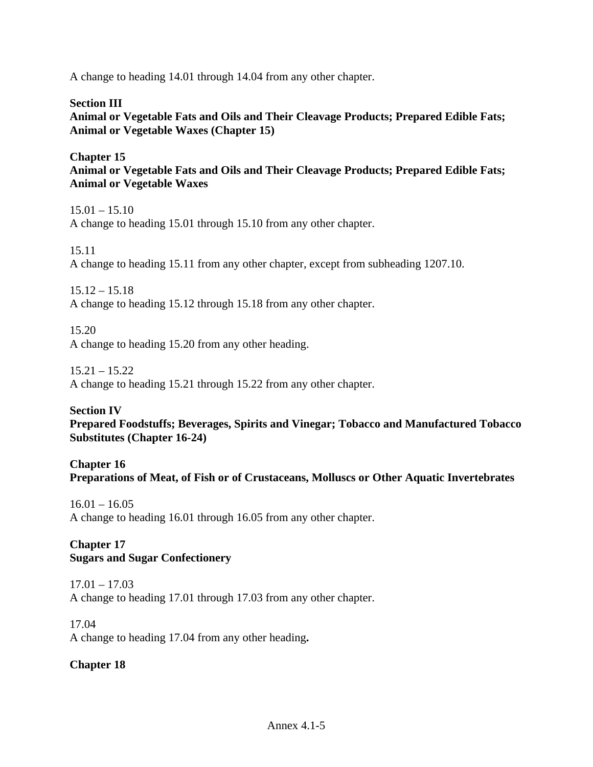A change to heading 14.01 through 14.04 from any other chapter.

**Section III Animal or Vegetable Fats and Oils and Their Cleavage Products; Prepared Edible Fats; Animal or Vegetable Waxes (Chapter 15)**

**Chapter 15 Animal or Vegetable Fats and Oils and Their Cleavage Products; Prepared Edible Fats; Animal or Vegetable Waxes**

 $15.01 - 15.10$ A change to heading 15.01 through 15.10 from any other chapter.

15.11 A change to heading 15.11 from any other chapter, except from subheading 1207.10.

 $15.12 - 15.18$ A change to heading 15.12 through 15.18 from any other chapter.

15.20 A change to heading 15.20 from any other heading.

15.21 – 15.22 A change to heading 15.21 through 15.22 from any other chapter.

**Section IV Prepared Foodstuffs; Beverages, Spirits and Vinegar; Tobacco and Manufactured Tobacco Substitutes (Chapter 16-24)**

**Chapter 16 Preparations of Meat, of Fish or of Crustaceans, Molluscs or Other Aquatic Invertebrates**

 $16.01 - 16.05$ A change to heading 16.01 through 16.05 from any other chapter.

**Chapter 17 Sugars and Sugar Confectionery**

 $17.01 - 17.03$ A change to heading 17.01 through 17.03 from any other chapter.

17.04 A change to heading 17.04 from any other heading**.**

**Chapter 18**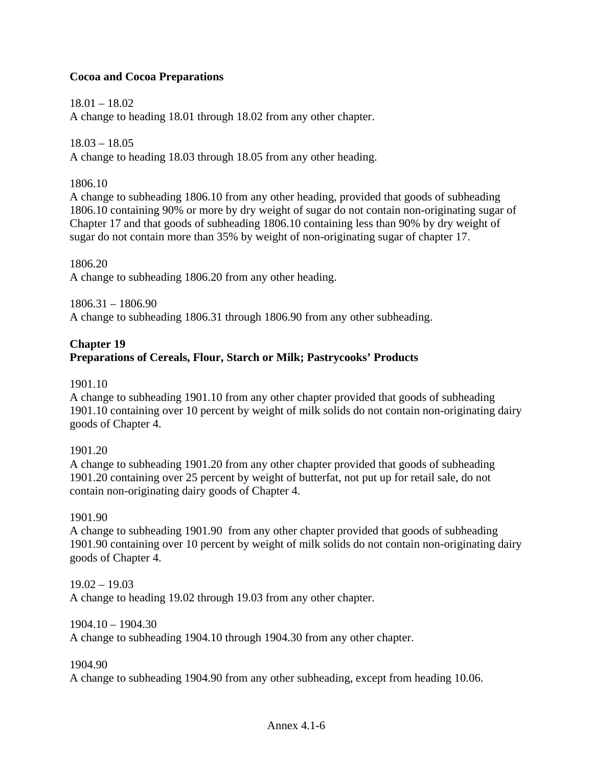## **Cocoa and Cocoa Preparations**

18.01 – 18.02 A change to heading 18.01 through 18.02 from any other chapter.

18.03 – 18.05 A change to heading 18.03 through 18.05 from any other heading.

### 1806.10

A change to subheading 1806.10 from any other heading, provided that goods of subheading 1806.10 containing 90% or more by dry weight of sugar do not contain non-originating sugar of Chapter 17 and that goods of subheading 1806.10 containing less than 90% by dry weight of sugar do not contain more than 35% by weight of non-originating sugar of chapter 17.

1806.20 A change to subheading 1806.20 from any other heading.

1806.31 – 1806.90 A change to subheading 1806.31 through 1806.90 from any other subheading.

## **Chapter 19 Preparations of Cereals, Flour, Starch or Milk; Pastrycooks' Products**

## 1901.10

A change to subheading 1901.10 from any other chapter provided that goods of subheading 1901.10 containing over 10 percent by weight of milk solids do not contain non-originating dairy goods of Chapter 4.

#### 1901.20

A change to subheading 1901.20 from any other chapter provided that goods of subheading 1901.20 containing over 25 percent by weight of butterfat, not put up for retail sale, do not contain non-originating dairy goods of Chapter 4.

#### 1901.90

A change to subheading 1901.90 from any other chapter provided that goods of subheading 1901.90 containing over 10 percent by weight of milk solids do not contain non-originating dairy goods of Chapter 4.

19.02 – 19.03 A change to heading 19.02 through 19.03 from any other chapter.

### 1904.10 – 1904.30

A change to subheading 1904.10 through 1904.30 from any other chapter.

#### 1904.90

A change to subheading 1904.90 from any other subheading, except from heading 10.06.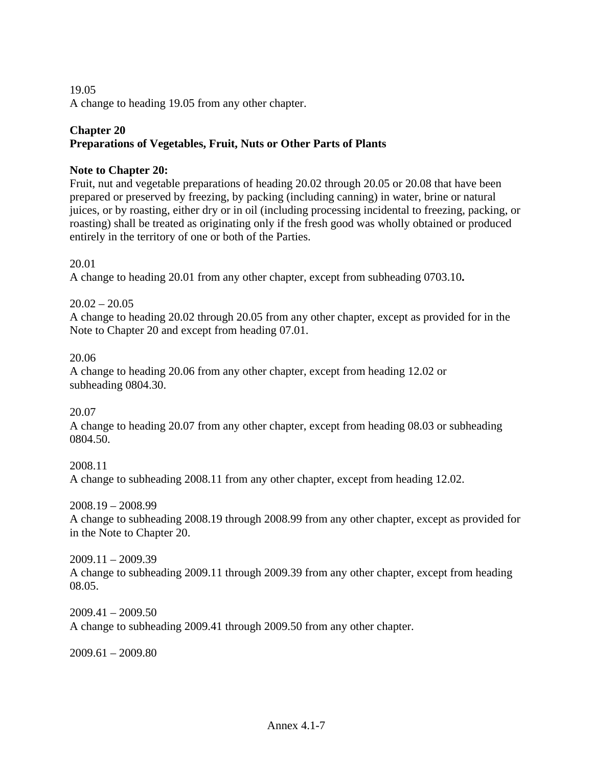19.05 A change to heading 19.05 from any other chapter.

# **Chapter 20**

# **Preparations of Vegetables, Fruit, Nuts or Other Parts of Plants**

## **Note to Chapter 20:**

Fruit, nut and vegetable preparations of heading 20.02 through 20.05 or 20.08 that have been prepared or preserved by freezing, by packing (including canning) in water, brine or natural juices, or by roasting, either dry or in oil (including processing incidental to freezing, packing, or roasting) shall be treated as originating only if the fresh good was wholly obtained or produced entirely in the territory of one or both of the Parties.

20.01

A change to heading 20.01 from any other chapter, except from subheading 0703.10**.**

 $20.02 - 20.05$ A change to heading 20.02 through 20.05 from any other chapter, except as provided for in the Note to Chapter 20 and except from heading 07.01.

20.06

A change to heading 20.06 from any other chapter, except from heading 12.02 or subheading 0804.30.

20.07

A change to heading 20.07 from any other chapter, except from heading 08.03 or subheading 0804.50.

2008.11 A change to subheading 2008.11 from any other chapter, except from heading 12.02.

2008.19 – 2008.99

A change to subheading 2008.19 through 2008.99 from any other chapter, except as provided for in the Note to Chapter 20.

 $2009.11 - 2009.39$ A change to subheading 2009.11 through 2009.39 from any other chapter, except from heading 08.05.

2009.41 – 2009.50 A change to subheading 2009.41 through 2009.50 from any other chapter.

2009.61 – 2009.80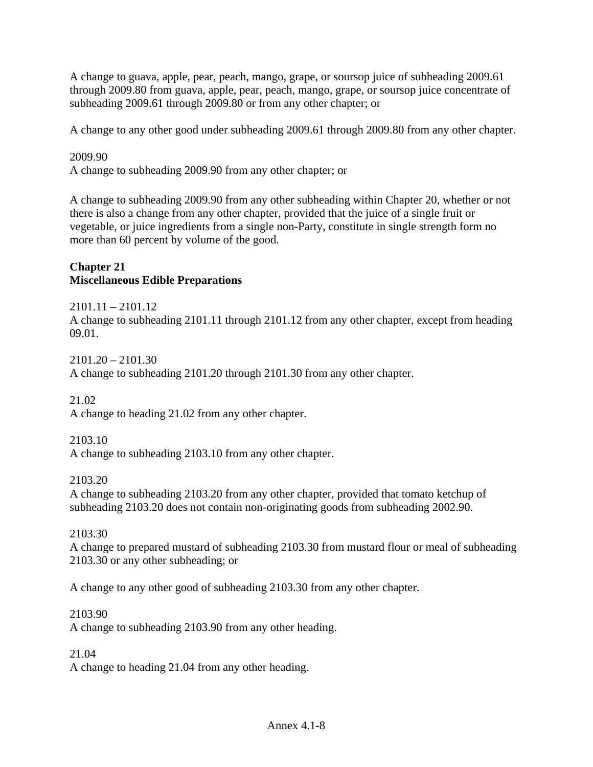A change to guava, apple, pear, peach, mango, grape, or soursop juice of subheading 2009.61 through 2009.80 from guava, apple, pear, peach, mango, grape, or soursop juice concentrate of subheading 2009.61 through 2009.80 or from any other chapter; or

A change to any other good under subheading 2009.61 through 2009.80 from any other chapter.

2009.90

A change to subheading 2009.90 from any other chapter; or

A change to subheading 2009.90 from any other subheading within Chapter 20, whether or not there is also a change from any other chapter, provided that the juice of a single fruit or vegetable, or juice ingredients from a single non-Party, constitute in single strength form no more than 60 percent by volume of the good.

### **Chapter 21 Miscellaneous Edible Preparations**

2101.11 – 2101.12 A change to subheading 2101.11 through 2101.12 from any other chapter, except from heading 09.01.

2101.20 – 2101.30 A change to subheading 2101.20 through 2101.30 from any other chapter.

21.02

A change to heading 21.02 from any other chapter.

2103.10

A change to subheading 2103.10 from any other chapter.

2103.20

A change to subheading 2103.20 from any other chapter, provided that tomato ketchup of subheading 2103.20 does not contain non-originating goods from subheading 2002.90.

2103.30

A change to prepared mustard of subheading 2103.30 from mustard flour or meal of subheading 2103.30 or any other subheading; or

A change to any other good of subheading 2103.30 from any other chapter.

2103.90

A change to subheading 2103.90 from any other heading.

21.04

A change to heading 21.04 from any other heading.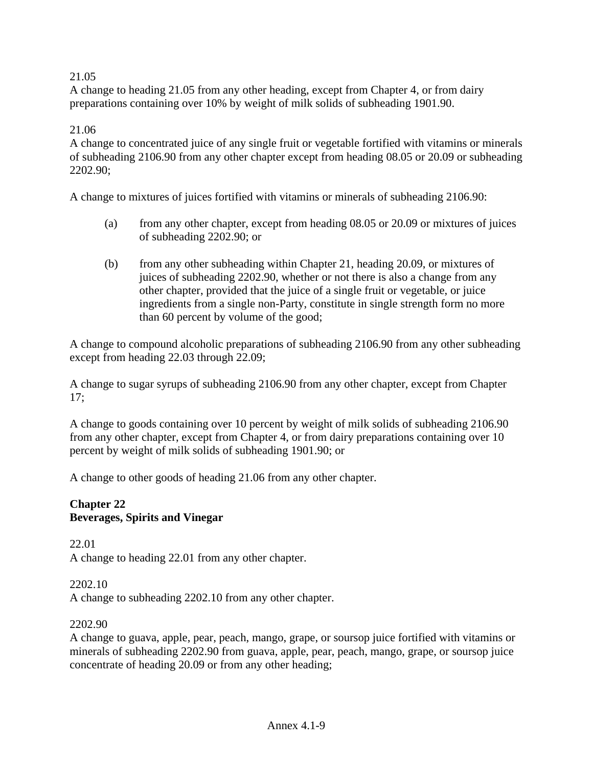## 21.05

A change to heading 21.05 from any other heading, except from Chapter 4, or from dairy preparations containing over 10% by weight of milk solids of subheading 1901.90.

#### 21.06

A change to concentrated juice of any single fruit or vegetable fortified with vitamins or minerals of subheading 2106.90 from any other chapter except from heading 08.05 or 20.09 or subheading 2202.90;

A change to mixtures of juices fortified with vitamins or minerals of subheading 2106.90:

- (a) from any other chapter, except from heading 08.05 or 20.09 or mixtures of juices of subheading 2202.90; or
- (b) from any other subheading within Chapter 21, heading 20.09, or mixtures of juices of subheading 2202.90, whether or not there is also a change from any other chapter, provided that the juice of a single fruit or vegetable, or juice ingredients from a single non-Party, constitute in single strength form no more than 60 percent by volume of the good;

A change to compound alcoholic preparations of subheading 2106.90 from any other subheading except from heading 22.03 through 22.09;

A change to sugar syrups of subheading 2106.90 from any other chapter, except from Chapter 17;

A change to goods containing over 10 percent by weight of milk solids of subheading 2106.90 from any other chapter, except from Chapter 4, or from dairy preparations containing over 10 percent by weight of milk solids of subheading 1901.90; or

A change to other goods of heading 21.06 from any other chapter.

#### **Chapter 22 Beverages, Spirits and Vinegar**

22.01 A change to heading 22.01 from any other chapter.

#### 2202.10

A change to subheading 2202.10 from any other chapter.

#### 2202.90

A change to guava, apple, pear, peach, mango, grape, or soursop juice fortified with vitamins or minerals of subheading 2202.90 from guava, apple, pear, peach, mango, grape, or soursop juice concentrate of heading 20.09 or from any other heading;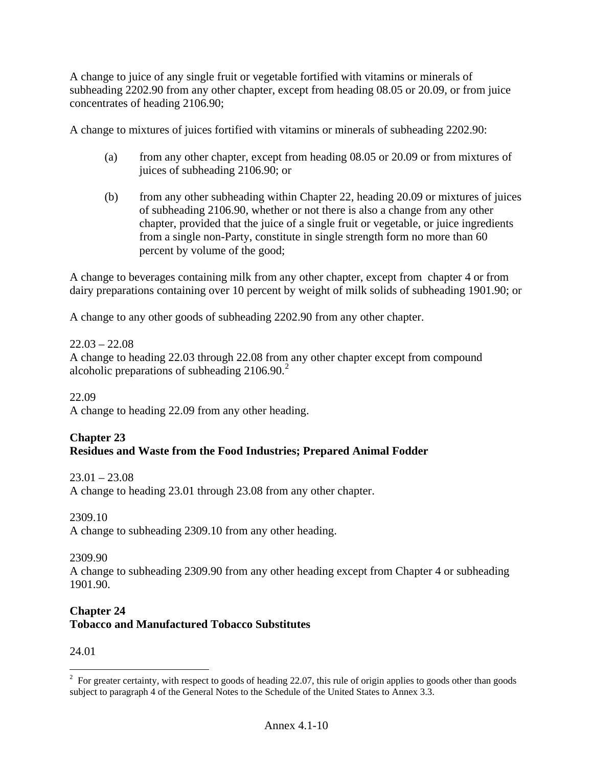A change to juice of any single fruit or vegetable fortified with vitamins or minerals of subheading 2202.90 from any other chapter, except from heading 08.05 or 20.09, or from juice concentrates of heading 2106.90;

A change to mixtures of juices fortified with vitamins or minerals of subheading 2202.90:

- (a) from any other chapter, except from heading 08.05 or 20.09 or from mixtures of juices of subheading 2106.90; or
- (b) from any other subheading within Chapter 22, heading 20.09 or mixtures of juices of subheading 2106.90, whether or not there is also a change from any other chapter, provided that the juice of a single fruit or vegetable, or juice ingredients from a single non-Party, constitute in single strength form no more than 60 percent by volume of the good;

A change to beverages containing milk from any other chapter, except from chapter 4 or from dairy preparations containing over 10 percent by weight of milk solids of subheading 1901.90; or

A change to any other goods of subheading 2202.90 from any other chapter.

### $22.03 - 22.08$

A change to heading 22.03 through 22.08 from any other chapter except from compound alcoholic preparations of subheading  $2106.90$  $2106.90$ <sup>2</sup>

22.09

A change to heading 22.09 from any other heading.

# **Chapter 23**

## **Residues and Waste from the Food Industries; Prepared Animal Fodder**

 $23.01 - 23.08$ 

A change to heading 23.01 through 23.08 from any other chapter.

2309.10

A change to subheading 2309.10 from any other heading.

2309.90

A change to subheading 2309.90 from any other heading except from Chapter 4 or subheading 1901.90.

### **Chapter 24 Tobacco and Manufactured Tobacco Substitutes**

24.01

 $\overline{a}$ 

<span id="page-9-0"></span> $2^2$  For greater certainty, with respect to goods of heading 22.07, this rule of origin applies to goods other than goods subject to paragraph 4 of the General Notes to the Schedule of the United States to Annex 3.3.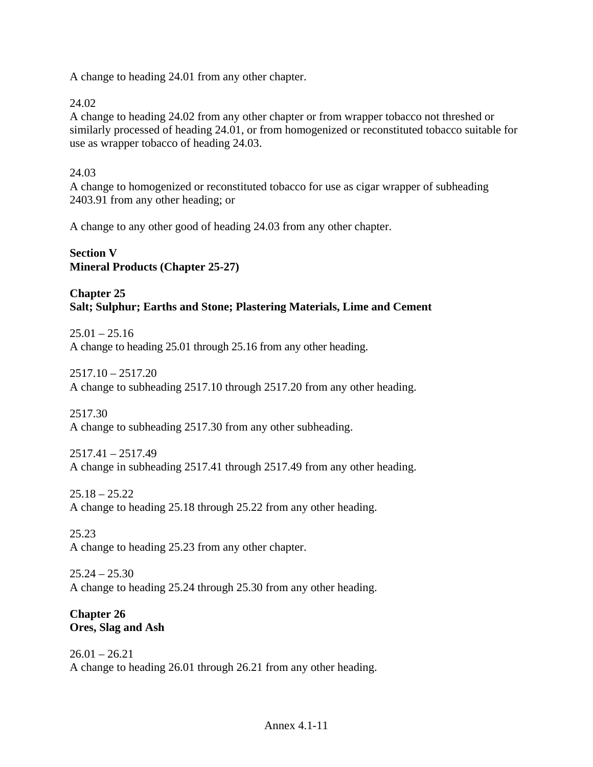A change to heading 24.01 from any other chapter.

24.02

A change to heading 24.02 from any other chapter or from wrapper tobacco not threshed or similarly processed of heading 24.01, or from homogenized or reconstituted tobacco suitable for use as wrapper tobacco of heading 24.03.

### 24.03

A change to homogenized or reconstituted tobacco for use as cigar wrapper of subheading 2403.91 from any other heading; or

A change to any other good of heading 24.03 from any other chapter.

## **Section V Mineral Products (Chapter 25-27)**

## **Chapter 25 Salt; Sulphur; Earths and Stone; Plastering Materials, Lime and Cement**

 $25.01 - 25.16$ A change to heading 25.01 through 25.16 from any other heading.

2517.10 – 2517.20 A change to subheading 2517.10 through 2517.20 from any other heading.

2517.30 A change to subheading 2517.30 from any other subheading.

2517.41 – 2517.49 A change in subheading 2517.41 through 2517.49 from any other heading.

25.18 – 25.22 A change to heading 25.18 through 25.22 from any other heading.

25.23 A change to heading 25.23 from any other chapter.

 $25.24 - 25.30$ A change to heading 25.24 through 25.30 from any other heading.

### **Chapter 26 Ores, Slag and Ash**

 $26.01 - 26.21$ A change to heading 26.01 through 26.21 from any other heading.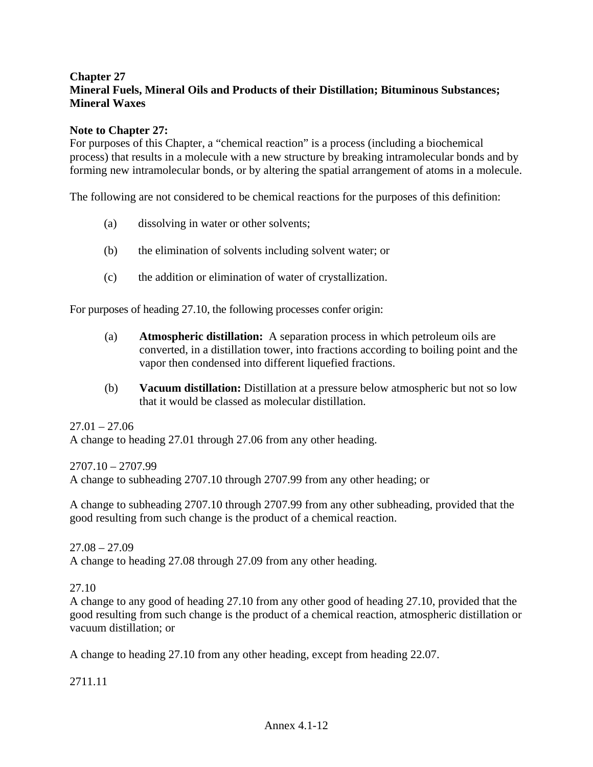## **Chapter 27 Mineral Fuels, Mineral Oils and Products of their Distillation; Bituminous Substances; Mineral Waxes**

#### **Note to Chapter 27:**

For purposes of this Chapter, a "chemical reaction" is a process (including a biochemical process) that results in a molecule with a new structure by breaking intramolecular bonds and by forming new intramolecular bonds, or by altering the spatial arrangement of atoms in a molecule.

The following are not considered to be chemical reactions for the purposes of this definition:

- (a) dissolving in water or other solvents;
- (b) the elimination of solvents including solvent water; or
- (c) the addition or elimination of water of crystallization.

For purposes of heading 27.10, the following processes confer origin:

- (a) **Atmospheric distillation:** A separation process in which petroleum oils are converted, in a distillation tower, into fractions according to boiling point and the vapor then condensed into different liquefied fractions.
- (b) **Vacuum distillation:** Distillation at a pressure below atmospheric but not so low that it would be classed as molecular distillation.

 $27.01 - 27.06$ 

A change to heading 27.01 through 27.06 from any other heading.

2707.10 – 2707.99

A change to subheading 2707.10 through 2707.99 from any other heading; or

A change to subheading 2707.10 through 2707.99 from any other subheading, provided that the good resulting from such change is the product of a chemical reaction.

 $27.08 - 27.09$ 

A change to heading 27.08 through 27.09 from any other heading.

27.10

A change to any good of heading 27.10 from any other good of heading 27.10, provided that the good resulting from such change is the product of a chemical reaction, atmospheric distillation or vacuum distillation; or

A change to heading 27.10 from any other heading, except from heading 22.07.

2711.11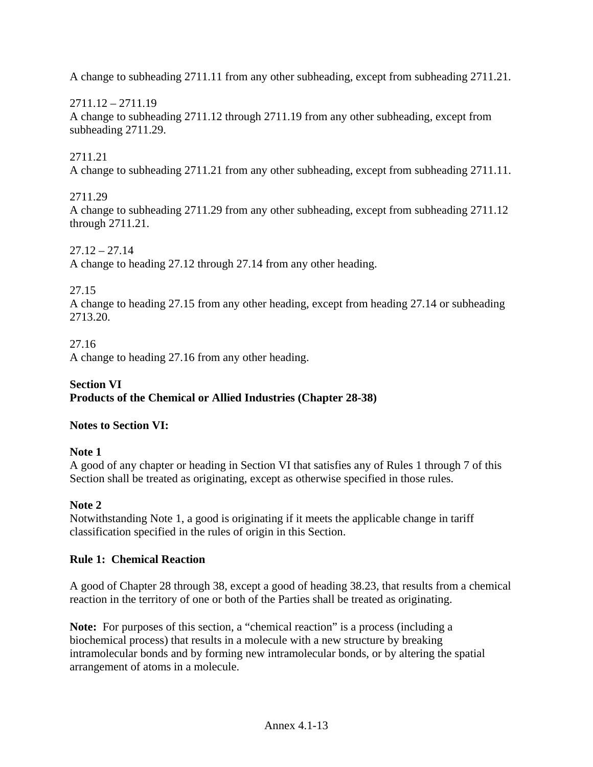A change to subheading 2711.11 from any other subheading, except from subheading 2711.21.

2711.12 – 2711.19 A change to subheading 2711.12 through 2711.19 from any other subheading, except from subheading 2711.29.

## 2711.21

A change to subheading 2711.21 from any other subheading, except from subheading 2711.11.

## 2711.29

A change to subheading 2711.29 from any other subheading, except from subheading 2711.12 through 2711.21.

 $27.12 - 27.14$ A change to heading 27.12 through 27.14 from any other heading.

27.15

A change to heading 27.15 from any other heading, except from heading 27.14 or subheading 2713.20.

27.16

A change to heading 27.16 from any other heading.

### **Section VI Products of the Chemical or Allied Industries (Chapter 28-38)**

# **Notes to Section VI:**

# **Note 1**

A good of any chapter or heading in Section VI that satisfies any of Rules 1 through 7 of this Section shall be treated as originating, except as otherwise specified in those rules.

# **Note 2**

Notwithstanding Note 1, a good is originating if it meets the applicable change in tariff classification specified in the rules of origin in this Section.

# **Rule 1: Chemical Reaction**

A good of Chapter 28 through 38, except a good of heading 38.23, that results from a chemical reaction in the territory of one or both of the Parties shall be treated as originating.

**Note:** For purposes of this section, a "chemical reaction" is a process (including a biochemical process) that results in a molecule with a new structure by breaking intramolecular bonds and by forming new intramolecular bonds, or by altering the spatial arrangement of atoms in a molecule.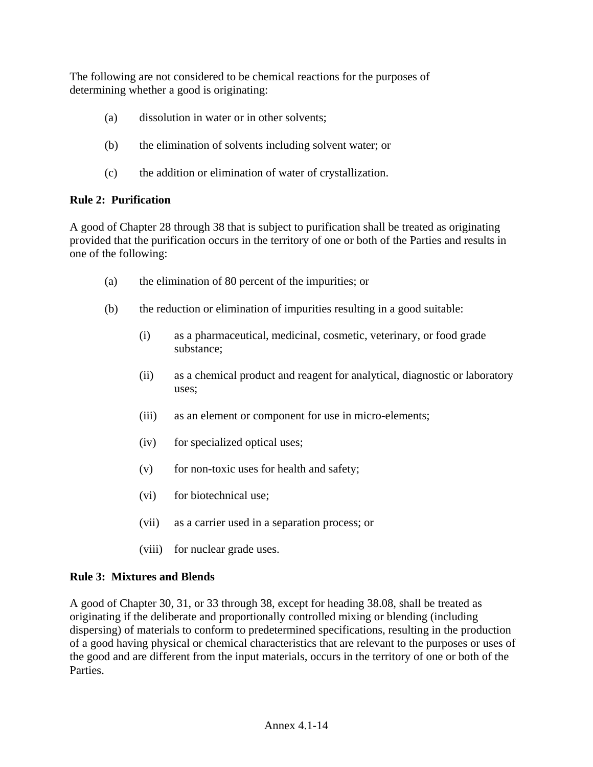The following are not considered to be chemical reactions for the purposes of determining whether a good is originating:

- (a) dissolution in water or in other solvents;
- (b) the elimination of solvents including solvent water; or
- (c) the addition or elimination of water of crystallization.

# **Rule 2: Purification**

A good of Chapter 28 through 38 that is subject to purification shall be treated as originating provided that the purification occurs in the territory of one or both of the Parties and results in one of the following:

- (a) the elimination of 80 percent of the impurities; or
- (b) the reduction or elimination of impurities resulting in a good suitable:
	- (i) as a pharmaceutical, medicinal, cosmetic, veterinary, or food grade substance;
	- (ii) as a chemical product and reagent for analytical, diagnostic or laboratory uses;
	- (iii) as an element or component for use in micro-elements;
	- (iv) for specialized optical uses;
	- $(v)$  for non-toxic uses for health and safety;
	- (vi) for biotechnical use;
	- (vii) as a carrier used in a separation process; or
	- (viii) for nuclear grade uses.

## **Rule 3: Mixtures and Blends**

A good of Chapter 30, 31, or 33 through 38, except for heading 38.08, shall be treated as originating if the deliberate and proportionally controlled mixing or blending (including dispersing) of materials to conform to predetermined specifications, resulting in the production of a good having physical or chemical characteristics that are relevant to the purposes or uses of the good and are different from the input materials, occurs in the territory of one or both of the Parties.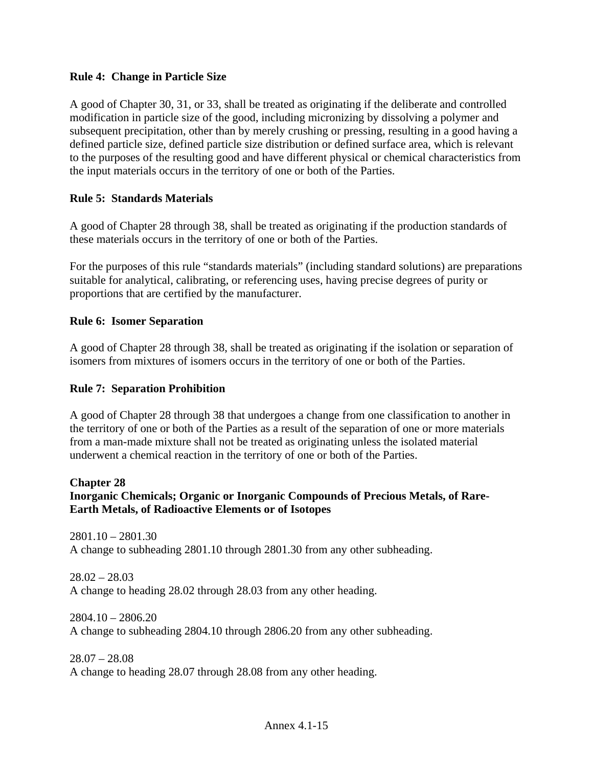### **Rule 4: Change in Particle Size**

A good of Chapter 30, 31, or 33, shall be treated as originating if the deliberate and controlled modification in particle size of the good, including micronizing by dissolving a polymer and subsequent precipitation, other than by merely crushing or pressing, resulting in a good having a defined particle size, defined particle size distribution or defined surface area, which is relevant to the purposes of the resulting good and have different physical or chemical characteristics from the input materials occurs in the territory of one or both of the Parties.

#### **Rule 5: Standards Materials**

A good of Chapter 28 through 38, shall be treated as originating if the production standards of these materials occurs in the territory of one or both of the Parties.

For the purposes of this rule "standards materials" (including standard solutions) are preparations suitable for analytical, calibrating, or referencing uses, having precise degrees of purity or proportions that are certified by the manufacturer.

#### **Rule 6: Isomer Separation**

A good of Chapter 28 through 38, shall be treated as originating if the isolation or separation of isomers from mixtures of isomers occurs in the territory of one or both of the Parties.

### **Rule 7: Separation Prohibition**

A good of Chapter 28 through 38 that undergoes a change from one classification to another in the territory of one or both of the Parties as a result of the separation of one or more materials from a man-made mixture shall not be treated as originating unless the isolated material underwent a chemical reaction in the territory of one or both of the Parties.

#### **Chapter 28**

## **Inorganic Chemicals; Organic or Inorganic Compounds of Precious Metals, of Rare-Earth Metals, of Radioactive Elements or of Isotopes**

2801.10 – 2801.30 A change to subheading 2801.10 through 2801.30 from any other subheading.

 $28.02 - 28.03$ A change to heading 28.02 through 28.03 from any other heading.

2804.10 – 2806.20 A change to subheading 2804.10 through 2806.20 from any other subheading.

28.07 – 28.08 A change to heading 28.07 through 28.08 from any other heading.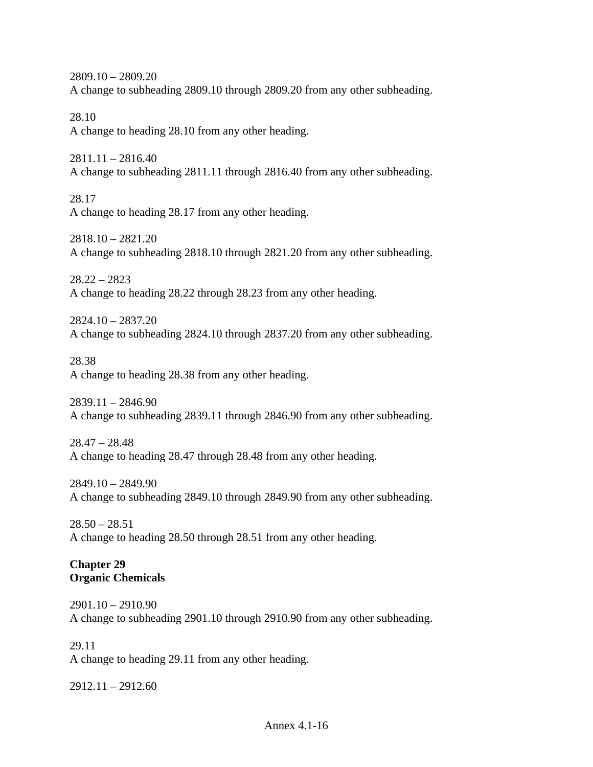2809.10 – 2809.20 A change to subheading 2809.10 through 2809.20 from any other subheading.

28.10 A change to heading 28.10 from any other heading.

2811.11 – 2816.40 A change to subheading 2811.11 through 2816.40 from any other subheading.

28.17 A change to heading 28.17 from any other heading.

2818.10 – 2821.20 A change to subheading 2818.10 through 2821.20 from any other subheading.

28.22 – 2823 A change to heading 28.22 through 28.23 from any other heading.

2824.10 – 2837.20 A change to subheading 2824.10 through 2837.20 from any other subheading.

28.38 A change to heading 28.38 from any other heading.

 $2839.11 - 2846.90$ A change to subheading 2839.11 through 2846.90 from any other subheading.

 $28.47 - 28.48$ A change to heading 28.47 through 28.48 from any other heading.

2849.10 – 2849.90 A change to subheading 2849.10 through 2849.90 from any other subheading.

 $28.50 - 28.51$ A change to heading 28.50 through 28.51 from any other heading.

## **Chapter 29 Organic Chemicals**

2901.10 – 2910.90 A change to subheading 2901.10 through 2910.90 from any other subheading.

29.11 A change to heading 29.11 from any other heading.

2912.11 – 2912.60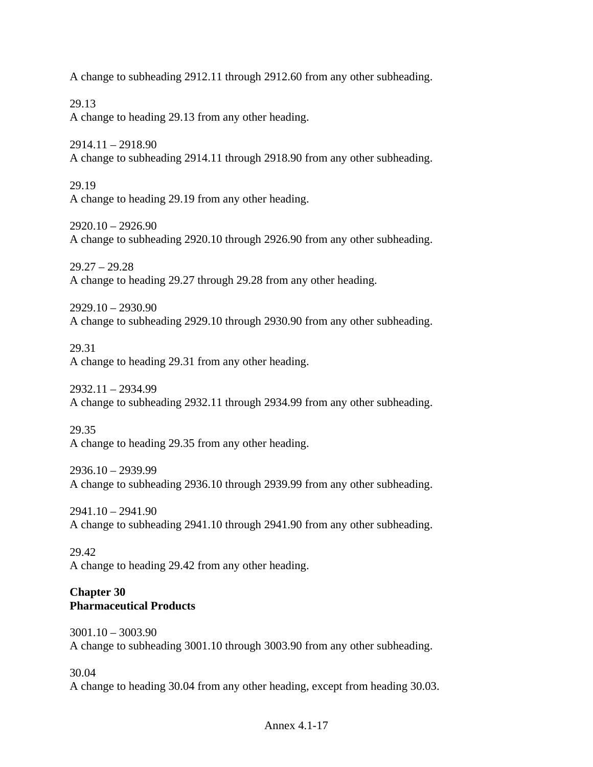A change to subheading 2912.11 through 2912.60 from any other subheading.

29.13 A change to heading 29.13 from any other heading.

2914.11 – 2918.90 A change to subheading 2914.11 through 2918.90 from any other subheading.

29.19 A change to heading 29.19 from any other heading.

2920.10 – 2926.90 A change to subheading 2920.10 through 2926.90 from any other subheading.

29.27 – 29.28 A change to heading 29.27 through 29.28 from any other heading.

2929.10 – 2930.90 A change to subheading 2929.10 through 2930.90 from any other subheading.

29.31

A change to heading 29.31 from any other heading.

2932.11 – 2934.99 A change to subheading 2932.11 through 2934.99 from any other subheading.

29.35

A change to heading 29.35 from any other heading.

2936.10 – 2939.99 A change to subheading 2936.10 through 2939.99 from any other subheading.

2941.10 – 2941.90 A change to subheading 2941.10 through 2941.90 from any other subheading.

29.42 A change to heading 29.42 from any other heading.

## **Chapter 30 Pharmaceutical Products**

3001.10 – 3003.90 A change to subheading 3001.10 through 3003.90 from any other subheading.

30.04

A change to heading 30.04 from any other heading, except from heading 30.03.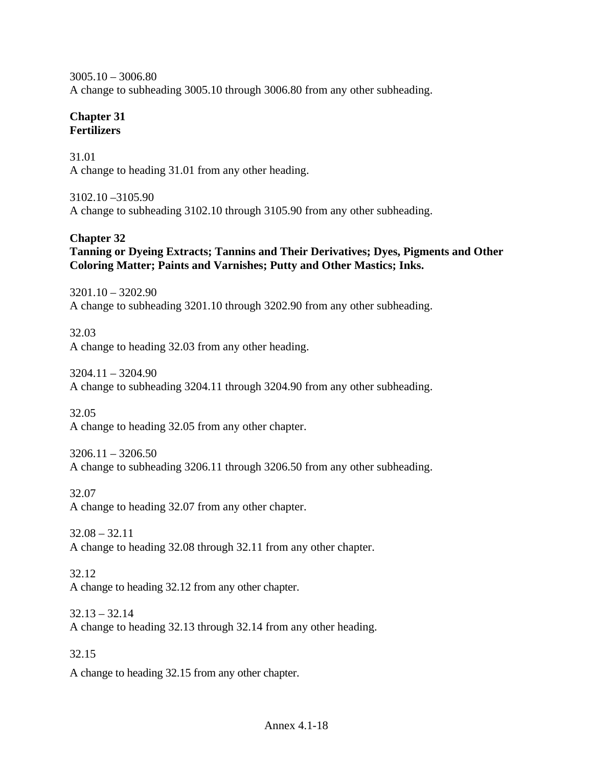3005.10 – 3006.80 A change to subheading 3005.10 through 3006.80 from any other subheading.

## **Chapter 31 Fertilizers**

31.01 A change to heading 31.01 from any other heading.

3102.10 –3105.90 A change to subheading 3102.10 through 3105.90 from any other subheading.

# **Chapter 32**

**Tanning or Dyeing Extracts; Tannins and Their Derivatives; Dyes, Pigments and Other Coloring Matter; Paints and Varnishes; Putty and Other Mastics; Inks.** 

3201.10 – 3202.90 A change to subheading 3201.10 through 3202.90 from any other subheading.

32.03 A change to heading 32.03 from any other heading.

 $3204.11 - 3204.90$ A change to subheading 3204.11 through 3204.90 from any other subheading.

32.05

A change to heading 32.05 from any other chapter.

 $3206.11 - 3206.50$ A change to subheading 3206.11 through 3206.50 from any other subheading.

32.07

A change to heading 32.07 from any other chapter.

32.08 – 32.11 A change to heading 32.08 through 32.11 from any other chapter.

32.12 A change to heading 32.12 from any other chapter.

 $32.13 - 32.14$ A change to heading 32.13 through 32.14 from any other heading.

32.15

A change to heading 32.15 from any other chapter.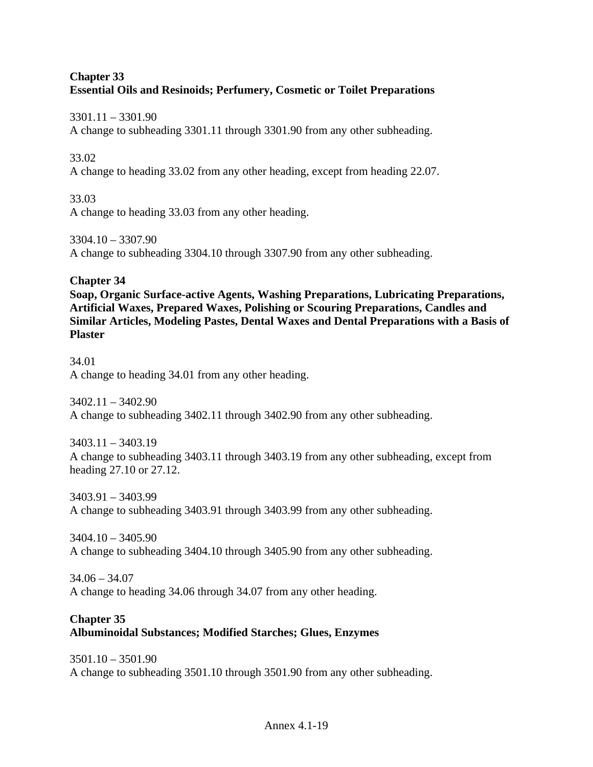## **Chapter 33 Essential Oils and Resinoids; Perfumery, Cosmetic or Toilet Preparations**

3301.11 – 3301.90

A change to subheading 3301.11 through 3301.90 from any other subheading.

### 33.02

A change to heading 33.02 from any other heading, except from heading 22.07.

33.03 A change to heading 33.03 from any other heading.

3304.10 – 3307.90 A change to subheading 3304.10 through 3307.90 from any other subheading.

## **Chapter 34**

**Soap, Organic Surface-active Agents, Washing Preparations, Lubricating Preparations, Artificial Waxes, Prepared Waxes, Polishing or Scouring Preparations, Candles and Similar Articles, Modeling Pastes, Dental Waxes and Dental Preparations with a Basis of Plaster** 

34.01 A change to heading 34.01 from any other heading.

3402.11 – 3402.90 A change to subheading 3402.11 through 3402.90 from any other subheading.

3403.11 – 3403.19 A change to subheading 3403.11 through 3403.19 from any other subheading, except from heading 27.10 or 27.12.

3403.91 – 3403.99 A change to subheading 3403.91 through 3403.99 from any other subheading.

3404.10 – 3405.90 A change to subheading 3404.10 through 3405.90 from any other subheading.

 $34.06 - 34.07$ A change to heading 34.06 through 34.07 from any other heading.

#### **Chapter 35 Albuminoidal Substances; Modified Starches; Glues, Enzymes**

3501.10 – 3501.90 A change to subheading 3501.10 through 3501.90 from any other subheading.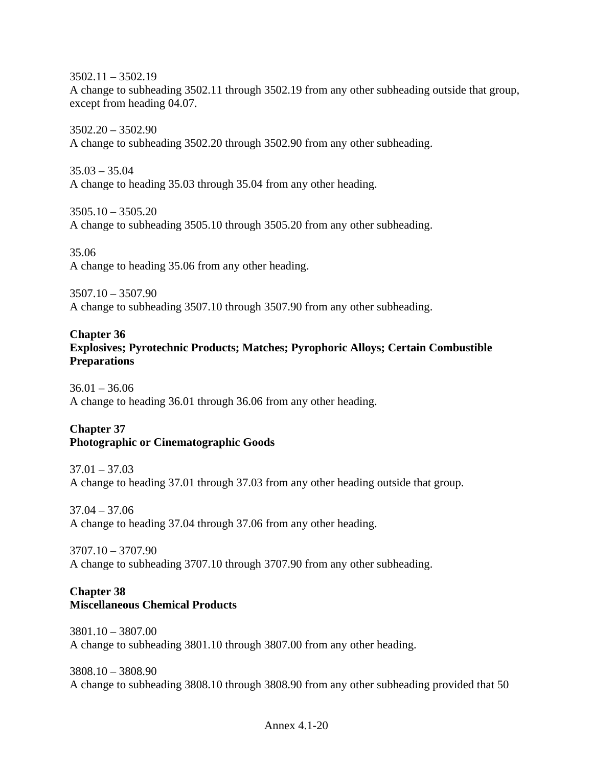3502.11 – 3502.19 A change to subheading 3502.11 through 3502.19 from any other subheading outside that group, except from heading 04.07.

3502.20 – 3502.90 A change to subheading 3502.20 through 3502.90 from any other subheading.

35.03 – 35.04 A change to heading 35.03 through 35.04 from any other heading.

 $3505.10 - 3505.20$ A change to subheading 3505.10 through 3505.20 from any other subheading.

35.06 A change to heading 35.06 from any other heading.

3507.10 – 3507.90 A change to subheading 3507.10 through 3507.90 from any other subheading.

## **Chapter 36**

**Explosives; Pyrotechnic Products; Matches; Pyrophoric Alloys; Certain Combustible Preparations** 

 $36.01 - 36.06$ A change to heading 36.01 through 36.06 from any other heading.

## **Chapter 37 Photographic or Cinematographic Goods**

 $37.01 - 37.03$ A change to heading 37.01 through 37.03 from any other heading outside that group.

 $37.04 - 37.06$ A change to heading 37.04 through 37.06 from any other heading.

3707.10 – 3707.90 A change to subheading 3707.10 through 3707.90 from any other subheading.

## **Chapter 38 Miscellaneous Chemical Products**

3801.10 – 3807.00 A change to subheading 3801.10 through 3807.00 from any other heading.

3808.10 – 3808.90 A change to subheading 3808.10 through 3808.90 from any other subheading provided that 50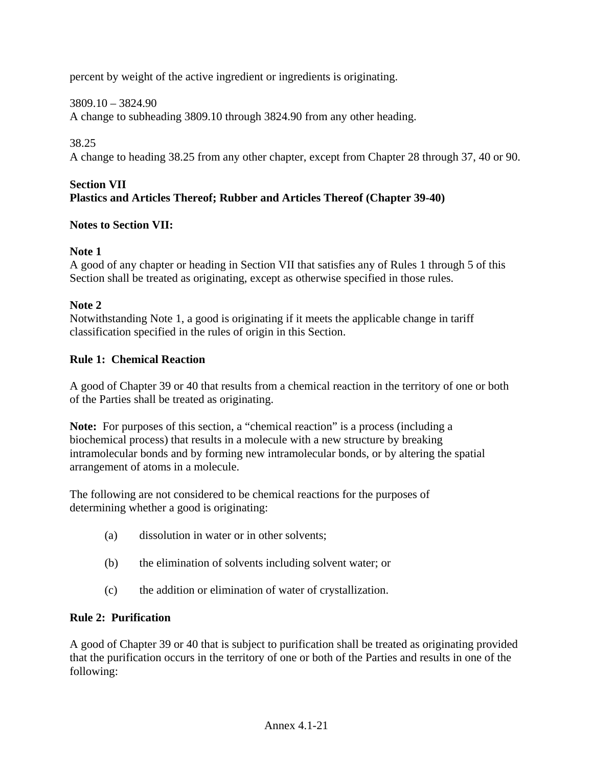percent by weight of the active ingredient or ingredients is originating.

## 3809.10 – 3824.90

A change to subheading 3809.10 through 3824.90 from any other heading.

## 38.25

A change to heading 38.25 from any other chapter, except from Chapter 28 through 37, 40 or 90.

### **Section VII Plastics and Articles Thereof; Rubber and Articles Thereof (Chapter 39-40)**

## **Notes to Section VII:**

## **Note 1**

A good of any chapter or heading in Section VII that satisfies any of Rules 1 through 5 of this Section shall be treated as originating, except as otherwise specified in those rules.

## **Note 2**

Notwithstanding Note 1, a good is originating if it meets the applicable change in tariff classification specified in the rules of origin in this Section.

## **Rule 1: Chemical Reaction**

A good of Chapter 39 or 40 that results from a chemical reaction in the territory of one or both of the Parties shall be treated as originating.

**Note:** For purposes of this section, a "chemical reaction" is a process (including a biochemical process) that results in a molecule with a new structure by breaking intramolecular bonds and by forming new intramolecular bonds, or by altering the spatial arrangement of atoms in a molecule.

The following are not considered to be chemical reactions for the purposes of determining whether a good is originating:

- (a) dissolution in water or in other solvents;
- (b) the elimination of solvents including solvent water; or
- (c) the addition or elimination of water of crystallization.

# **Rule 2: Purification**

A good of Chapter 39 or 40 that is subject to purification shall be treated as originating provided that the purification occurs in the territory of one or both of the Parties and results in one of the following: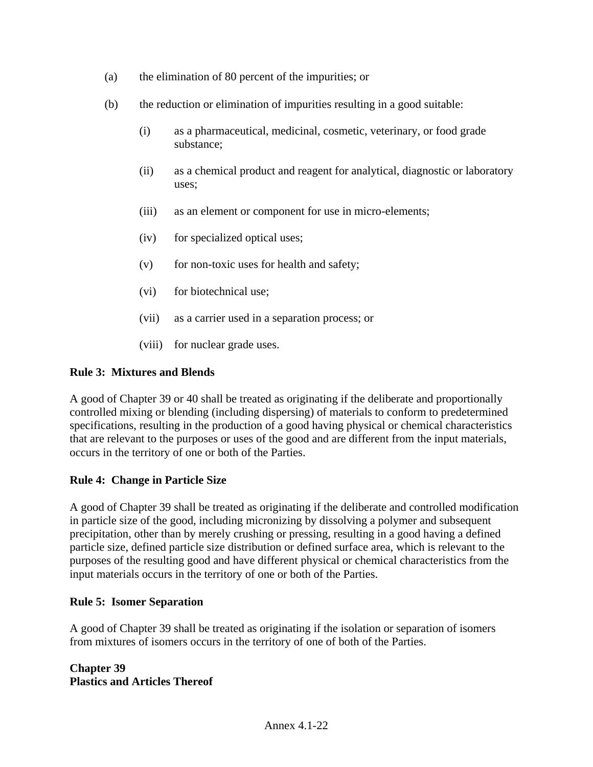- (a) the elimination of 80 percent of the impurities; or
- (b) the reduction or elimination of impurities resulting in a good suitable:
	- (i) as a pharmaceutical, medicinal, cosmetic, veterinary, or food grade substance;
	- (ii) as a chemical product and reagent for analytical, diagnostic or laboratory uses;
	- (iii) as an element or component for use in micro-elements;
	- (iv) for specialized optical uses;
	- $(v)$  for non-toxic uses for health and safety;
	- (vi) for biotechnical use;
	- (vii) as a carrier used in a separation process; or
	- (viii) for nuclear grade uses.

#### **Rule 3: Mixtures and Blends**

A good of Chapter 39 or 40 shall be treated as originating if the deliberate and proportionally controlled mixing or blending (including dispersing) of materials to conform to predetermined specifications, resulting in the production of a good having physical or chemical characteristics that are relevant to the purposes or uses of the good and are different from the input materials, occurs in the territory of one or both of the Parties.

#### **Rule 4: Change in Particle Size**

A good of Chapter 39 shall be treated as originating if the deliberate and controlled modification in particle size of the good, including micronizing by dissolving a polymer and subsequent precipitation, other than by merely crushing or pressing, resulting in a good having a defined particle size, defined particle size distribution or defined surface area, which is relevant to the purposes of the resulting good and have different physical or chemical characteristics from the input materials occurs in the territory of one or both of the Parties.

#### **Rule 5: Isomer Separation**

A good of Chapter 39 shall be treated as originating if the isolation or separation of isomers from mixtures of isomers occurs in the territory of one of both of the Parties.

### **Chapter 39 Plastics and Articles Thereof**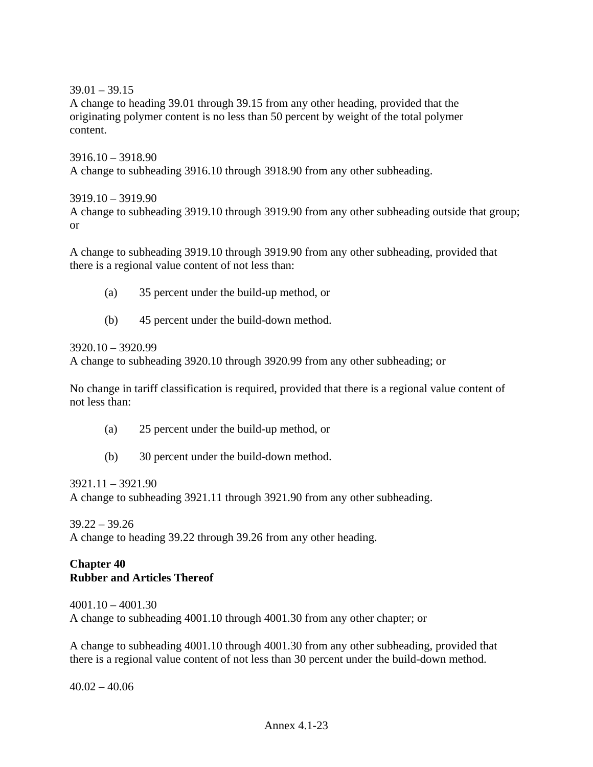$39.01 - 39.15$ 

A change to heading 39.01 through 39.15 from any other heading, provided that the originating polymer content is no less than 50 percent by weight of the total polymer content.

3916.10 – 3918.90 A change to subheading 3916.10 through 3918.90 from any other subheading.

#### 3919.10 – 3919.90

A change to subheading 3919.10 through 3919.90 from any other subheading outside that group; or

A change to subheading 3919.10 through 3919.90 from any other subheading, provided that there is a regional value content of not less than:

- (a) 35 percent under the build-up method, or
- (b) 45 percent under the build-down method.

3920.10 – 3920.99

A change to subheading 3920.10 through 3920.99 from any other subheading; or

No change in tariff classification is required, provided that there is a regional value content of not less than:

- (a) 25 percent under the build-up method, or
- (b) 30 percent under the build-down method.

3921.11 – 3921.90

A change to subheading 3921.11 through 3921.90 from any other subheading.

 $39.22 - 39.26$ A change to heading 39.22 through 39.26 from any other heading.

### **Chapter 40 Rubber and Articles Thereof**

4001.10 – 4001.30 A change to subheading 4001.10 through 4001.30 from any other chapter; or

A change to subheading 4001.10 through 4001.30 from any other subheading, provided that there is a regional value content of not less than 30 percent under the build-down method.

 $40.02 - 40.06$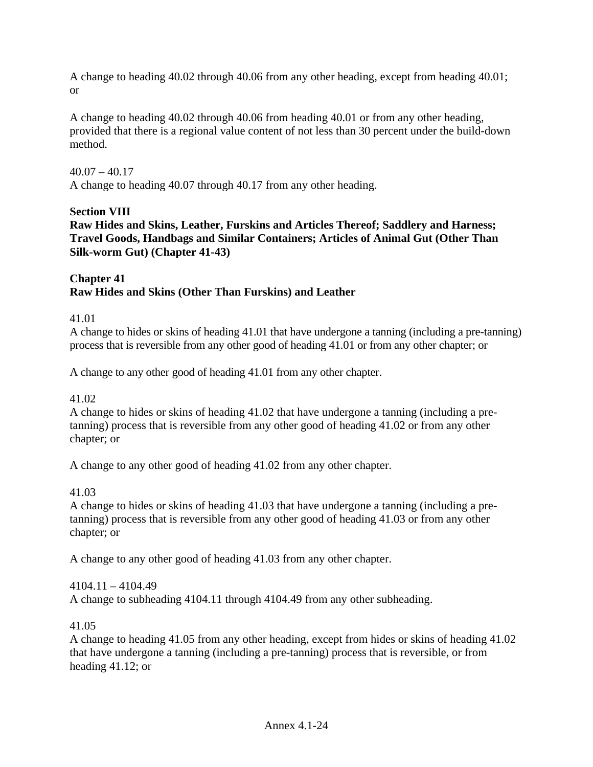A change to heading 40.02 through 40.06 from any other heading, except from heading 40.01; or

A change to heading 40.02 through 40.06 from heading 40.01 or from any other heading, provided that there is a regional value content of not less than 30 percent under the build-down method.

### $40.07 - 40.17$

A change to heading 40.07 through 40.17 from any other heading.

### **Section VIII**

**Raw Hides and Skins, Leather, Furskins and Articles Thereof; Saddlery and Harness; Travel Goods, Handbags and Similar Containers; Articles of Animal Gut (Other Than Silk-worm Gut) (Chapter 41-43)** 

## **Chapter 41 Raw Hides and Skins (Other Than Furskins) and Leather**

### 41.01

A change to hides or skins of heading 41.01 that have undergone a tanning (including a pre-tanning) process that is reversible from any other good of heading 41.01 or from any other chapter; or

A change to any other good of heading 41.01 from any other chapter.

## 41.02

A change to hides or skins of heading 41.02 that have undergone a tanning (including a pretanning) process that is reversible from any other good of heading 41.02 or from any other chapter; or

A change to any other good of heading 41.02 from any other chapter.

## 41.03

A change to hides or skins of heading 41.03 that have undergone a tanning (including a pretanning) process that is reversible from any other good of heading 41.03 or from any other chapter; or

A change to any other good of heading 41.03 from any other chapter.

#### 4104.11 – 4104.49

A change to subheading 4104.11 through 4104.49 from any other subheading.

#### 41.05

A change to heading 41.05 from any other heading, except from hides or skins of heading 41.02 that have undergone a tanning (including a pre-tanning) process that is reversible, or from heading 41.12; or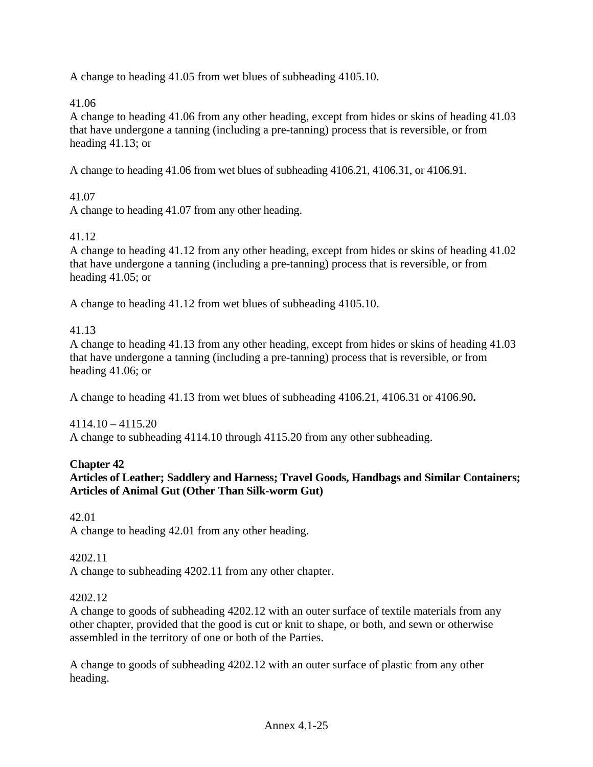A change to heading 41.05 from wet blues of subheading 4105.10.

41.06

A change to heading 41.06 from any other heading, except from hides or skins of heading 41.03 that have undergone a tanning (including a pre-tanning) process that is reversible, or from heading 41.13; or

A change to heading 41.06 from wet blues of subheading 4106.21, 4106.31, or 4106.91.

### 41.07

A change to heading 41.07 from any other heading.

### 41.12

A change to heading 41.12 from any other heading, except from hides or skins of heading 41.02 that have undergone a tanning (including a pre-tanning) process that is reversible, or from heading 41.05; or

A change to heading 41.12 from wet blues of subheading 4105.10.

#### 41.13

A change to heading 41.13 from any other heading, except from hides or skins of heading 41.03 that have undergone a tanning (including a pre-tanning) process that is reversible, or from heading 41.06; or

A change to heading 41.13 from wet blues of subheading 4106.21, 4106.31 or 4106.90**.**

4114.10 – 4115.20 A change to subheading 4114.10 through 4115.20 from any other subheading.

#### **Chapter 42**

## **Articles of Leather; Saddlery and Harness; Travel Goods, Handbags and Similar Containers; Articles of Animal Gut (Other Than Silk-worm Gut)**

42.01 A change to heading 42.01 from any other heading.

#### 4202.11

A change to subheading 4202.11 from any other chapter.

#### 4202.12

A change to goods of subheading 4202.12 with an outer surface of textile materials from any other chapter, provided that the good is cut or knit to shape, or both, and sewn or otherwise assembled in the territory of one or both of the Parties.

A change to goods of subheading 4202.12 with an outer surface of plastic from any other heading.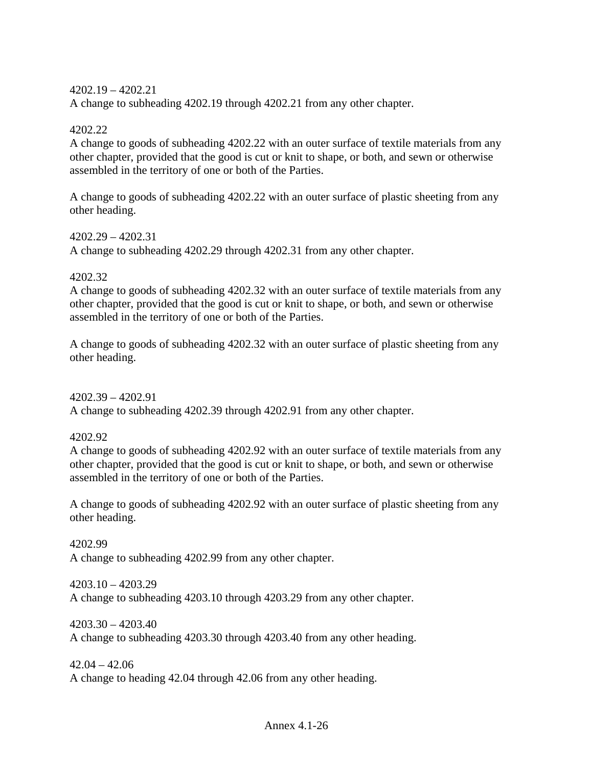4202.19 – 4202.21

A change to subheading 4202.19 through 4202.21 from any other chapter.

### 4202.22

A change to goods of subheading 4202.22 with an outer surface of textile materials from any other chapter, provided that the good is cut or knit to shape, or both, and sewn or otherwise assembled in the territory of one or both of the Parties.

A change to goods of subheading 4202.22 with an outer surface of plastic sheeting from any other heading.

4202.29 – 4202.31 A change to subheading 4202.29 through 4202.31 from any other chapter.

#### 4202.32

A change to goods of subheading 4202.32 with an outer surface of textile materials from any other chapter, provided that the good is cut or knit to shape, or both, and sewn or otherwise assembled in the territory of one or both of the Parties.

A change to goods of subheading 4202.32 with an outer surface of plastic sheeting from any other heading.

4202.39 – 4202.91 A change to subheading 4202.39 through 4202.91 from any other chapter.

4202.92

A change to goods of subheading 4202.92 with an outer surface of textile materials from any other chapter, provided that the good is cut or knit to shape, or both, and sewn or otherwise assembled in the territory of one or both of the Parties.

A change to goods of subheading 4202.92 with an outer surface of plastic sheeting from any other heading.

4202.99 A change to subheading 4202.99 from any other chapter.

4203.10 – 4203.29 A change to subheading 4203.10 through 4203.29 from any other chapter.

4203.30 – 4203.40 A change to subheading 4203.30 through 4203.40 from any other heading.

 $42.04 - 42.06$ A change to heading 42.04 through 42.06 from any other heading.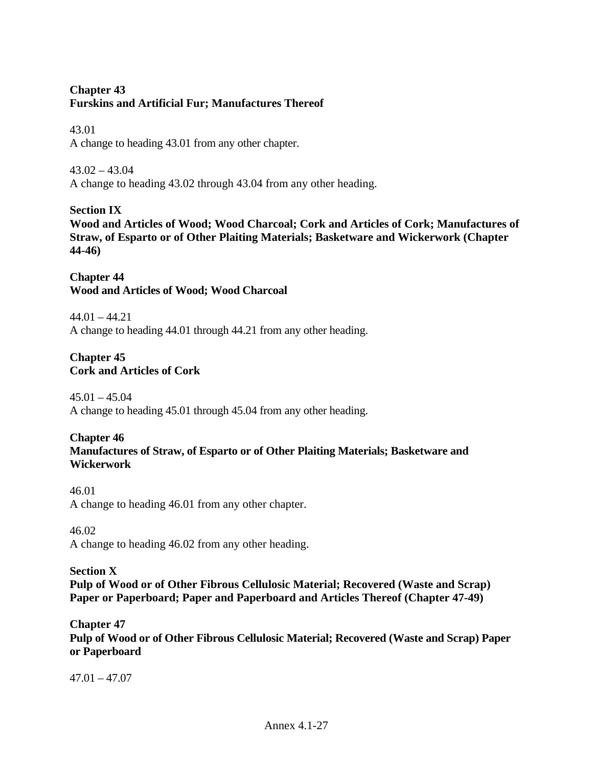# **Chapter 43 Furskins and Artificial Fur; Manufactures Thereof**

#### 43.01

A change to heading 43.01 from any other chapter.

### 43.02 – 43.04

A change to heading 43.02 through 43.04 from any other heading.

## **Section IX**

**Wood and Articles of Wood; Wood Charcoal; Cork and Articles of Cork; Manufactures of Straw, of Esparto or of Other Plaiting Materials; Basketware and Wickerwork (Chapter 44-46)** 

### **Chapter 44 Wood and Articles of Wood; Wood Charcoal**

 $44.01 - 44.21$ A change to heading 44.01 through 44.21 from any other heading.

## **Chapter 45 Cork and Articles of Cork**

 $45.01 - 45.04$ A change to heading 45.01 through 45.04 from any other heading.

# **Chapter 46**

## **Manufactures of Straw, of Esparto or of Other Plaiting Materials; Basketware and Wickerwork**

## 46.01 A change to heading 46.01 from any other chapter.

## 46.02

A change to heading 46.02 from any other heading.

## **Section X**

**Pulp of Wood or of Other Fibrous Cellulosic Material; Recovered (Waste and Scrap) Paper or Paperboard; Paper and Paperboard and Articles Thereof (Chapter 47-49)** 

## **Chapter 47**

**Pulp of Wood or of Other Fibrous Cellulosic Material; Recovered (Waste and Scrap) Paper or Paperboard** 

 $47.01 - 47.07$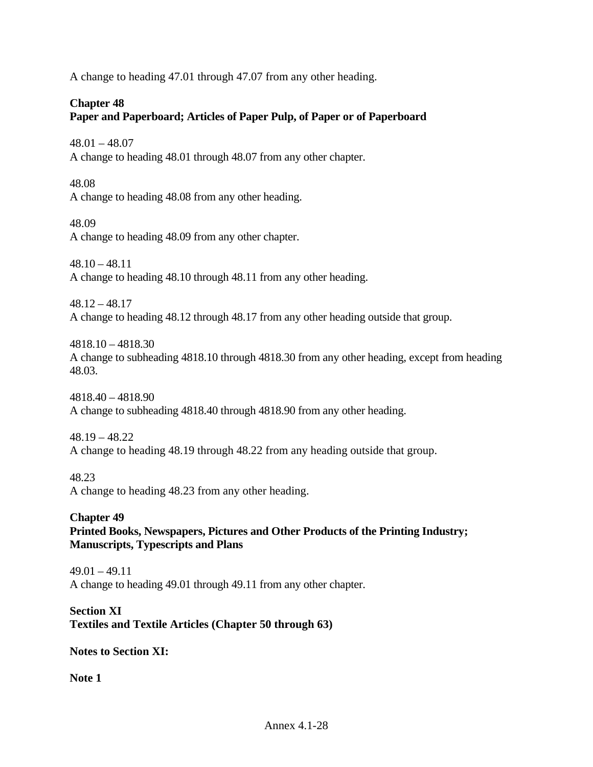A change to heading 47.01 through 47.07 from any other heading.

## **Chapter 48**

# **Paper and Paperboard; Articles of Paper Pulp, of Paper or of Paperboard**

48.01 – 48.07

A change to heading 48.01 through 48.07 from any other chapter.

## 48.08

A change to heading 48.08 from any other heading.

48.09

A change to heading 48.09 from any other chapter.

 $48.10 - 48.11$ A change to heading 48.10 through 48.11 from any other heading.

48.12 – 48.17 A change to heading 48.12 through 48.17 from any other heading outside that group.

4818.10 – 4818.30 A change to subheading 4818.10 through 4818.30 from any other heading, except from heading 48.03.

4818.40 – 4818.90 A change to subheading 4818.40 through 4818.90 from any other heading.

# 48.19 – 48.22 A change to heading 48.19 through 48.22 from any heading outside that group.

# 48.23

A change to heading 48.23 from any other heading.

### **Chapter 49 Printed Books, Newspapers, Pictures and Other Products of the Printing Industry; Manuscripts, Typescripts and Plans**

 $49.01 - 49.11$ A change to heading 49.01 through 49.11 from any other chapter.

## **Section XI Textiles and Textile Articles (Chapter 50 through 63)**

**Notes to Section XI:** 

**Note 1**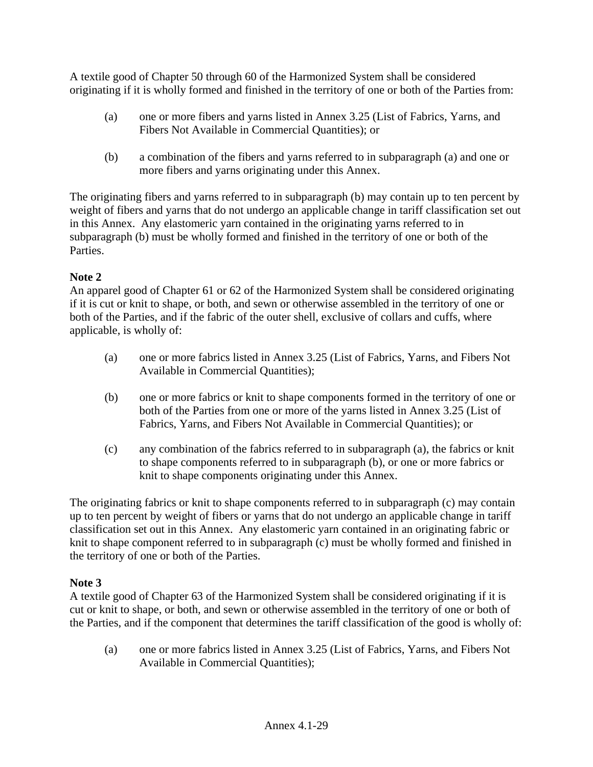A textile good of Chapter 50 through 60 of the Harmonized System shall be considered originating if it is wholly formed and finished in the territory of one or both of the Parties from:

- (a) one or more fibers and yarns listed in Annex 3.25 (List of Fabrics, Yarns, and Fibers Not Available in Commercial Quantities); or
- (b) a combination of the fibers and yarns referred to in subparagraph (a) and one or more fibers and yarns originating under this Annex.

The originating fibers and yarns referred to in subparagraph (b) may contain up to ten percent by weight of fibers and yarns that do not undergo an applicable change in tariff classification set out in this Annex. Any elastomeric yarn contained in the originating yarns referred to in subparagraph (b) must be wholly formed and finished in the territory of one or both of the Parties.

# **Note 2**

An apparel good of Chapter 61 or 62 of the Harmonized System shall be considered originating if it is cut or knit to shape, or both, and sewn or otherwise assembled in the territory of one or both of the Parties, and if the fabric of the outer shell, exclusive of collars and cuffs, where applicable, is wholly of:

- (a) one or more fabrics listed in Annex 3.25 (List of Fabrics, Yarns, and Fibers Not Available in Commercial Quantities);
- (b) one or more fabrics or knit to shape components formed in the territory of one or both of the Parties from one or more of the yarns listed in Annex 3.25 (List of Fabrics, Yarns, and Fibers Not Available in Commercial Quantities); or
- (c) any combination of the fabrics referred to in subparagraph (a), the fabrics or knit to shape components referred to in subparagraph (b), or one or more fabrics or knit to shape components originating under this Annex.

The originating fabrics or knit to shape components referred to in subparagraph (c) may contain up to ten percent by weight of fibers or yarns that do not undergo an applicable change in tariff classification set out in this Annex. Any elastomeric yarn contained in an originating fabric or knit to shape component referred to in subparagraph (c) must be wholly formed and finished in the territory of one or both of the Parties.

# **Note 3**

A textile good of Chapter 63 of the Harmonized System shall be considered originating if it is cut or knit to shape, or both, and sewn or otherwise assembled in the territory of one or both of the Parties, and if the component that determines the tariff classification of the good is wholly of:

(a) one or more fabrics listed in Annex 3.25 (List of Fabrics, Yarns, and Fibers Not Available in Commercial Quantities);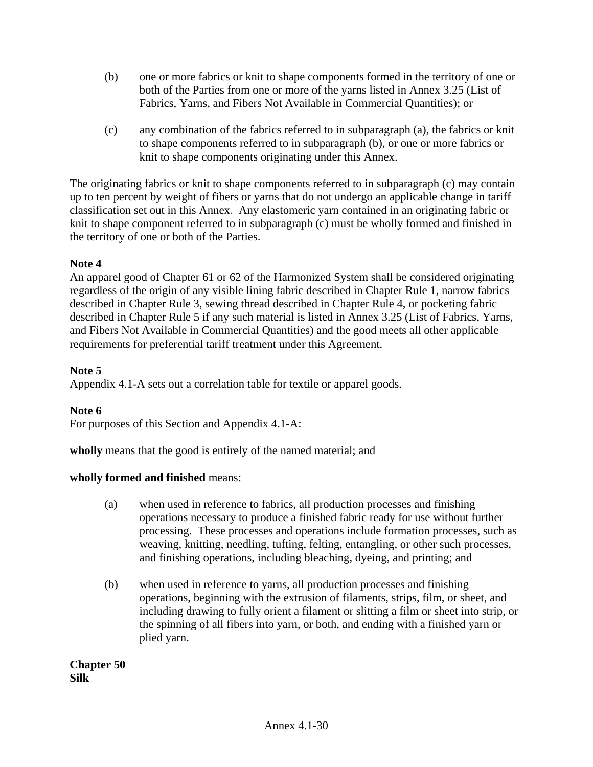- (b) one or more fabrics or knit to shape components formed in the territory of one or both of the Parties from one or more of the yarns listed in Annex 3.25 (List of Fabrics, Yarns, and Fibers Not Available in Commercial Quantities); or
- (c) any combination of the fabrics referred to in subparagraph (a), the fabrics or knit to shape components referred to in subparagraph (b), or one or more fabrics or knit to shape components originating under this Annex.

The originating fabrics or knit to shape components referred to in subparagraph (c) may contain up to ten percent by weight of fibers or yarns that do not undergo an applicable change in tariff classification set out in this Annex. Any elastomeric yarn contained in an originating fabric or knit to shape component referred to in subparagraph (c) must be wholly formed and finished in the territory of one or both of the Parties.

## **Note 4**

An apparel good of Chapter 61 or 62 of the Harmonized System shall be considered originating regardless of the origin of any visible lining fabric described in Chapter Rule 1, narrow fabrics described in Chapter Rule 3, sewing thread described in Chapter Rule 4, or pocketing fabric described in Chapter Rule 5 if any such material is listed in Annex 3.25 (List of Fabrics, Yarns, and Fibers Not Available in Commercial Quantities) and the good meets all other applicable requirements for preferential tariff treatment under this Agreement.

### **Note 5**

Appendix 4.1-A sets out a correlation table for textile or apparel goods.

## **Note 6**

For purposes of this Section and Appendix 4.1-A:

**wholly** means that the good is entirely of the named material; and

#### **wholly formed and finished** means:

- (a) when used in reference to fabrics, all production processes and finishing operations necessary to produce a finished fabric ready for use without further processing. These processes and operations include formation processes, such as weaving, knitting, needling, tufting, felting, entangling, or other such processes, and finishing operations, including bleaching, dyeing, and printing; and
- (b) when used in reference to yarns, all production processes and finishing operations, beginning with the extrusion of filaments, strips, film, or sheet, and including drawing to fully orient a filament or slitting a film or sheet into strip, or the spinning of all fibers into yarn, or both, and ending with a finished yarn or plied yarn.

**Chapter 50 Silk**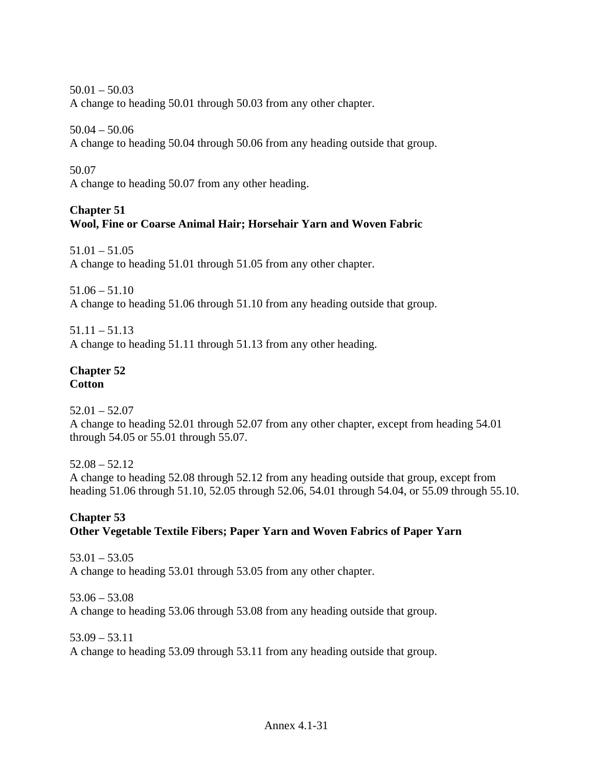$50.01 - 50.03$ A change to heading 50.01 through 50.03 from any other chapter.

50.04 – 50.06

A change to heading 50.04 through 50.06 from any heading outside that group.

50.07

A change to heading 50.07 from any other heading.

# **Chapter 51**

# **Wool, Fine or Coarse Animal Hair; Horsehair Yarn and Woven Fabric**

51.01 – 51.05 A change to heading 51.01 through 51.05 from any other chapter.

 $51.06 - 51.10$ 

A change to heading 51.06 through 51.10 from any heading outside that group.

51.11 – 51.13 A change to heading 51.11 through 51.13 from any other heading.

#### **Chapter 52 Cotton**

 $52.01 - 52.07$ A change to heading 52.01 through 52.07 from any other chapter, except from heading 54.01 through 54.05 or 55.01 through 55.07.

52.08 – 52.12 A change to heading 52.08 through 52.12 from any heading outside that group, except from heading 51.06 through 51.10, 52.05 through 52.06, 54.01 through 54.04, or 55.09 through 55.10.

## **Chapter 53 Other Vegetable Textile Fibers; Paper Yarn and Woven Fabrics of Paper Yarn**

53.01 – 53.05 A change to heading 53.01 through 53.05 from any other chapter.

53.06 – 53.08 A change to heading 53.06 through 53.08 from any heading outside that group.

53.09 – 53.11 A change to heading 53.09 through 53.11 from any heading outside that group.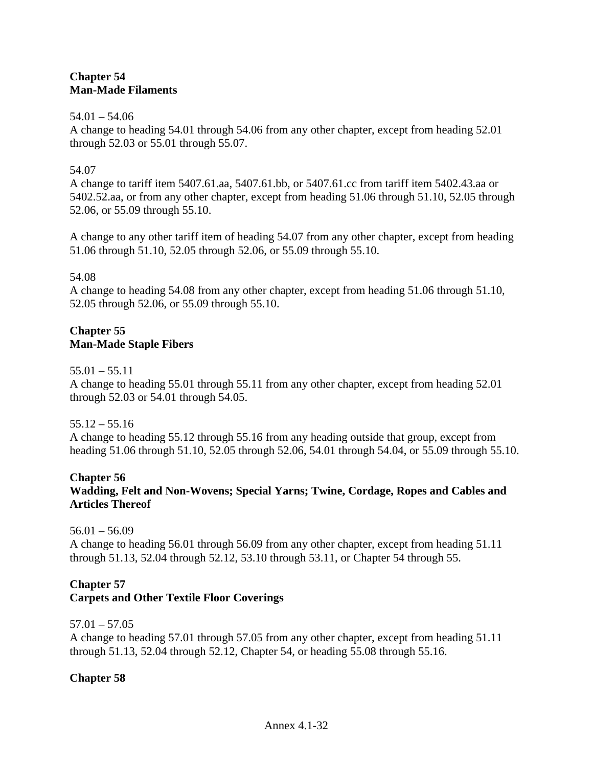## **Chapter 54 Man-Made Filaments**

#### $54.01 - 54.06$

A change to heading 54.01 through 54.06 from any other chapter, except from heading 52.01 through 52.03 or 55.01 through 55.07.

## 54.07

A change to tariff item 5407.61.aa, 5407.61.bb, or 5407.61.cc from tariff item 5402.43.aa or 5402.52.aa, or from any other chapter, except from heading 51.06 through 51.10, 52.05 through 52.06, or 55.09 through 55.10.

A change to any other tariff item of heading 54.07 from any other chapter, except from heading 51.06 through 51.10, 52.05 through 52.06, or 55.09 through 55.10.

## 54.08

A change to heading 54.08 from any other chapter, except from heading 51.06 through 51.10, 52.05 through 52.06, or 55.09 through 55.10.

## **Chapter 55 Man-Made Staple Fibers**

 $55.01 - 55.11$ 

A change to heading 55.01 through 55.11 from any other chapter, except from heading 52.01 through 52.03 or 54.01 through 54.05.

 $55.12 - 55.16$ 

A change to heading 55.12 through 55.16 from any heading outside that group, except from heading 51.06 through 51.10, 52.05 through 52.06, 54.01 through 54.04, or 55.09 through 55.10.

## **Chapter 56 Wadding, Felt and Non-Wovens; Special Yarns; Twine, Cordage, Ropes and Cables and Articles Thereof**

 $56.01 - 56.09$ 

A change to heading 56.01 through 56.09 from any other chapter, except from heading 51.11 through 51.13, 52.04 through 52.12, 53.10 through 53.11, or Chapter 54 through 55.

# **Chapter 57**

## **Carpets and Other Textile Floor Coverings**

## 57.01 – 57.05

A change to heading 57.01 through 57.05 from any other chapter, except from heading 51.11 through 51.13, 52.04 through 52.12, Chapter 54, or heading 55.08 through 55.16.

## **Chapter 58**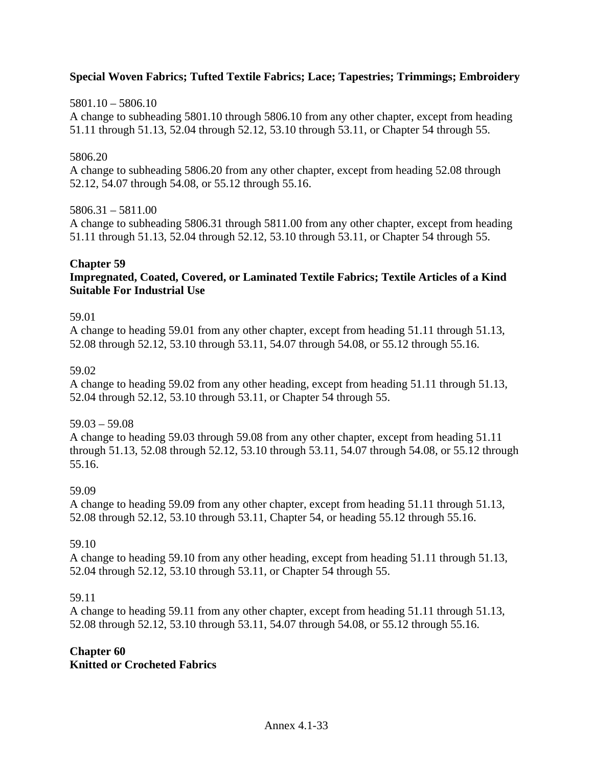### **Special Woven Fabrics; Tufted Textile Fabrics; Lace; Tapestries; Trimmings; Embroidery**

#### 5801.10 – 5806.10

A change to subheading 5801.10 through 5806.10 from any other chapter, except from heading 51.11 through 51.13, 52.04 through 52.12, 53.10 through 53.11, or Chapter 54 through 55.

#### 5806.20

A change to subheading 5806.20 from any other chapter, except from heading 52.08 through 52.12, 54.07 through 54.08, or 55.12 through 55.16.

#### 5806.31 – 5811.00

A change to subheading 5806.31 through 5811.00 from any other chapter, except from heading 51.11 through 51.13, 52.04 through 52.12, 53.10 through 53.11, or Chapter 54 through 55.

#### **Chapter 59**

### **Impregnated, Coated, Covered, or Laminated Textile Fabrics; Textile Articles of a Kind Suitable For Industrial Use**

#### 59.01

A change to heading 59.01 from any other chapter, except from heading 51.11 through 51.13, 52.08 through 52.12, 53.10 through 53.11, 54.07 through 54.08, or 55.12 through 55.16.

#### 59.02

A change to heading 59.02 from any other heading, except from heading 51.11 through 51.13, 52.04 through 52.12, 53.10 through 53.11, or Chapter 54 through 55.

#### 59.03 – 59.08

A change to heading 59.03 through 59.08 from any other chapter, except from heading 51.11 through 51.13, 52.08 through 52.12, 53.10 through 53.11, 54.07 through 54.08, or 55.12 through 55.16.

#### 59.09

A change to heading 59.09 from any other chapter, except from heading 51.11 through 51.13, 52.08 through 52.12, 53.10 through 53.11, Chapter 54, or heading 55.12 through 55.16.

## 59.10

A change to heading 59.10 from any other heading, except from heading 51.11 through 51.13, 52.04 through 52.12, 53.10 through 53.11, or Chapter 54 through 55.

#### 59.11

A change to heading 59.11 from any other chapter, except from heading 51.11 through 51.13, 52.08 through 52.12, 53.10 through 53.11, 54.07 through 54.08, or 55.12 through 55.16.

#### **Chapter 60 Knitted or Crocheted Fabrics**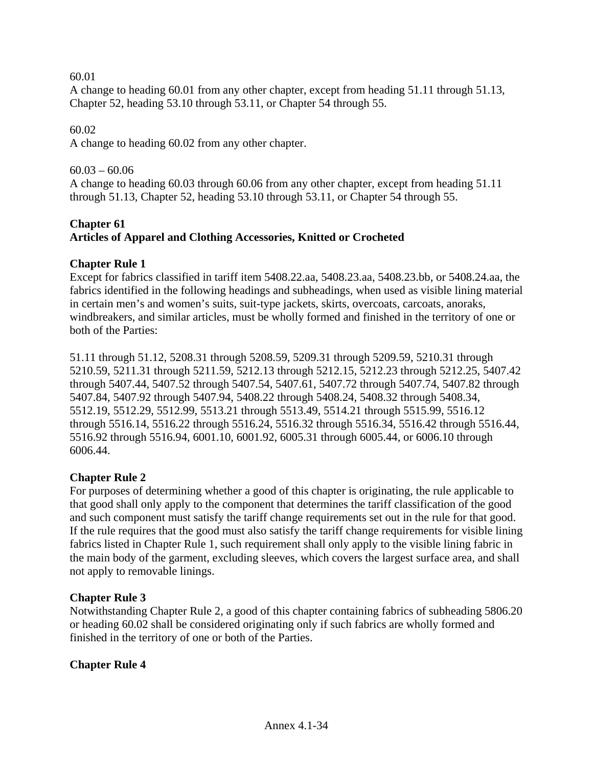60.01

A change to heading 60.01 from any other chapter, except from heading 51.11 through 51.13, Chapter 52, heading 53.10 through 53.11, or Chapter 54 through 55.

## 60.02

A change to heading 60.02 from any other chapter.

## $60.03 - 60.06$

A change to heading 60.03 through 60.06 from any other chapter, except from heading 51.11 through 51.13, Chapter 52, heading 53.10 through 53.11, or Chapter 54 through 55.

# **Chapter 61 Articles of Apparel and Clothing Accessories, Knitted or Crocheted**

# **Chapter Rule 1**

Except for fabrics classified in tariff item 5408.22.aa, 5408.23.aa, 5408.23.bb, or 5408.24.aa, the fabrics identified in the following headings and subheadings, when used as visible lining material in certain men's and women's suits, suit-type jackets, skirts, overcoats, carcoats, anoraks, windbreakers, and similar articles, must be wholly formed and finished in the territory of one or both of the Parties:

51.11 through 51.12, 5208.31 through 5208.59, 5209.31 through 5209.59, 5210.31 through 5210.59, 5211.31 through 5211.59, 5212.13 through 5212.15, 5212.23 through 5212.25, 5407.42 through 5407.44, 5407.52 through 5407.54, 5407.61, 5407.72 through 5407.74, 5407.82 through 5407.84, 5407.92 through 5407.94, 5408.22 through 5408.24, 5408.32 through 5408.34, 5512.19, 5512.29, 5512.99, 5513.21 through 5513.49, 5514.21 through 5515.99, 5516.12 through 5516.14, 5516.22 through 5516.24, 5516.32 through 5516.34, 5516.42 through 5516.44, 5516.92 through 5516.94, 6001.10, 6001.92, 6005.31 through 6005.44, or 6006.10 through 6006.44.

# **Chapter Rule 2**

For purposes of determining whether a good of this chapter is originating, the rule applicable to that good shall only apply to the component that determines the tariff classification of the good and such component must satisfy the tariff change requirements set out in the rule for that good. If the rule requires that the good must also satisfy the tariff change requirements for visible lining fabrics listed in Chapter Rule 1, such requirement shall only apply to the visible lining fabric in the main body of the garment, excluding sleeves, which covers the largest surface area, and shall not apply to removable linings.

## **Chapter Rule 3**

Notwithstanding Chapter Rule 2, a good of this chapter containing fabrics of subheading 5806.20 or heading 60.02 shall be considered originating only if such fabrics are wholly formed and finished in the territory of one or both of the Parties.

## **Chapter Rule 4**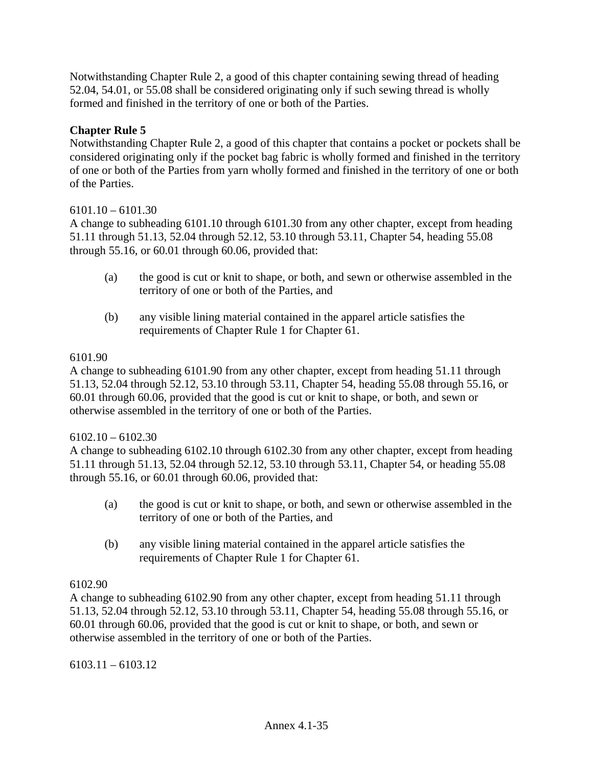Notwithstanding Chapter Rule 2, a good of this chapter containing sewing thread of heading 52.04, 54.01, or 55.08 shall be considered originating only if such sewing thread is wholly formed and finished in the territory of one or both of the Parties.

### **Chapter Rule 5**

Notwithstanding Chapter Rule 2, a good of this chapter that contains a pocket or pockets shall be considered originating only if the pocket bag fabric is wholly formed and finished in the territory of one or both of the Parties from yarn wholly formed and finished in the territory of one or both of the Parties.

#### $6101.10 - 6101.30$

A change to subheading 6101.10 through 6101.30 from any other chapter, except from heading 51.11 through 51.13, 52.04 through 52.12, 53.10 through 53.11, Chapter 54, heading 55.08 through 55.16, or 60.01 through 60.06, provided that:

- (a) the good is cut or knit to shape, or both, and sewn or otherwise assembled in the territory of one or both of the Parties, and
- (b) any visible lining material contained in the apparel article satisfies the requirements of Chapter Rule 1 for Chapter 61.

#### 6101.90

A change to subheading 6101.90 from any other chapter, except from heading 51.11 through 51.13, 52.04 through 52.12, 53.10 through 53.11, Chapter 54, heading 55.08 through 55.16, or 60.01 through 60.06, provided that the good is cut or knit to shape, or both, and sewn or otherwise assembled in the territory of one or both of the Parties.

#### $6102.10 - 6102.30$

A change to subheading 6102.10 through 6102.30 from any other chapter, except from heading 51.11 through 51.13, 52.04 through 52.12, 53.10 through 53.11, Chapter 54, or heading 55.08 through 55.16, or 60.01 through 60.06, provided that:

- (a) the good is cut or knit to shape, or both, and sewn or otherwise assembled in the territory of one or both of the Parties, and
- (b) any visible lining material contained in the apparel article satisfies the requirements of Chapter Rule 1 for Chapter 61.

#### 6102.90

A change to subheading 6102.90 from any other chapter, except from heading 51.11 through 51.13, 52.04 through 52.12, 53.10 through 53.11, Chapter 54, heading 55.08 through 55.16, or 60.01 through 60.06, provided that the good is cut or knit to shape, or both, and sewn or otherwise assembled in the territory of one or both of the Parties.

 $6103.11 - 6103.12$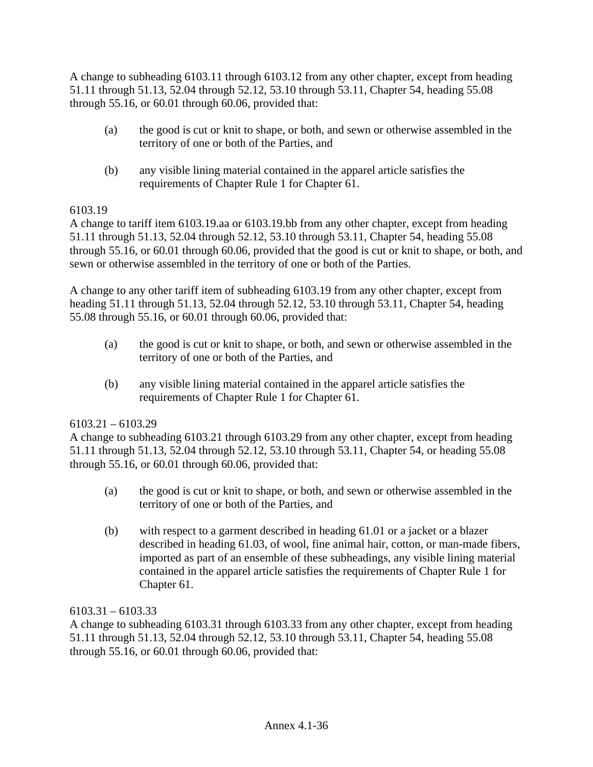A change to subheading 6103.11 through 6103.12 from any other chapter, except from heading 51.11 through 51.13, 52.04 through 52.12, 53.10 through 53.11, Chapter 54, heading 55.08 through 55.16, or 60.01 through 60.06, provided that:

- (a) the good is cut or knit to shape, or both, and sewn or otherwise assembled in the territory of one or both of the Parties, and
- (b) any visible lining material contained in the apparel article satisfies the requirements of Chapter Rule 1 for Chapter 61.

## 6103.19

A change to tariff item 6103.19.aa or 6103.19.bb from any other chapter, except from heading 51.11 through 51.13, 52.04 through 52.12, 53.10 through 53.11, Chapter 54, heading 55.08 through 55.16, or 60.01 through 60.06, provided that the good is cut or knit to shape, or both, and sewn or otherwise assembled in the territory of one or both of the Parties.

A change to any other tariff item of subheading 6103.19 from any other chapter, except from heading 51.11 through 51.13, 52.04 through 52.12, 53.10 through 53.11, Chapter 54, heading 55.08 through 55.16, or 60.01 through 60.06, provided that:

- (a) the good is cut or knit to shape, or both, and sewn or otherwise assembled in the territory of one or both of the Parties, and
- (b) any visible lining material contained in the apparel article satisfies the requirements of Chapter Rule 1 for Chapter 61.

# 6103.21 – 6103.29

A change to subheading 6103.21 through 6103.29 from any other chapter, except from heading 51.11 through 51.13, 52.04 through 52.12, 53.10 through 53.11, Chapter 54, or heading 55.08 through 55.16, or 60.01 through 60.06, provided that:

- (a) the good is cut or knit to shape, or both, and sewn or otherwise assembled in the territory of one or both of the Parties, and
- (b) with respect to a garment described in heading 61.01 or a jacket or a blazer described in heading 61.03, of wool, fine animal hair, cotton, or man-made fibers, imported as part of an ensemble of these subheadings, any visible lining material contained in the apparel article satisfies the requirements of Chapter Rule 1 for Chapter 61.

## 6103.31 – 6103.33

A change to subheading 6103.31 through 6103.33 from any other chapter, except from heading 51.11 through 51.13, 52.04 through 52.12, 53.10 through 53.11, Chapter 54, heading 55.08 through 55.16, or 60.01 through 60.06, provided that: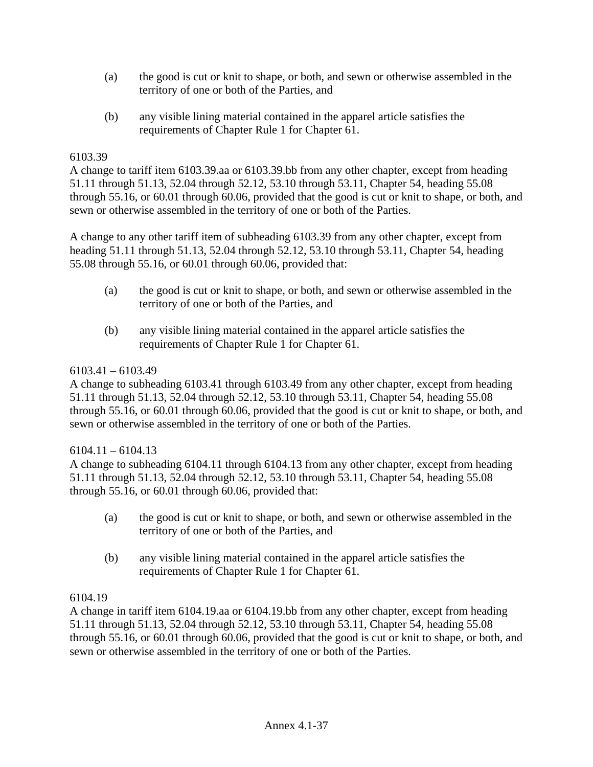- (a) the good is cut or knit to shape, or both, and sewn or otherwise assembled in the territory of one or both of the Parties, and
- (b) any visible lining material contained in the apparel article satisfies the requirements of Chapter Rule 1 for Chapter 61.

### 6103.39

A change to tariff item 6103.39.aa or 6103.39.bb from any other chapter, except from heading 51.11 through 51.13, 52.04 through 52.12, 53.10 through 53.11, Chapter 54, heading 55.08 through 55.16, or 60.01 through 60.06, provided that the good is cut or knit to shape, or both, and sewn or otherwise assembled in the territory of one or both of the Parties.

A change to any other tariff item of subheading 6103.39 from any other chapter, except from heading 51.11 through 51.13, 52.04 through 52.12, 53.10 through 53.11, Chapter 54, heading 55.08 through 55.16, or 60.01 through 60.06, provided that:

- (a) the good is cut or knit to shape, or both, and sewn or otherwise assembled in the territory of one or both of the Parties, and
- (b) any visible lining material contained in the apparel article satisfies the requirements of Chapter Rule 1 for Chapter 61.

### 6103.41 – 6103.49

A change to subheading 6103.41 through 6103.49 from any other chapter, except from heading 51.11 through 51.13, 52.04 through 52.12, 53.10 through 53.11, Chapter 54, heading 55.08 through 55.16, or 60.01 through 60.06, provided that the good is cut or knit to shape, or both, and sewn or otherwise assembled in the territory of one or both of the Parties.

#### $6104.11 - 6104.13$

A change to subheading 6104.11 through 6104.13 from any other chapter, except from heading 51.11 through 51.13, 52.04 through 52.12, 53.10 through 53.11, Chapter 54, heading 55.08 through 55.16, or 60.01 through 60.06, provided that:

- (a) the good is cut or knit to shape, or both, and sewn or otherwise assembled in the territory of one or both of the Parties, and
- (b) any visible lining material contained in the apparel article satisfies the requirements of Chapter Rule 1 for Chapter 61.

#### 6104.19

A change in tariff item 6104.19.aa or 6104.19.bb from any other chapter, except from heading 51.11 through 51.13, 52.04 through 52.12, 53.10 through 53.11, Chapter 54, heading 55.08 through 55.16, or 60.01 through 60.06, provided that the good is cut or knit to shape, or both, and sewn or otherwise assembled in the territory of one or both of the Parties.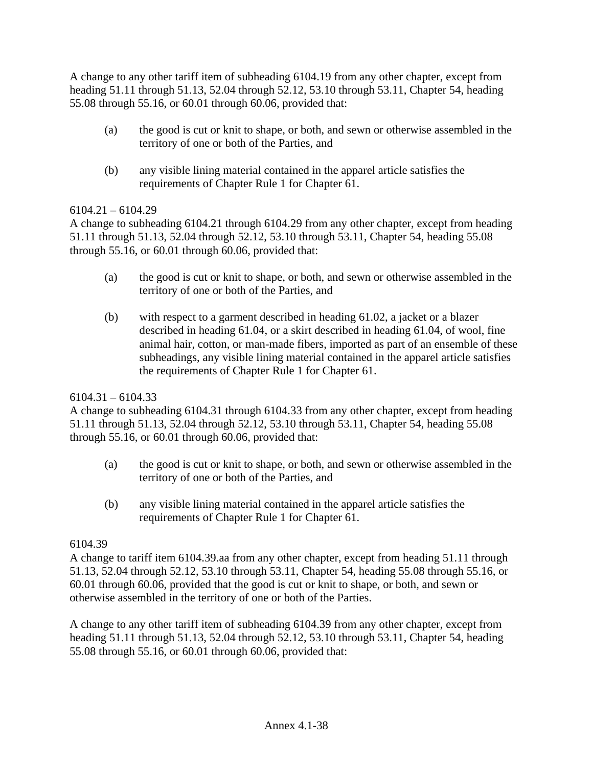A change to any other tariff item of subheading 6104.19 from any other chapter, except from heading 51.11 through 51.13, 52.04 through 52.12, 53.10 through 53.11, Chapter 54, heading 55.08 through 55.16, or 60.01 through 60.06, provided that:

- (a) the good is cut or knit to shape, or both, and sewn or otherwise assembled in the territory of one or both of the Parties, and
- (b) any visible lining material contained in the apparel article satisfies the requirements of Chapter Rule 1 for Chapter 61.

# $6104.21 - 6104.29$

A change to subheading 6104.21 through 6104.29 from any other chapter, except from heading 51.11 through 51.13, 52.04 through 52.12, 53.10 through 53.11, Chapter 54, heading 55.08 through 55.16, or 60.01 through 60.06, provided that:

- (a) the good is cut or knit to shape, or both, and sewn or otherwise assembled in the territory of one or both of the Parties, and
- (b) with respect to a garment described in heading 61.02, a jacket or a blazer described in heading 61.04, or a skirt described in heading 61.04, of wool, fine animal hair, cotton, or man-made fibers, imported as part of an ensemble of these subheadings, any visible lining material contained in the apparel article satisfies the requirements of Chapter Rule 1 for Chapter 61.

# $6104.31 - 6104.33$

A change to subheading 6104.31 through 6104.33 from any other chapter, except from heading 51.11 through 51.13, 52.04 through 52.12, 53.10 through 53.11, Chapter 54, heading 55.08 through 55.16, or 60.01 through 60.06, provided that:

- (a) the good is cut or knit to shape, or both, and sewn or otherwise assembled in the territory of one or both of the Parties, and
- (b) any visible lining material contained in the apparel article satisfies the requirements of Chapter Rule 1 for Chapter 61.

# 6104.39

A change to tariff item 6104.39.aa from any other chapter, except from heading 51.11 through 51.13, 52.04 through 52.12, 53.10 through 53.11, Chapter 54, heading 55.08 through 55.16, or 60.01 through 60.06, provided that the good is cut or knit to shape, or both, and sewn or otherwise assembled in the territory of one or both of the Parties.

A change to any other tariff item of subheading 6104.39 from any other chapter, except from heading 51.11 through 51.13, 52.04 through 52.12, 53.10 through 53.11, Chapter 54, heading 55.08 through 55.16, or 60.01 through 60.06, provided that: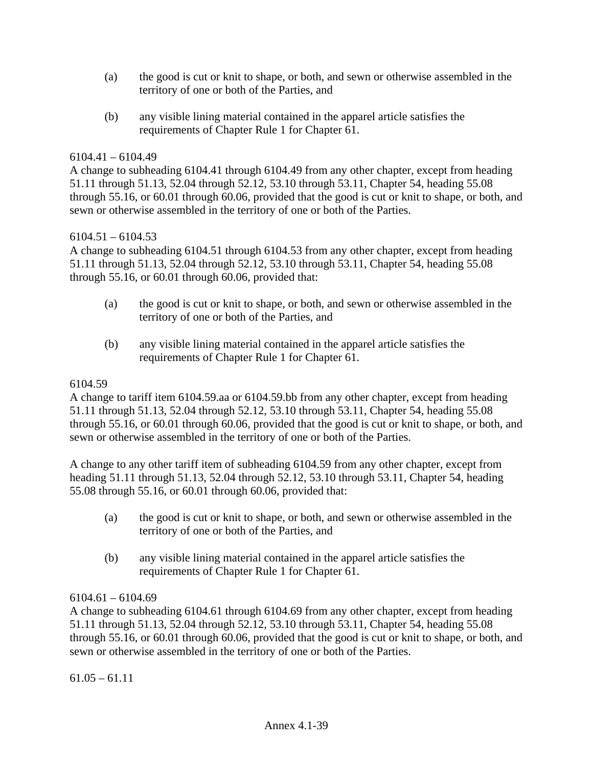- (a) the good is cut or knit to shape, or both, and sewn or otherwise assembled in the territory of one or both of the Parties, and
- (b) any visible lining material contained in the apparel article satisfies the requirements of Chapter Rule 1 for Chapter 61.

### 6104.41 – 6104.49

A change to subheading 6104.41 through 6104.49 from any other chapter, except from heading 51.11 through 51.13, 52.04 through 52.12, 53.10 through 53.11, Chapter 54, heading 55.08 through 55.16, or 60.01 through 60.06, provided that the good is cut or knit to shape, or both, and sewn or otherwise assembled in the territory of one or both of the Parties.

#### $6104.51 - 6104.53$

A change to subheading 6104.51 through 6104.53 from any other chapter, except from heading 51.11 through 51.13, 52.04 through 52.12, 53.10 through 53.11, Chapter 54, heading 55.08 through 55.16, or 60.01 through 60.06, provided that:

- (a) the good is cut or knit to shape, or both, and sewn or otherwise assembled in the territory of one or both of the Parties, and
- (b) any visible lining material contained in the apparel article satisfies the requirements of Chapter Rule 1 for Chapter 61.

#### 6104.59

A change to tariff item 6104.59.aa or 6104.59.bb from any other chapter, except from heading 51.11 through 51.13, 52.04 through 52.12, 53.10 through 53.11, Chapter 54, heading 55.08 through 55.16, or 60.01 through 60.06, provided that the good is cut or knit to shape, or both, and sewn or otherwise assembled in the territory of one or both of the Parties.

A change to any other tariff item of subheading 6104.59 from any other chapter, except from heading 51.11 through 51.13, 52.04 through 52.12, 53.10 through 53.11, Chapter 54, heading 55.08 through 55.16, or 60.01 through 60.06, provided that:

- (a) the good is cut or knit to shape, or both, and sewn or otherwise assembled in the territory of one or both of the Parties, and
- (b) any visible lining material contained in the apparel article satisfies the requirements of Chapter Rule 1 for Chapter 61.

#### 6104.61 – 6104.69

A change to subheading 6104.61 through 6104.69 from any other chapter, except from heading 51.11 through 51.13, 52.04 through 52.12, 53.10 through 53.11, Chapter 54, heading 55.08 through 55.16, or 60.01 through 60.06, provided that the good is cut or knit to shape, or both, and sewn or otherwise assembled in the territory of one or both of the Parties.

 $61.05 - 61.11$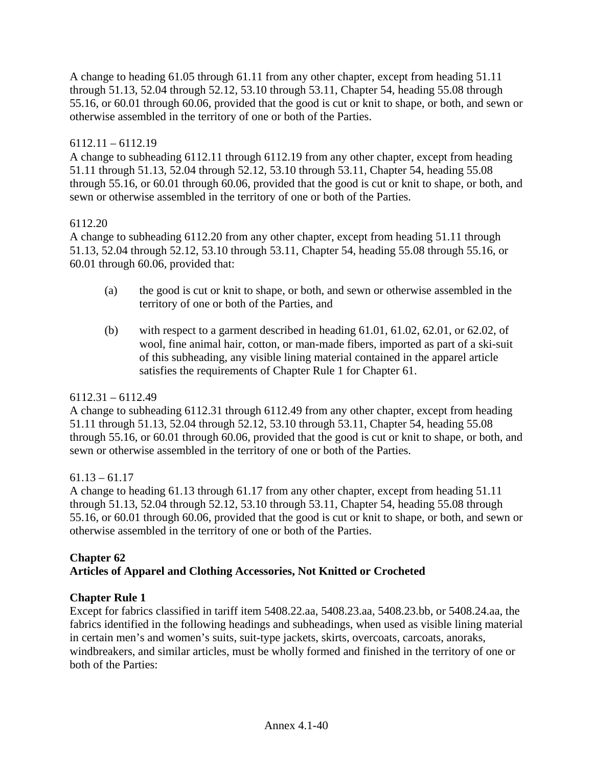A change to heading 61.05 through 61.11 from any other chapter, except from heading 51.11 through 51.13, 52.04 through 52.12, 53.10 through 53.11, Chapter 54, heading 55.08 through 55.16, or 60.01 through 60.06, provided that the good is cut or knit to shape, or both, and sewn or otherwise assembled in the territory of one or both of the Parties.

# 6112.11 – 6112.19

A change to subheading 6112.11 through 6112.19 from any other chapter, except from heading 51.11 through 51.13, 52.04 through 52.12, 53.10 through 53.11, Chapter 54, heading 55.08 through 55.16, or 60.01 through 60.06, provided that the good is cut or knit to shape, or both, and sewn or otherwise assembled in the territory of one or both of the Parties.

# 6112.20

A change to subheading 6112.20 from any other chapter, except from heading 51.11 through 51.13, 52.04 through 52.12, 53.10 through 53.11, Chapter 54, heading 55.08 through 55.16, or 60.01 through 60.06, provided that:

- (a) the good is cut or knit to shape, or both, and sewn or otherwise assembled in the territory of one or both of the Parties, and
- (b) with respect to a garment described in heading 61.01, 61.02, 62.01, or 62.02, of wool, fine animal hair, cotton, or man-made fibers, imported as part of a ski-suit of this subheading, any visible lining material contained in the apparel article satisfies the requirements of Chapter Rule 1 for Chapter 61.

# 6112.31 – 6112.49

A change to subheading 6112.31 through 6112.49 from any other chapter, except from heading 51.11 through 51.13, 52.04 through 52.12, 53.10 through 53.11, Chapter 54, heading 55.08 through 55.16, or 60.01 through 60.06, provided that the good is cut or knit to shape, or both, and sewn or otherwise assembled in the territory of one or both of the Parties.

# $61.13 - 61.17$

A change to heading 61.13 through 61.17 from any other chapter, except from heading 51.11 through 51.13, 52.04 through 52.12, 53.10 through 53.11, Chapter 54, heading 55.08 through 55.16, or 60.01 through 60.06, provided that the good is cut or knit to shape, or both, and sewn or otherwise assembled in the territory of one or both of the Parties.

# **Chapter 62 Articles of Apparel and Clothing Accessories, Not Knitted or Crocheted**

# **Chapter Rule 1**

Except for fabrics classified in tariff item 5408.22.aa, 5408.23.aa, 5408.23.bb, or 5408.24.aa, the fabrics identified in the following headings and subheadings, when used as visible lining material in certain men's and women's suits, suit-type jackets, skirts, overcoats, carcoats, anoraks, windbreakers, and similar articles, must be wholly formed and finished in the territory of one or both of the Parties: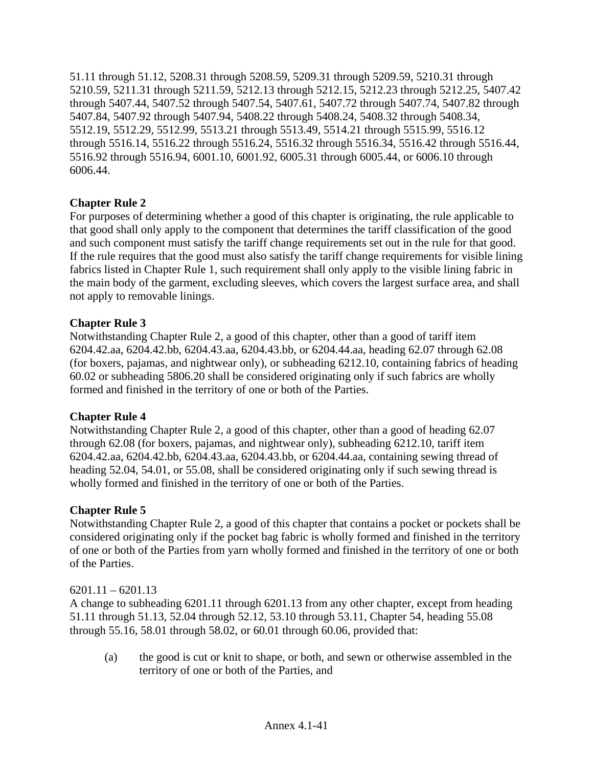51.11 through 51.12, 5208.31 through 5208.59, 5209.31 through 5209.59, 5210.31 through 5210.59, 5211.31 through 5211.59, 5212.13 through 5212.15, 5212.23 through 5212.25, 5407.42 through 5407.44, 5407.52 through 5407.54, 5407.61, 5407.72 through 5407.74, 5407.82 through 5407.84, 5407.92 through 5407.94, 5408.22 through 5408.24, 5408.32 through 5408.34, 5512.19, 5512.29, 5512.99, 5513.21 through 5513.49, 5514.21 through 5515.99, 5516.12 through 5516.14, 5516.22 through 5516.24, 5516.32 through 5516.34, 5516.42 through 5516.44, 5516.92 through 5516.94, 6001.10, 6001.92, 6005.31 through 6005.44, or 6006.10 through 6006.44.

# **Chapter Rule 2**

For purposes of determining whether a good of this chapter is originating, the rule applicable to that good shall only apply to the component that determines the tariff classification of the good and such component must satisfy the tariff change requirements set out in the rule for that good. If the rule requires that the good must also satisfy the tariff change requirements for visible lining fabrics listed in Chapter Rule 1, such requirement shall only apply to the visible lining fabric in the main body of the garment, excluding sleeves, which covers the largest surface area, and shall not apply to removable linings.

# **Chapter Rule 3**

Notwithstanding Chapter Rule 2, a good of this chapter, other than a good of tariff item 6204.42.aa, 6204.42.bb, 6204.43.aa, 6204.43.bb, or 6204.44.aa, heading 62.07 through 62.08 (for boxers, pajamas, and nightwear only), or subheading 6212.10, containing fabrics of heading 60.02 or subheading 5806.20 shall be considered originating only if such fabrics are wholly formed and finished in the territory of one or both of the Parties.

# **Chapter Rule 4**

Notwithstanding Chapter Rule 2, a good of this chapter, other than a good of heading 62.07 through 62.08 (for boxers, pajamas, and nightwear only), subheading 6212.10, tariff item 6204.42.aa, 6204.42.bb, 6204.43.aa, 6204.43.bb, or 6204.44.aa, containing sewing thread of heading 52.04, 54.01, or 55.08, shall be considered originating only if such sewing thread is wholly formed and finished in the territory of one or both of the Parties.

# **Chapter Rule 5**

Notwithstanding Chapter Rule 2, a good of this chapter that contains a pocket or pockets shall be considered originating only if the pocket bag fabric is wholly formed and finished in the territory of one or both of the Parties from yarn wholly formed and finished in the territory of one or both of the Parties.

#### $6201.11 - 6201.13$

A change to subheading 6201.11 through 6201.13 from any other chapter, except from heading 51.11 through 51.13, 52.04 through 52.12, 53.10 through 53.11, Chapter 54, heading 55.08 through 55.16, 58.01 through 58.02, or 60.01 through 60.06, provided that:

(a) the good is cut or knit to shape, or both, and sewn or otherwise assembled in the territory of one or both of the Parties, and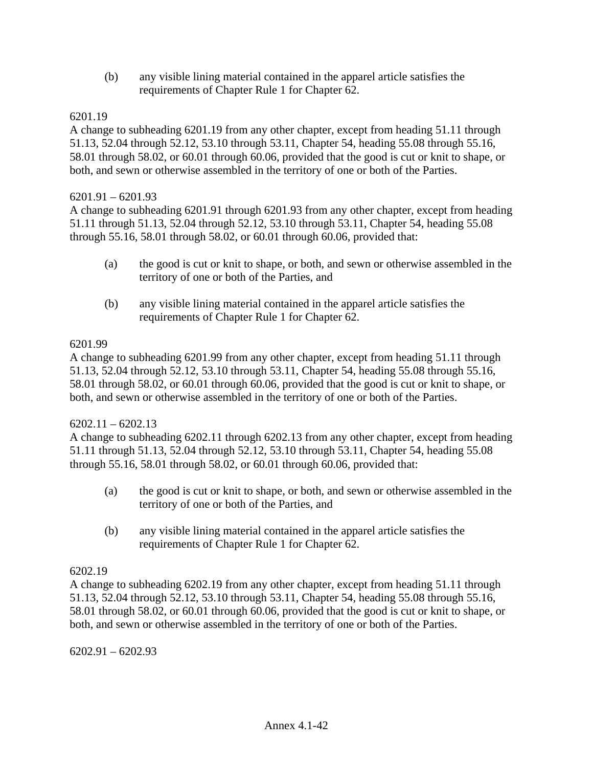(b) any visible lining material contained in the apparel article satisfies the requirements of Chapter Rule 1 for Chapter 62.

### 6201.19

A change to subheading 6201.19 from any other chapter, except from heading 51.11 through 51.13, 52.04 through 52.12, 53.10 through 53.11, Chapter 54, heading 55.08 through 55.16, 58.01 through 58.02, or 60.01 through 60.06, provided that the good is cut or knit to shape, or both, and sewn or otherwise assembled in the territory of one or both of the Parties.

#### $6201.91 - 6201.93$

A change to subheading 6201.91 through 6201.93 from any other chapter, except from heading 51.11 through 51.13, 52.04 through 52.12, 53.10 through 53.11, Chapter 54, heading 55.08 through 55.16, 58.01 through 58.02, or 60.01 through 60.06, provided that:

- (a) the good is cut or knit to shape, or both, and sewn or otherwise assembled in the territory of one or both of the Parties, and
- (b) any visible lining material contained in the apparel article satisfies the requirements of Chapter Rule 1 for Chapter 62.

### 6201.99

A change to subheading 6201.99 from any other chapter, except from heading 51.11 through 51.13, 52.04 through 52.12, 53.10 through 53.11, Chapter 54, heading 55.08 through 55.16, 58.01 through 58.02, or 60.01 through 60.06, provided that the good is cut or knit to shape, or both, and sewn or otherwise assembled in the territory of one or both of the Parties.

#### $6202.11 - 6202.13$

A change to subheading 6202.11 through 6202.13 from any other chapter, except from heading 51.11 through 51.13, 52.04 through 52.12, 53.10 through 53.11, Chapter 54, heading 55.08 through 55.16, 58.01 through 58.02, or 60.01 through 60.06, provided that:

- (a) the good is cut or knit to shape, or both, and sewn or otherwise assembled in the territory of one or both of the Parties, and
- (b) any visible lining material contained in the apparel article satisfies the requirements of Chapter Rule 1 for Chapter 62.

# 6202.19

A change to subheading 6202.19 from any other chapter, except from heading 51.11 through 51.13, 52.04 through 52.12, 53.10 through 53.11, Chapter 54, heading 55.08 through 55.16, 58.01 through 58.02, or 60.01 through 60.06, provided that the good is cut or knit to shape, or both, and sewn or otherwise assembled in the territory of one or both of the Parties.

6202.91 – 6202.93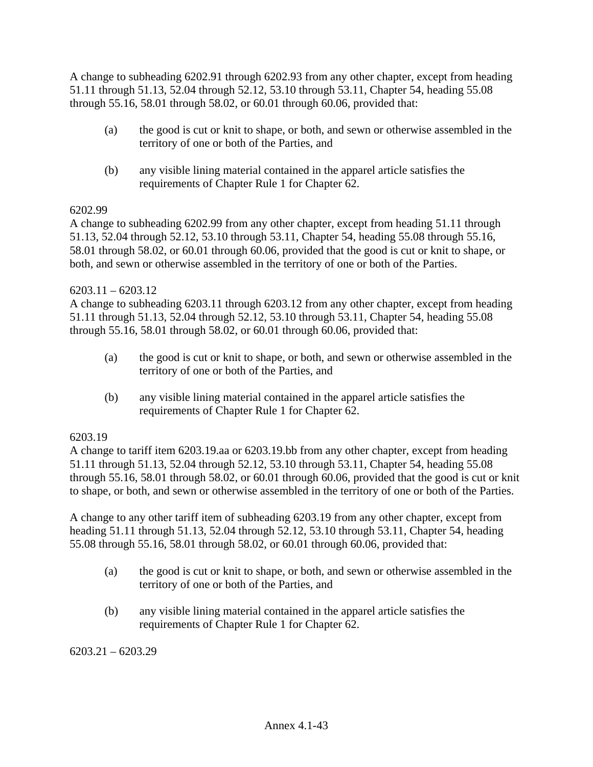A change to subheading 6202.91 through 6202.93 from any other chapter, except from heading 51.11 through 51.13, 52.04 through 52.12, 53.10 through 53.11, Chapter 54, heading 55.08 through 55.16, 58.01 through 58.02, or 60.01 through 60.06, provided that:

- (a) the good is cut or knit to shape, or both, and sewn or otherwise assembled in the territory of one or both of the Parties, and
- (b) any visible lining material contained in the apparel article satisfies the requirements of Chapter Rule 1 for Chapter 62.

# 6202.99

A change to subheading 6202.99 from any other chapter, except from heading 51.11 through 51.13, 52.04 through 52.12, 53.10 through 53.11, Chapter 54, heading 55.08 through 55.16, 58.01 through 58.02, or 60.01 through 60.06, provided that the good is cut or knit to shape, or both, and sewn or otherwise assembled in the territory of one or both of the Parties.

# $6203.11 - 6203.12$

A change to subheading 6203.11 through 6203.12 from any other chapter, except from heading 51.11 through 51.13, 52.04 through 52.12, 53.10 through 53.11, Chapter 54, heading 55.08 through 55.16, 58.01 through 58.02, or 60.01 through 60.06, provided that:

- (a) the good is cut or knit to shape, or both, and sewn or otherwise assembled in the territory of one or both of the Parties, and
- (b) any visible lining material contained in the apparel article satisfies the requirements of Chapter Rule 1 for Chapter 62.

# 6203.19

A change to tariff item 6203.19.aa or 6203.19.bb from any other chapter, except from heading 51.11 through 51.13, 52.04 through 52.12, 53.10 through 53.11, Chapter 54, heading 55.08 through 55.16, 58.01 through 58.02, or 60.01 through 60.06, provided that the good is cut or knit to shape, or both, and sewn or otherwise assembled in the territory of one or both of the Parties.

A change to any other tariff item of subheading 6203.19 from any other chapter, except from heading 51.11 through 51.13, 52.04 through 52.12, 53.10 through 53.11, Chapter 54, heading 55.08 through 55.16, 58.01 through 58.02, or 60.01 through 60.06, provided that:

- (a) the good is cut or knit to shape, or both, and sewn or otherwise assembled in the territory of one or both of the Parties, and
- (b) any visible lining material contained in the apparel article satisfies the requirements of Chapter Rule 1 for Chapter 62.

 $6203.21 - 6203.29$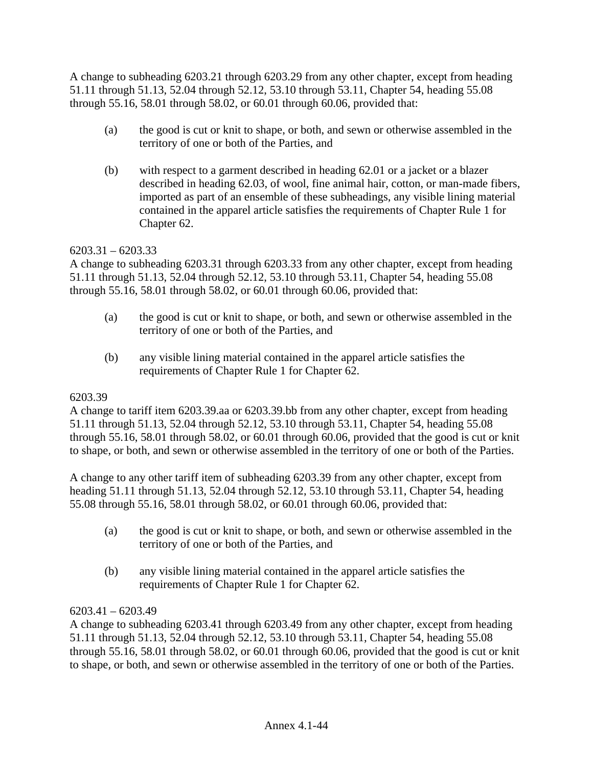A change to subheading 6203.21 through 6203.29 from any other chapter, except from heading 51.11 through 51.13, 52.04 through 52.12, 53.10 through 53.11, Chapter 54, heading 55.08 through 55.16, 58.01 through 58.02, or 60.01 through 60.06, provided that:

- (a) the good is cut or knit to shape, or both, and sewn or otherwise assembled in the territory of one or both of the Parties, and
- (b) with respect to a garment described in heading 62.01 or a jacket or a blazer described in heading 62.03, of wool, fine animal hair, cotton, or man-made fibers, imported as part of an ensemble of these subheadings, any visible lining material contained in the apparel article satisfies the requirements of Chapter Rule 1 for Chapter 62.

# $6203.31 - 6203.33$

A change to subheading 6203.31 through 6203.33 from any other chapter, except from heading 51.11 through 51.13, 52.04 through 52.12, 53.10 through 53.11, Chapter 54, heading 55.08 through 55.16, 58.01 through 58.02, or 60.01 through 60.06, provided that:

- (a) the good is cut or knit to shape, or both, and sewn or otherwise assembled in the territory of one or both of the Parties, and
- (b) any visible lining material contained in the apparel article satisfies the requirements of Chapter Rule 1 for Chapter 62.

# 6203.39

A change to tariff item 6203.39.aa or 6203.39.bb from any other chapter, except from heading 51.11 through 51.13, 52.04 through 52.12, 53.10 through 53.11, Chapter 54, heading 55.08 through 55.16, 58.01 through 58.02, or 60.01 through 60.06, provided that the good is cut or knit to shape, or both, and sewn or otherwise assembled in the territory of one or both of the Parties.

A change to any other tariff item of subheading 6203.39 from any other chapter, except from heading 51.11 through 51.13, 52.04 through 52.12, 53.10 through 53.11, Chapter 54, heading 55.08 through 55.16, 58.01 through 58.02, or 60.01 through 60.06, provided that:

- (a) the good is cut or knit to shape, or both, and sewn or otherwise assembled in the territory of one or both of the Parties, and
- (b) any visible lining material contained in the apparel article satisfies the requirements of Chapter Rule 1 for Chapter 62.

# $6203.41 - 6203.49$

A change to subheading 6203.41 through 6203.49 from any other chapter, except from heading 51.11 through 51.13, 52.04 through 52.12, 53.10 through 53.11, Chapter 54, heading 55.08 through 55.16, 58.01 through 58.02, or 60.01 through 60.06, provided that the good is cut or knit to shape, or both, and sewn or otherwise assembled in the territory of one or both of the Parties.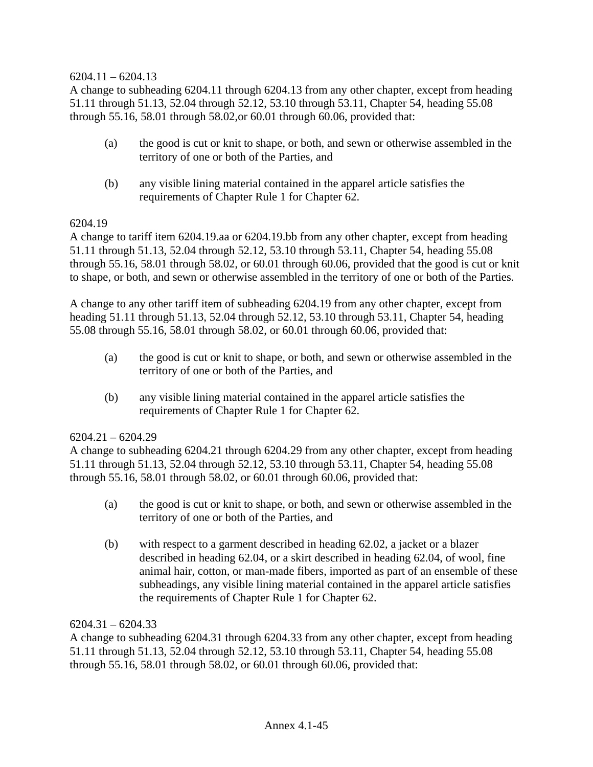### $6204.11 - 6204.13$

A change to subheading 6204.11 through 6204.13 from any other chapter, except from heading 51.11 through 51.13, 52.04 through 52.12, 53.10 through 53.11, Chapter 54, heading 55.08 through 55.16, 58.01 through 58.02,or 60.01 through 60.06, provided that:

- (a) the good is cut or knit to shape, or both, and sewn or otherwise assembled in the territory of one or both of the Parties, and
- (b) any visible lining material contained in the apparel article satisfies the requirements of Chapter Rule 1 for Chapter 62.

#### 6204.19

A change to tariff item 6204.19.aa or 6204.19.bb from any other chapter, except from heading 51.11 through 51.13, 52.04 through 52.12, 53.10 through 53.11, Chapter 54, heading 55.08 through 55.16, 58.01 through 58.02, or 60.01 through 60.06, provided that the good is cut or knit to shape, or both, and sewn or otherwise assembled in the territory of one or both of the Parties.

A change to any other tariff item of subheading 6204.19 from any other chapter, except from heading 51.11 through 51.13, 52.04 through 52.12, 53.10 through 53.11, Chapter 54, heading 55.08 through 55.16, 58.01 through 58.02, or 60.01 through 60.06, provided that:

- (a) the good is cut or knit to shape, or both, and sewn or otherwise assembled in the territory of one or both of the Parties, and
- (b) any visible lining material contained in the apparel article satisfies the requirements of Chapter Rule 1 for Chapter 62.

### $6204.21 - 6204.29$

A change to subheading 6204.21 through 6204.29 from any other chapter, except from heading 51.11 through 51.13, 52.04 through 52.12, 53.10 through 53.11, Chapter 54, heading 55.08 through 55.16, 58.01 through 58.02, or 60.01 through 60.06, provided that:

- (a) the good is cut or knit to shape, or both, and sewn or otherwise assembled in the territory of one or both of the Parties, and
- (b) with respect to a garment described in heading 62.02, a jacket or a blazer described in heading 62.04, or a skirt described in heading 62.04, of wool, fine animal hair, cotton, or man-made fibers, imported as part of an ensemble of these subheadings, any visible lining material contained in the apparel article satisfies the requirements of Chapter Rule 1 for Chapter 62.

#### $6204.31 - 6204.33$

A change to subheading 6204.31 through 6204.33 from any other chapter, except from heading 51.11 through 51.13, 52.04 through 52.12, 53.10 through 53.11, Chapter 54, heading 55.08 through 55.16, 58.01 through 58.02, or 60.01 through 60.06, provided that: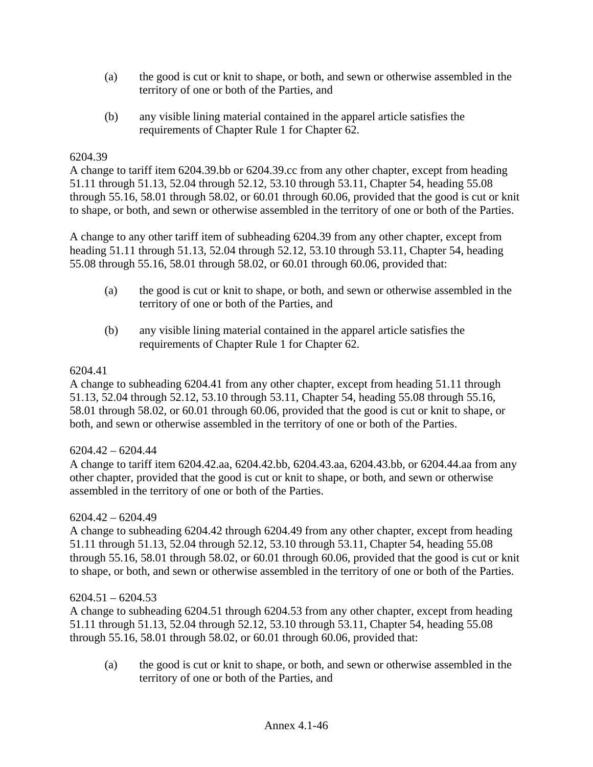- (a) the good is cut or knit to shape, or both, and sewn or otherwise assembled in the territory of one or both of the Parties, and
- (b) any visible lining material contained in the apparel article satisfies the requirements of Chapter Rule 1 for Chapter 62.

#### 6204.39

A change to tariff item 6204.39.bb or 6204.39.cc from any other chapter, except from heading 51.11 through 51.13, 52.04 through 52.12, 53.10 through 53.11, Chapter 54, heading 55.08 through 55.16, 58.01 through 58.02, or 60.01 through 60.06, provided that the good is cut or knit to shape, or both, and sewn or otherwise assembled in the territory of one or both of the Parties.

A change to any other tariff item of subheading 6204.39 from any other chapter, except from heading 51.11 through 51.13, 52.04 through 52.12, 53.10 through 53.11, Chapter 54, heading 55.08 through 55.16, 58.01 through 58.02, or 60.01 through 60.06, provided that:

- (a) the good is cut or knit to shape, or both, and sewn or otherwise assembled in the territory of one or both of the Parties, and
- (b) any visible lining material contained in the apparel article satisfies the requirements of Chapter Rule 1 for Chapter 62.

### 6204.41

A change to subheading 6204.41 from any other chapter, except from heading 51.11 through 51.13, 52.04 through 52.12, 53.10 through 53.11, Chapter 54, heading 55.08 through 55.16, 58.01 through 58.02, or 60.01 through 60.06, provided that the good is cut or knit to shape, or both, and sewn or otherwise assembled in the territory of one or both of the Parties.

# 6204.42 – 6204.44

A change to tariff item 6204.42.aa, 6204.42.bb, 6204.43.aa, 6204.43.bb, or 6204.44.aa from any other chapter, provided that the good is cut or knit to shape, or both, and sewn or otherwise assembled in the territory of one or both of the Parties.

#### 6204.42 – 6204.49

A change to subheading 6204.42 through 6204.49 from any other chapter, except from heading 51.11 through 51.13, 52.04 through 52.12, 53.10 through 53.11, Chapter 54, heading 55.08 through 55.16, 58.01 through 58.02, or 60.01 through 60.06, provided that the good is cut or knit to shape, or both, and sewn or otherwise assembled in the territory of one or both of the Parties.

#### $6204.51 - 6204.53$

A change to subheading 6204.51 through 6204.53 from any other chapter, except from heading 51.11 through 51.13, 52.04 through 52.12, 53.10 through 53.11, Chapter 54, heading 55.08 through 55.16, 58.01 through 58.02, or 60.01 through 60.06, provided that:

(a) the good is cut or knit to shape, or both, and sewn or otherwise assembled in the territory of one or both of the Parties, and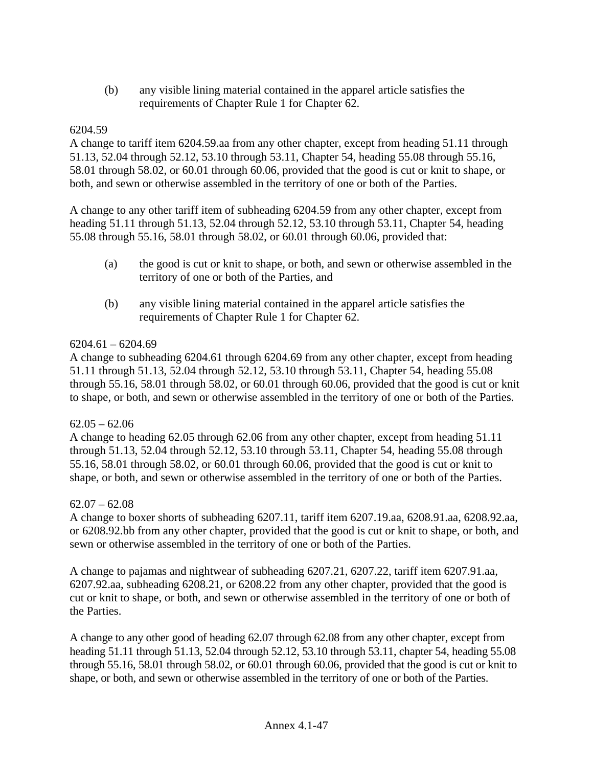(b) any visible lining material contained in the apparel article satisfies the requirements of Chapter Rule 1 for Chapter 62.

# 6204.59

A change to tariff item 6204.59.aa from any other chapter, except from heading 51.11 through 51.13, 52.04 through 52.12, 53.10 through 53.11, Chapter 54, heading 55.08 through 55.16, 58.01 through 58.02, or 60.01 through 60.06, provided that the good is cut or knit to shape, or both, and sewn or otherwise assembled in the territory of one or both of the Parties.

A change to any other tariff item of subheading 6204.59 from any other chapter, except from heading 51.11 through 51.13, 52.04 through 52.12, 53.10 through 53.11, Chapter 54, heading 55.08 through 55.16, 58.01 through 58.02, or 60.01 through 60.06, provided that:

- (a) the good is cut or knit to shape, or both, and sewn or otherwise assembled in the territory of one or both of the Parties, and
- (b) any visible lining material contained in the apparel article satisfies the requirements of Chapter Rule 1 for Chapter 62.

# $6204.61 - 6204.69$

A change to subheading 6204.61 through 6204.69 from any other chapter, except from heading 51.11 through 51.13, 52.04 through 52.12, 53.10 through 53.11, Chapter 54, heading 55.08 through 55.16, 58.01 through 58.02, or 60.01 through 60.06, provided that the good is cut or knit to shape, or both, and sewn or otherwise assembled in the territory of one or both of the Parties.

# $62.05 - 62.06$

A change to heading 62.05 through 62.06 from any other chapter, except from heading 51.11 through 51.13, 52.04 through 52.12, 53.10 through 53.11, Chapter 54, heading 55.08 through 55.16, 58.01 through 58.02, or 60.01 through 60.06, provided that the good is cut or knit to shape, or both, and sewn or otherwise assembled in the territory of one or both of the Parties.

# $62.07 - 62.08$

A change to boxer shorts of subheading 6207.11, tariff item 6207.19.aa, 6208.91.aa, 6208.92.aa, or 6208.92.bb from any other chapter, provided that the good is cut or knit to shape, or both, and sewn or otherwise assembled in the territory of one or both of the Parties.

A change to pajamas and nightwear of subheading 6207.21, 6207.22, tariff item 6207.91.aa, 6207.92.aa, subheading 6208.21, or 6208.22 from any other chapter, provided that the good is cut or knit to shape, or both, and sewn or otherwise assembled in the territory of one or both of the Parties.

A change to any other good of heading 62.07 through 62.08 from any other chapter, except from heading 51.11 through 51.13, 52.04 through 52.12, 53.10 through 53.11, chapter 54, heading 55.08 through 55.16, 58.01 through 58.02, or 60.01 through 60.06, provided that the good is cut or knit to shape, or both, and sewn or otherwise assembled in the territory of one or both of the Parties.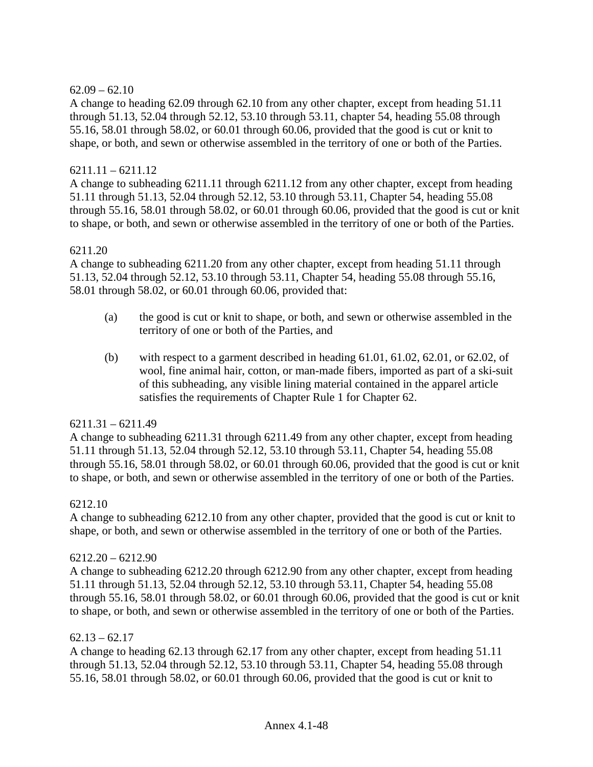### $62.09 - 62.10$

A change to heading 62.09 through 62.10 from any other chapter, except from heading 51.11 through 51.13, 52.04 through 52.12, 53.10 through 53.11, chapter 54, heading 55.08 through 55.16, 58.01 through 58.02, or 60.01 through 60.06, provided that the good is cut or knit to shape, or both, and sewn or otherwise assembled in the territory of one or both of the Parties.

#### $6211.11 - 6211.12$

A change to subheading 6211.11 through 6211.12 from any other chapter, except from heading 51.11 through 51.13, 52.04 through 52.12, 53.10 through 53.11, Chapter 54, heading 55.08 through 55.16, 58.01 through 58.02, or 60.01 through 60.06, provided that the good is cut or knit to shape, or both, and sewn or otherwise assembled in the territory of one or both of the Parties.

#### 6211.20

A change to subheading 6211.20 from any other chapter, except from heading 51.11 through 51.13, 52.04 through 52.12, 53.10 through 53.11, Chapter 54, heading 55.08 through 55.16, 58.01 through 58.02, or 60.01 through 60.06, provided that:

- (a) the good is cut or knit to shape, or both, and sewn or otherwise assembled in the territory of one or both of the Parties, and
- (b) with respect to a garment described in heading  $61.01, 61.02, 62.01$ , or  $62.02$ , of wool, fine animal hair, cotton, or man-made fibers, imported as part of a ski-suit of this subheading, any visible lining material contained in the apparel article satisfies the requirements of Chapter Rule 1 for Chapter 62.

#### $6211.31 - 6211.49$

A change to subheading 6211.31 through 6211.49 from any other chapter, except from heading 51.11 through 51.13, 52.04 through 52.12, 53.10 through 53.11, Chapter 54, heading 55.08 through 55.16, 58.01 through 58.02, or 60.01 through 60.06, provided that the good is cut or knit to shape, or both, and sewn or otherwise assembled in the territory of one or both of the Parties.

#### 6212.10

A change to subheading 6212.10 from any other chapter, provided that the good is cut or knit to shape, or both, and sewn or otherwise assembled in the territory of one or both of the Parties.

#### $6212.20 - 6212.90$

A change to subheading 6212.20 through 6212.90 from any other chapter, except from heading 51.11 through 51.13, 52.04 through 52.12, 53.10 through 53.11, Chapter 54, heading 55.08 through 55.16, 58.01 through 58.02, or 60.01 through 60.06, provided that the good is cut or knit to shape, or both, and sewn or otherwise assembled in the territory of one or both of the Parties.

#### $62.13 - 62.17$

A change to heading 62.13 through 62.17 from any other chapter, except from heading 51.11 through 51.13, 52.04 through 52.12, 53.10 through 53.11, Chapter 54, heading 55.08 through 55.16, 58.01 through 58.02, or 60.01 through 60.06, provided that the good is cut or knit to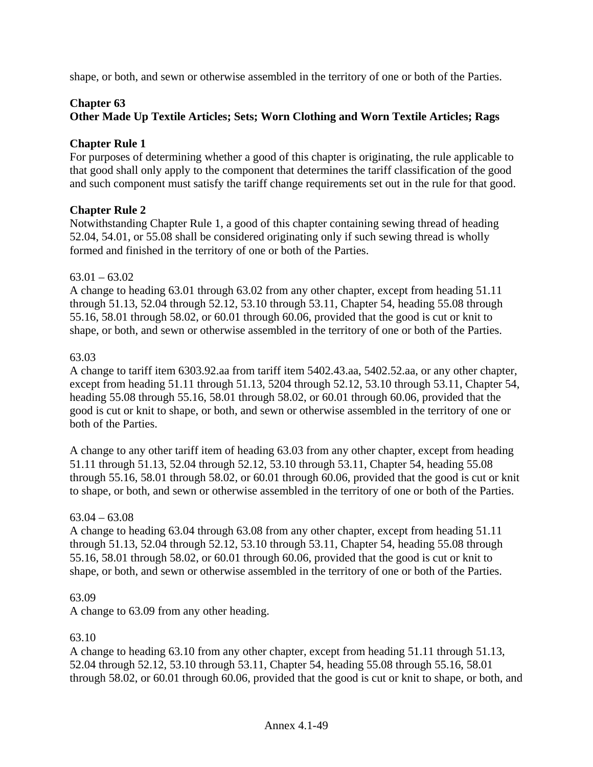shape, or both, and sewn or otherwise assembled in the territory of one or both of the Parties.

### **Chapter 63**

# **Other Made Up Textile Articles; Sets; Worn Clothing and Worn Textile Articles; Rags**

### **Chapter Rule 1**

For purposes of determining whether a good of this chapter is originating, the rule applicable to that good shall only apply to the component that determines the tariff classification of the good and such component must satisfy the tariff change requirements set out in the rule for that good.

### **Chapter Rule 2**

Notwithstanding Chapter Rule 1, a good of this chapter containing sewing thread of heading 52.04, 54.01, or 55.08 shall be considered originating only if such sewing thread is wholly formed and finished in the territory of one or both of the Parties.

#### $63.01 - 63.02$

A change to heading 63.01 through 63.02 from any other chapter, except from heading 51.11 through 51.13, 52.04 through 52.12, 53.10 through 53.11, Chapter 54, heading 55.08 through 55.16, 58.01 through 58.02, or 60.01 through 60.06, provided that the good is cut or knit to shape, or both, and sewn or otherwise assembled in the territory of one or both of the Parties.

### 63.03

A change to tariff item 6303.92.aa from tariff item 5402.43.aa, 5402.52.aa, or any other chapter, except from heading 51.11 through 51.13, 5204 through 52.12, 53.10 through 53.11, Chapter 54, heading 55.08 through 55.16, 58.01 through 58.02, or 60.01 through 60.06, provided that the good is cut or knit to shape, or both, and sewn or otherwise assembled in the territory of one or both of the Parties.

A change to any other tariff item of heading 63.03 from any other chapter, except from heading 51.11 through 51.13, 52.04 through 52.12, 53.10 through 53.11, Chapter 54, heading 55.08 through 55.16, 58.01 through 58.02, or 60.01 through 60.06, provided that the good is cut or knit to shape, or both, and sewn or otherwise assembled in the territory of one or both of the Parties.

#### $63.04 - 63.08$

A change to heading 63.04 through 63.08 from any other chapter, except from heading 51.11 through 51.13, 52.04 through 52.12, 53.10 through 53.11, Chapter 54, heading 55.08 through 55.16, 58.01 through 58.02, or 60.01 through 60.06, provided that the good is cut or knit to shape, or both, and sewn or otherwise assembled in the territory of one or both of the Parties.

#### 63.09

A change to 63.09 from any other heading.

#### 63.10

A change to heading 63.10 from any other chapter, except from heading 51.11 through 51.13, 52.04 through 52.12, 53.10 through 53.11, Chapter 54, heading 55.08 through 55.16, 58.01 through 58.02, or 60.01 through 60.06, provided that the good is cut or knit to shape, or both, and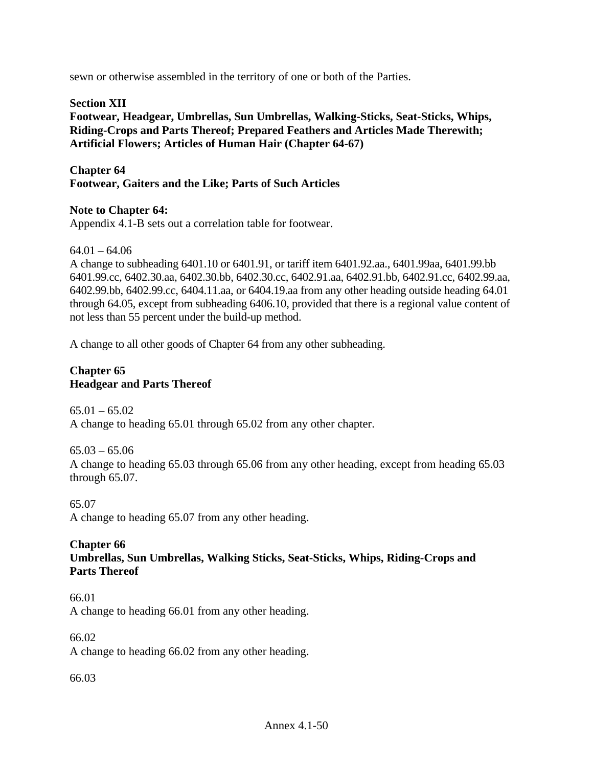sewn or otherwise assembled in the territory of one or both of the Parties.

# **Section XII**

**Footwear, Headgear, Umbrellas, Sun Umbrellas, Walking-Sticks, Seat-Sticks, Whips, Riding-Crops and Parts Thereof; Prepared Feathers and Articles Made Therewith; Artificial Flowers; Articles of Human Hair (Chapter 64-67)** 

**Chapter 64 Footwear, Gaiters and the Like; Parts of Such Articles** 

### **Note to Chapter 64:**

Appendix 4.1-B sets out a correlation table for footwear.

 $64.01 - 64.06$ 

A change to subheading 6401.10 or 6401.91, or tariff item 6401.92.aa., 6401.99aa, 6401.99.bb 6401.99.cc, 6402.30.aa, 6402.30.bb, 6402.30.cc, 6402.91.aa, 6402.91.bb, 6402.91.cc, 6402.99.aa, 6402.99.bb, 6402.99.cc, 6404.11.aa, or 6404.19.aa from any other heading outside heading 64.01 through 64.05, except from subheading 6406.10, provided that there is a regional value content of not less than 55 percent under the build-up method.

A change to all other goods of Chapter 64 from any other subheading.

#### **Chapter 65 Headgear and Parts Thereof**

 $65.01 - 65.02$ A change to heading 65.01 through 65.02 from any other chapter.

65.03 – 65.06 A change to heading 65.03 through 65.06 from any other heading, except from heading 65.03 through 65.07.

65.07 A change to heading 65.07 from any other heading.

### **Chapter 66 Umbrellas, Sun Umbrellas, Walking Sticks, Seat-Sticks, Whips, Riding-Crops and Parts Thereof**

66.01 A change to heading 66.01 from any other heading.

66.02 A change to heading 66.02 from any other heading.

66.03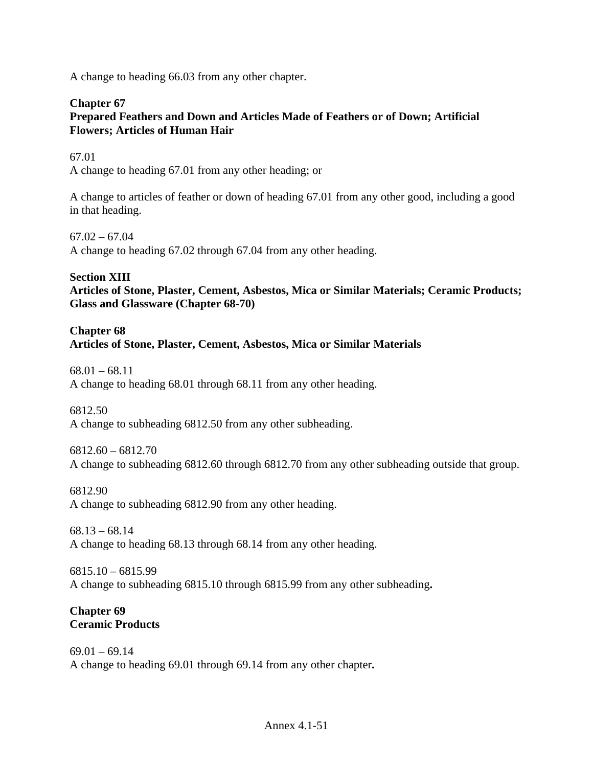A change to heading 66.03 from any other chapter.

#### **Chapter 67 Prepared Feathers and Down and Articles Made of Feathers or of Down; Artificial Flowers; Articles of Human Hair**

67.01 A change to heading 67.01 from any other heading; or

A change to articles of feather or down of heading 67.01 from any other good, including a good in that heading.

 $67.02 - 67.04$ A change to heading 67.02 through 67.04 from any other heading.

**Section XIII Articles of Stone, Plaster, Cement, Asbestos, Mica or Similar Materials; Ceramic Products; Glass and Glassware (Chapter 68-70)** 

# **Chapter 68 Articles of Stone, Plaster, Cement, Asbestos, Mica or Similar Materials**

 $68.01 - 68.11$ A change to heading 68.01 through 68.11 from any other heading.

6812.50 A change to subheading 6812.50 from any other subheading.

6812.60 – 6812.70 A change to subheading 6812.60 through 6812.70 from any other subheading outside that group.

6812.90 A change to subheading 6812.90 from any other heading.

 $68.13 - 68.14$ A change to heading 68.13 through 68.14 from any other heading.

6815.10 – 6815.99 A change to subheading 6815.10 through 6815.99 from any other subheading**.** 

# **Chapter 69 Ceramic Products**

 $69.01 - 69.14$ A change to heading 69.01 through 69.14 from any other chapter**.**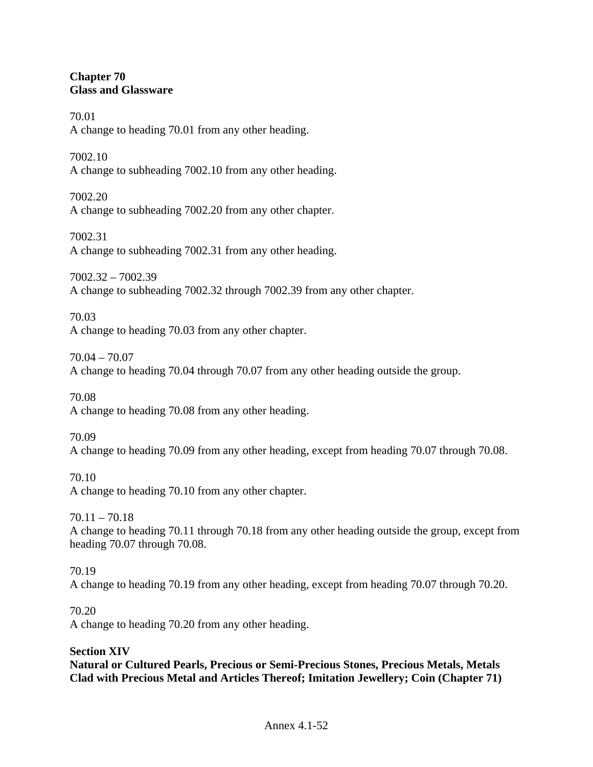### **Chapter 70 Glass and Glassware**

70.01 A change to heading 70.01 from any other heading.

7002.10 A change to subheading 7002.10 from any other heading.

7002.20 A change to subheading 7002.20 from any other chapter.

7002.31 A change to subheading 7002.31 from any other heading.

7002.32 – 7002.39 A change to subheading 7002.32 through 7002.39 from any other chapter.

70.03 A change to heading 70.03 from any other chapter.

70.04 – 70.07 A change to heading 70.04 through 70.07 from any other heading outside the group.

70.08 A change to heading 70.08 from any other heading.

70.09 A change to heading 70.09 from any other heading, except from heading 70.07 through 70.08.

70.10 A change to heading 70.10 from any other chapter.

 $70.11 - 70.18$ A change to heading 70.11 through 70.18 from any other heading outside the group, except from heading 70.07 through 70.08.

70.19 A change to heading 70.19 from any other heading, except from heading 70.07 through 70.20.

70.20

A change to heading 70.20 from any other heading.

# **Section XIV**

**Natural or Cultured Pearls, Precious or Semi-Precious Stones, Precious Metals, Metals Clad with Precious Metal and Articles Thereof; Imitation Jewellery; Coin (Chapter 71)**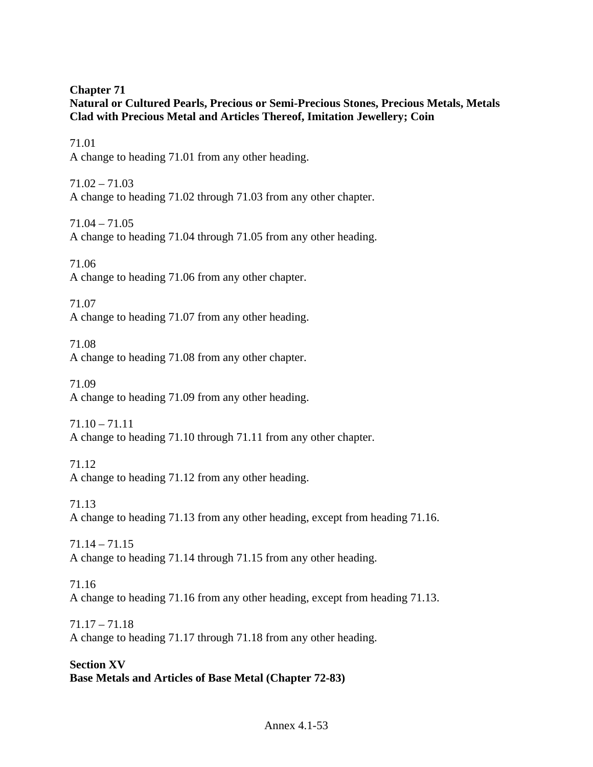# **Chapter 71 Natural or Cultured Pearls, Precious or Semi-Precious Stones, Precious Metals, Metals Clad with Precious Metal and Articles Thereof, Imitation Jewellery; Coin**

71.01 A change to heading 71.01 from any other heading.

 $71.02 - 71.03$ A change to heading 71.02 through 71.03 from any other chapter.

71.04 – 71.05 A change to heading 71.04 through 71.05 from any other heading.

71.06 A change to heading 71.06 from any other chapter.

71.07 A change to heading 71.07 from any other heading.

71.08 A change to heading 71.08 from any other chapter.

71.09 A change to heading 71.09 from any other heading.

71.10 – 71.11 A change to heading 71.10 through 71.11 from any other chapter.

71.12 A change to heading 71.12 from any other heading.

71.13 A change to heading 71.13 from any other heading, except from heading 71.16.

71.14 – 71.15 A change to heading 71.14 through 71.15 from any other heading.

71.16 A change to heading 71.16 from any other heading, except from heading 71.13.

71.17 – 71.18 A change to heading 71.17 through 71.18 from any other heading.

**Section XV Base Metals and Articles of Base Metal (Chapter 72-83)**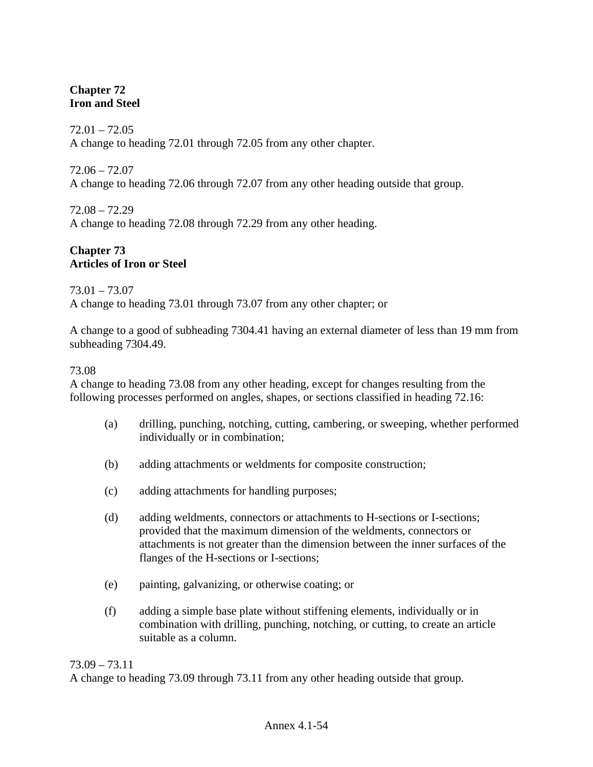# **Chapter 72 Iron and Steel**

 $72.01 - 72.05$ A change to heading 72.01 through 72.05 from any other chapter.

72.06 – 72.07 A change to heading 72.06 through 72.07 from any other heading outside that group.

72.08 – 72.29 A change to heading 72.08 through 72.29 from any other heading.

# **Chapter 73 Articles of Iron or Steel**

# 73.01 – 73.07

A change to heading 73.01 through 73.07 from any other chapter; or

A change to a good of subheading 7304.41 having an external diameter of less than 19 mm from subheading 7304.49.

### 73.08

A change to heading 73.08 from any other heading, except for changes resulting from the following processes performed on angles, shapes, or sections classified in heading 72.16:

- (a) drilling, punching, notching, cutting, cambering, or sweeping, whether performed individually or in combination;
- (b) adding attachments or weldments for composite construction;
- (c) adding attachments for handling purposes;
- (d) adding weldments, connectors or attachments to H-sections or I-sections; provided that the maximum dimension of the weldments, connectors or attachments is not greater than the dimension between the inner surfaces of the flanges of the H-sections or I-sections;
- (e) painting, galvanizing, or otherwise coating; or
- (f) adding a simple base plate without stiffening elements, individually or in combination with drilling, punching, notching, or cutting, to create an article suitable as a column.

#### 73.09 – 73.11

A change to heading 73.09 through 73.11 from any other heading outside that group.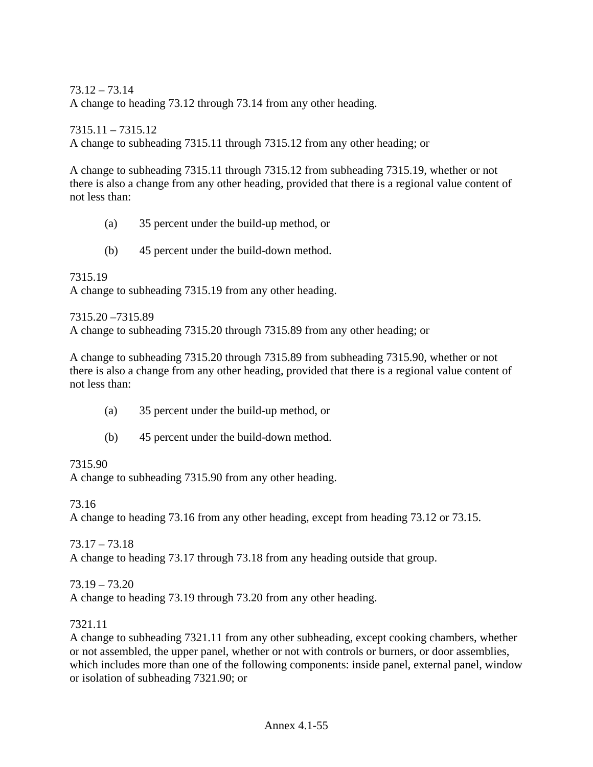73.12 – 73.14

A change to heading 73.12 through 73.14 from any other heading.

7315.11 – 7315.12 A change to subheading 7315.11 through 7315.12 from any other heading; or

A change to subheading 7315.11 through 7315.12 from subheading 7315.19, whether or not there is also a change from any other heading, provided that there is a regional value content of not less than:

- (a) 35 percent under the build-up method, or
- (b) 45 percent under the build-down method.

7315.19 A change to subheading 7315.19 from any other heading.

7315.20 –7315.89 A change to subheading 7315.20 through 7315.89 from any other heading; or

A change to subheading 7315.20 through 7315.89 from subheading 7315.90, whether or not there is also a change from any other heading, provided that there is a regional value content of not less than:

- (a) 35 percent under the build-up method, or
- (b) 45 percent under the build-down method.

# 7315.90

A change to subheading 7315.90 from any other heading.

73.16

A change to heading 73.16 from any other heading, except from heading 73.12 or 73.15.

73.17 – 73.18 A change to heading 73.17 through 73.18 from any heading outside that group.

73.19 – 73.20 A change to heading 73.19 through 73.20 from any other heading.

# 7321.11

A change to subheading 7321.11 from any other subheading, except cooking chambers, whether or not assembled, the upper panel, whether or not with controls or burners, or door assemblies, which includes more than one of the following components: inside panel, external panel, window or isolation of subheading 7321.90; or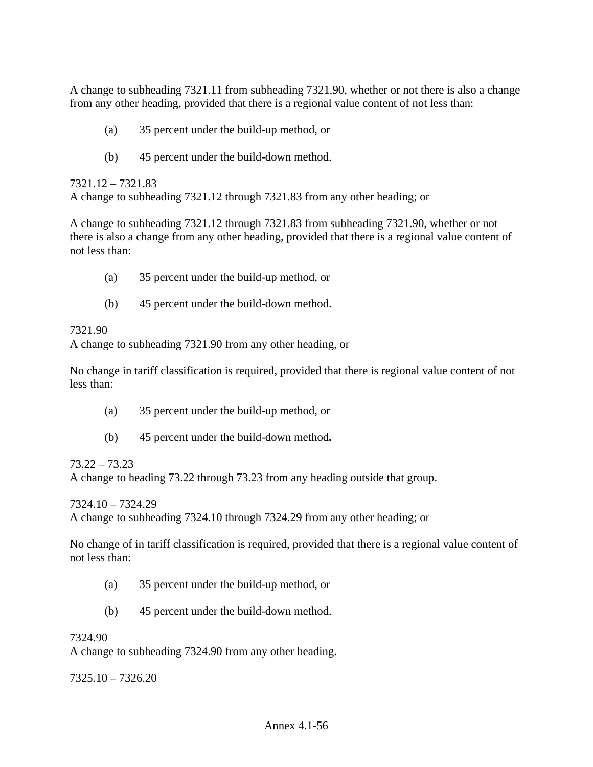A change to subheading 7321.11 from subheading 7321.90, whether or not there is also a change from any other heading, provided that there is a regional value content of not less than:

- (a) 35 percent under the build-up method, or
- (b) 45 percent under the build-down method.

7321.12 – 7321.83

A change to subheading 7321.12 through 7321.83 from any other heading; or

A change to subheading 7321.12 through 7321.83 from subheading 7321.90, whether or not there is also a change from any other heading, provided that there is a regional value content of not less than:

- (a) 35 percent under the build-up method, or
- (b) 45 percent under the build-down method.

# 7321.90

A change to subheading 7321.90 from any other heading, or

No change in tariff classification is required, provided that there is regional value content of not less than:

- (a) 35 percent under the build-up method, or
- (b) 45 percent under the build-down method**.**

# 73.22 – 73.23

A change to heading 73.22 through 73.23 from any heading outside that group.

7324.10 – 7324.29

A change to subheading 7324.10 through 7324.29 from any other heading; or

No change of in tariff classification is required, provided that there is a regional value content of not less than:

- (a) 35 percent under the build-up method, or
- (b) 45 percent under the build-down method.

# 7324.90

A change to subheading 7324.90 from any other heading.

7325.10 – 7326.20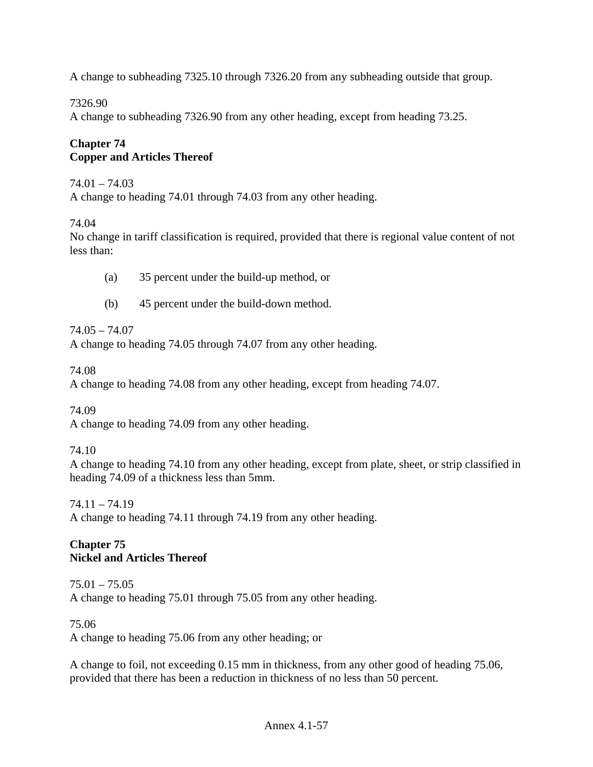A change to subheading 7325.10 through 7326.20 from any subheading outside that group.

# 7326.90

A change to subheading 7326.90 from any other heading, except from heading 73.25.

# **Chapter 74 Copper and Articles Thereof**

### $74.01 - 74.03$

A change to heading 74.01 through 74.03 from any other heading.

74.04

No change in tariff classification is required, provided that there is regional value content of not less than:

- (a) 35 percent under the build-up method, or
- (b) 45 percent under the build-down method.

# 74.05 – 74.07

A change to heading 74.05 through 74.07 from any other heading.

74.08

A change to heading 74.08 from any other heading, except from heading 74.07.

74.09

A change to heading 74.09 from any other heading.

# 74.10

A change to heading 74.10 from any other heading, except from plate, sheet, or strip classified in heading 74.09 of a thickness less than 5mm.

74.11 – 74.19

A change to heading 74.11 through 74.19 from any other heading.

# **Chapter 75 Nickel and Articles Thereof**

75.01 – 75.05 A change to heading 75.01 through 75.05 from any other heading.

# 75.06

A change to heading 75.06 from any other heading; or

A change to foil, not exceeding 0.15 mm in thickness, from any other good of heading 75.06, provided that there has been a reduction in thickness of no less than 50 percent.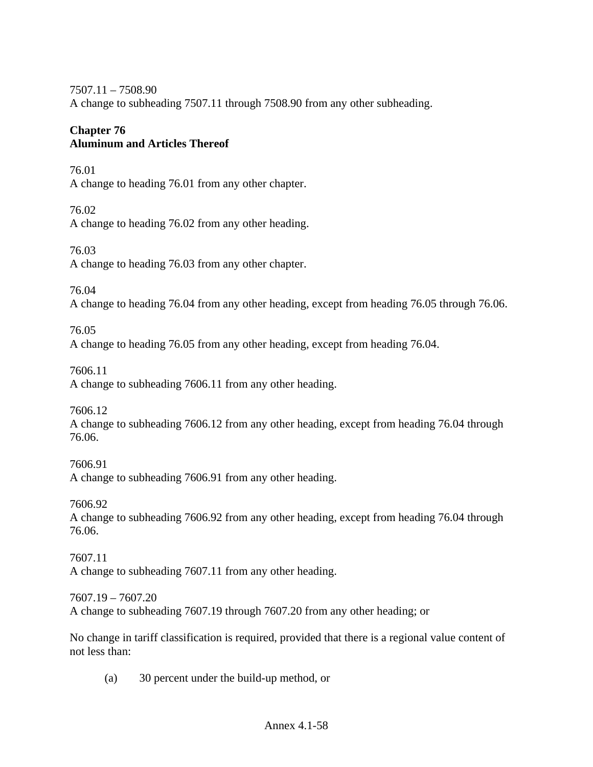7507.11 – 7508.90 A change to subheading 7507.11 through 7508.90 from any other subheading.

# **Chapter 76 Aluminum and Articles Thereof**

76.01 A change to heading 76.01 from any other chapter.

76.02 A change to heading 76.02 from any other heading.

76.03 A change to heading 76.03 from any other chapter.

76.04

A change to heading 76.04 from any other heading, except from heading 76.05 through 76.06.

76.05

A change to heading 76.05 from any other heading, except from heading 76.04.

7606.11

A change to subheading 7606.11 from any other heading.

7606.12

A change to subheading 7606.12 from any other heading, except from heading 76.04 through 76.06.

7606.91 A change to subheading 7606.91 from any other heading.

7606.92

A change to subheading 7606.92 from any other heading, except from heading 76.04 through 76.06.

7607.11 A change to subheading 7607.11 from any other heading.

7607.19 – 7607.20 A change to subheading 7607.19 through 7607.20 from any other heading; or

No change in tariff classification is required, provided that there is a regional value content of not less than:

(a) 30 percent under the build-up method, or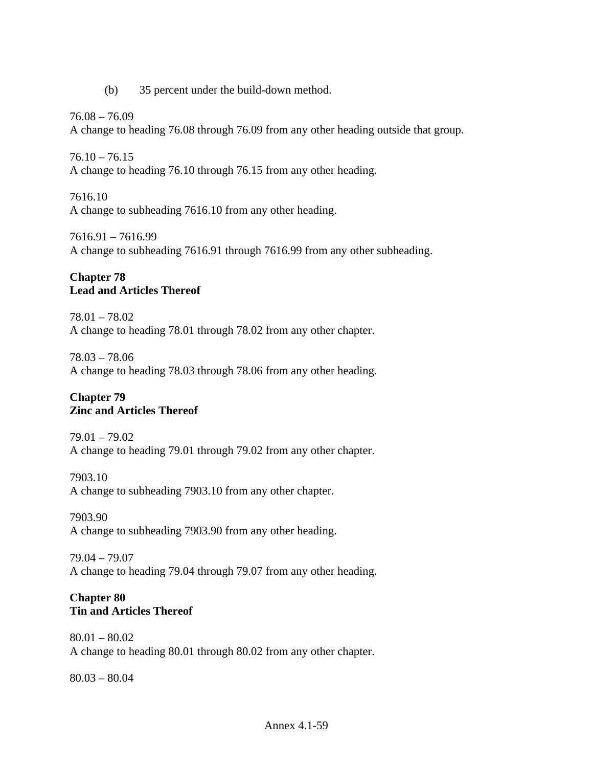(b) 35 percent under the build-down method.

76.08 – 76.09 A change to heading 76.08 through 76.09 from any other heading outside that group.

 $76.10 - 76.15$ A change to heading 76.10 through 76.15 from any other heading.

7616.10 A change to subheading 7616.10 from any other heading.

7616.91 – 7616.99 A change to subheading 7616.91 through 7616.99 from any other subheading.

# **Chapter 78 Lead and Articles Thereof**

78.01 – 78.02 A change to heading 78.01 through 78.02 from any other chapter.

78.03 – 78.06 A change to heading 78.03 through 78.06 from any other heading.

# **Chapter 79 Zinc and Articles Thereof**

79.01 – 79.02 A change to heading 79.01 through 79.02 from any other chapter.

7903.10 A change to subheading 7903.10 from any other chapter.

7903.90 A change to subheading 7903.90 from any other heading.

79.04 – 79.07 A change to heading 79.04 through 79.07 from any other heading.

# **Chapter 80 Tin and Articles Thereof**

80.01 – 80.02 A change to heading 80.01 through 80.02 from any other chapter.

80.03 – 80.04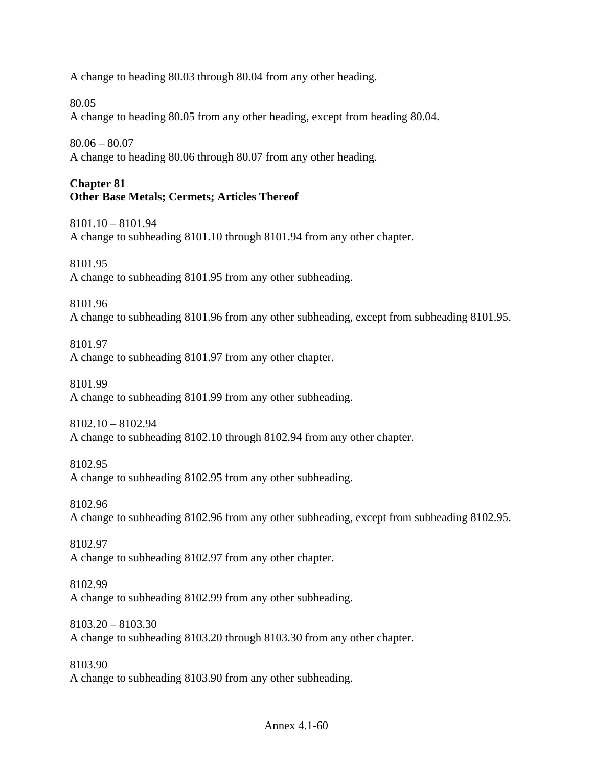A change to heading 80.03 through 80.04 from any other heading.

80.05

A change to heading 80.05 from any other heading, except from heading 80.04.

80.06 – 80.07

A change to heading 80.06 through 80.07 from any other heading.

# **Chapter 81 Other Base Metals; Cermets; Articles Thereof**

8101.10 – 8101.94 A change to subheading 8101.10 through 8101.94 from any other chapter.

8101.95 A change to subheading 8101.95 from any other subheading.

8101.96

A change to subheading 8101.96 from any other subheading, except from subheading 8101.95.

8101.97

A change to subheading 8101.97 from any other chapter.

8101.99

A change to subheading 8101.99 from any other subheading.

8102.10 – 8102.94

A change to subheading 8102.10 through 8102.94 from any other chapter.

8102.95

A change to subheading 8102.95 from any other subheading.

8102.96

A change to subheading 8102.96 from any other subheading, except from subheading 8102.95.

8102.97

A change to subheading 8102.97 from any other chapter.

8102.99 A change to subheading 8102.99 from any other subheading.

8103.20 – 8103.30 A change to subheading 8103.20 through 8103.30 from any other chapter.

8103.90 A change to subheading 8103.90 from any other subheading.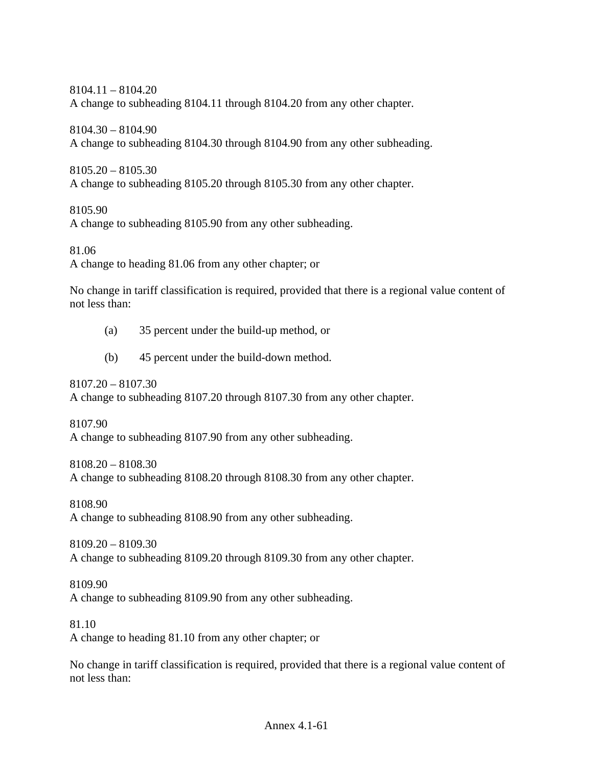8104.11 – 8104.20 A change to subheading 8104.11 through 8104.20 from any other chapter.

8104.30 – 8104.90 A change to subheading 8104.30 through 8104.90 from any other subheading.

8105.20 – 8105.30 A change to subheading 8105.20 through 8105.30 from any other chapter.

8105.90

A change to subheading 8105.90 from any other subheading.

81.06

A change to heading 81.06 from any other chapter; or

No change in tariff classification is required, provided that there is a regional value content of not less than:

- (a) 35 percent under the build-up method, or
- (b) 45 percent under the build-down method.

8107.20 – 8107.30 A change to subheading 8107.20 through 8107.30 from any other chapter.

8107.90 A change to subheading 8107.90 from any other subheading.

8108.20 – 8108.30 A change to subheading 8108.20 through 8108.30 from any other chapter.

8108.90

A change to subheading 8108.90 from any other subheading.

8109.20 – 8109.30 A change to subheading 8109.20 through 8109.30 from any other chapter.

8109.90 A change to subheading 8109.90 from any other subheading.

81.10

A change to heading 81.10 from any other chapter; or

No change in tariff classification is required, provided that there is a regional value content of not less than: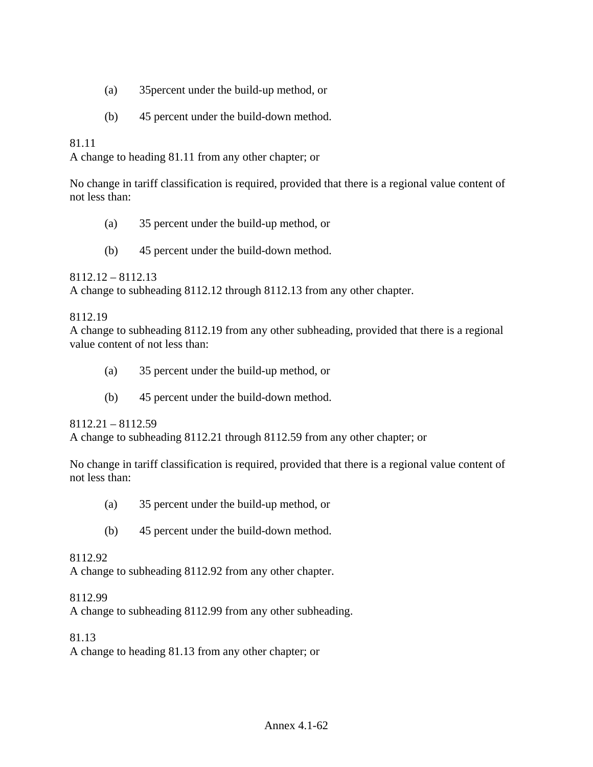- (a) 35percent under the build-up method, or
- (b) 45 percent under the build-down method.

### 81.11

A change to heading 81.11 from any other chapter; or

No change in tariff classification is required, provided that there is a regional value content of not less than:

- (a) 35 percent under the build-up method, or
- (b) 45 percent under the build-down method.

8112.12 – 8112.13

A change to subheading 8112.12 through 8112.13 from any other chapter.

#### 8112.19

A change to subheading 8112.19 from any other subheading, provided that there is a regional value content of not less than:

- (a) 35 percent under the build-up method, or
- (b) 45 percent under the build-down method.

#### 8112.21 – 8112.59

A change to subheading 8112.21 through 8112.59 from any other chapter; or

No change in tariff classification is required, provided that there is a regional value content of not less than:

- (a) 35 percent under the build-up method, or
- (b) 45 percent under the build-down method.

#### 8112.92

A change to subheading 8112.92 from any other chapter.

#### 8112.99

A change to subheading 8112.99 from any other subheading.

#### 81.13

A change to heading 81.13 from any other chapter; or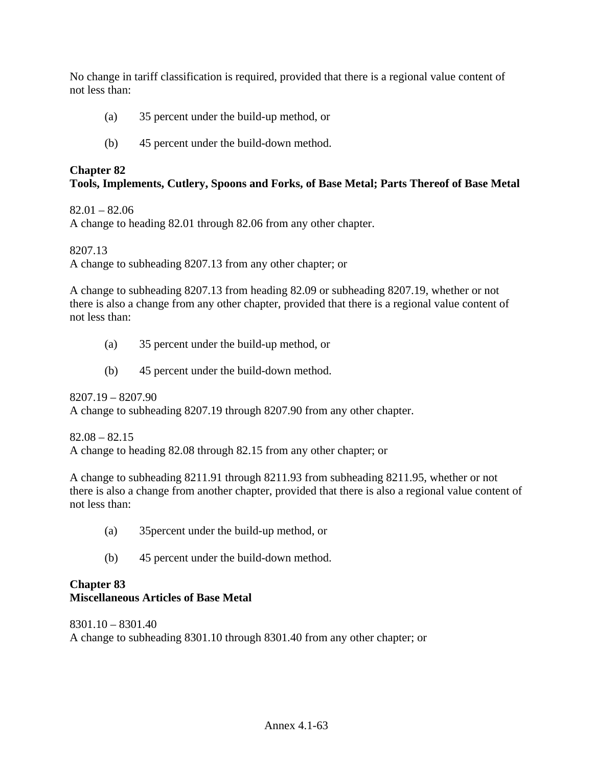No change in tariff classification is required, provided that there is a regional value content of not less than:

- (a) 35 percent under the build-up method, or
- (b) 45 percent under the build-down method.

# **Chapter 82**

# **Tools, Implements, Cutlery, Spoons and Forks, of Base Metal; Parts Thereof of Base Metal**

 $82.01 - 82.06$ 

A change to heading 82.01 through 82.06 from any other chapter.

8207.13

A change to subheading 8207.13 from any other chapter; or

A change to subheading 8207.13 from heading 82.09 or subheading 8207.19, whether or not there is also a change from any other chapter, provided that there is a regional value content of not less than:

- (a) 35 percent under the build-up method, or
- (b) 45 percent under the build-down method.

8207.19 – 8207.90 A change to subheading 8207.19 through 8207.90 from any other chapter.

 $82.08 - 82.15$ A change to heading 82.08 through 82.15 from any other chapter; or

A change to subheading 8211.91 through 8211.93 from subheading 8211.95, whether or not there is also a change from another chapter, provided that there is also a regional value content of not less than:

- (a) 35percent under the build-up method, or
- (b) 45 percent under the build-down method.

# **Chapter 83 Miscellaneous Articles of Base Metal**

8301.10 – 8301.40 A change to subheading 8301.10 through 8301.40 from any other chapter; or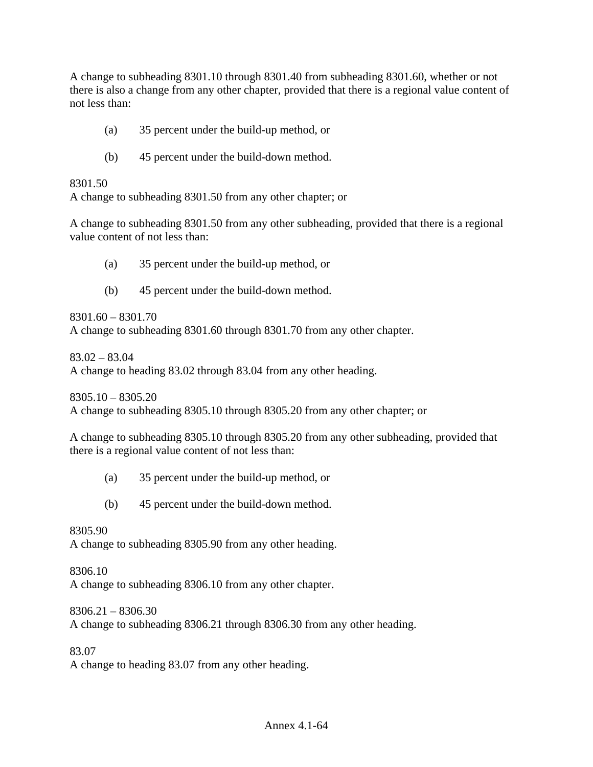A change to subheading 8301.10 through 8301.40 from subheading 8301.60, whether or not there is also a change from any other chapter, provided that there is a regional value content of not less than:

- (a) 35 percent under the build-up method, or
- (b) 45 percent under the build-down method.

8301.50

A change to subheading 8301.50 from any other chapter; or

A change to subheading 8301.50 from any other subheading, provided that there is a regional value content of not less than:

- (a) 35 percent under the build-up method, or
- (b) 45 percent under the build-down method.

8301.60 – 8301.70

A change to subheading 8301.60 through 8301.70 from any other chapter.

83.02 – 83.04

A change to heading 83.02 through 83.04 from any other heading.

 $8305.10 - 8305.20$ A change to subheading 8305.10 through 8305.20 from any other chapter; or

A change to subheading 8305.10 through 8305.20 from any other subheading, provided that there is a regional value content of not less than:

- (a) 35 percent under the build-up method, or
- (b) 45 percent under the build-down method.

#### 8305.90

A change to subheading 8305.90 from any other heading.

#### 8306.10

A change to subheading 8306.10 from any other chapter.

8306.21 – 8306.30

A change to subheading 8306.21 through 8306.30 from any other heading.

83.07

A change to heading 83.07 from any other heading.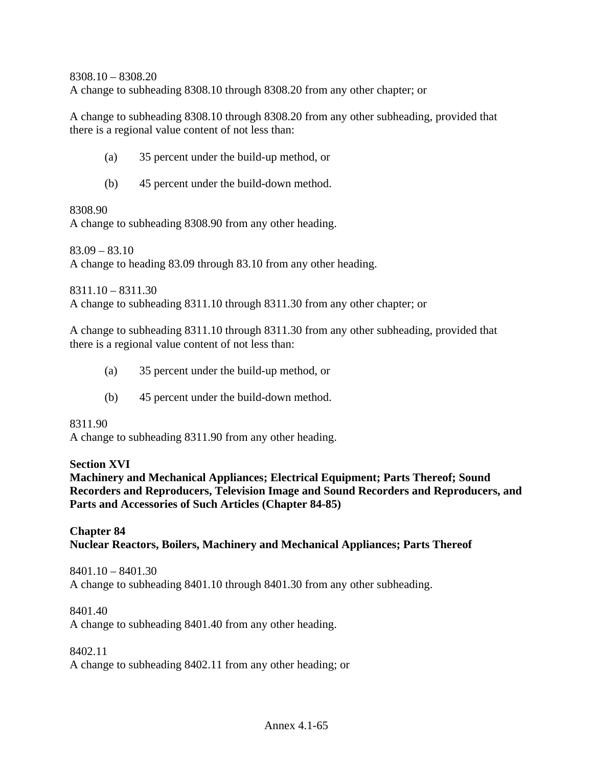8308.10 – 8308.20 A change to subheading 8308.10 through 8308.20 from any other chapter; or

A change to subheading 8308.10 through 8308.20 from any other subheading, provided that there is a regional value content of not less than:

- (a) 35 percent under the build-up method, or
- (b) 45 percent under the build-down method.

8308.90

A change to subheading 8308.90 from any other heading.

 $83.09 - 83.10$ A change to heading 83.09 through 83.10 from any other heading.

8311.10 – 8311.30

A change to subheading 8311.10 through 8311.30 from any other chapter; or

A change to subheading 8311.10 through 8311.30 from any other subheading, provided that there is a regional value content of not less than:

- (a) 35 percent under the build-up method, or
- (b) 45 percent under the build-down method.

8311.90

A change to subheading 8311.90 from any other heading.

#### **Section XVI**

**Machinery and Mechanical Appliances; Electrical Equipment; Parts Thereof; Sound Recorders and Reproducers, Television Image and Sound Recorders and Reproducers, and Parts and Accessories of Such Articles (Chapter 84-85)** 

#### **Chapter 84 Nuclear Reactors, Boilers, Machinery and Mechanical Appliances; Parts Thereof**

8401.10 – 8401.30 A change to subheading 8401.10 through 8401.30 from any other subheading.

8401.40

A change to subheading 8401.40 from any other heading.

8402.11

A change to subheading 8402.11 from any other heading; or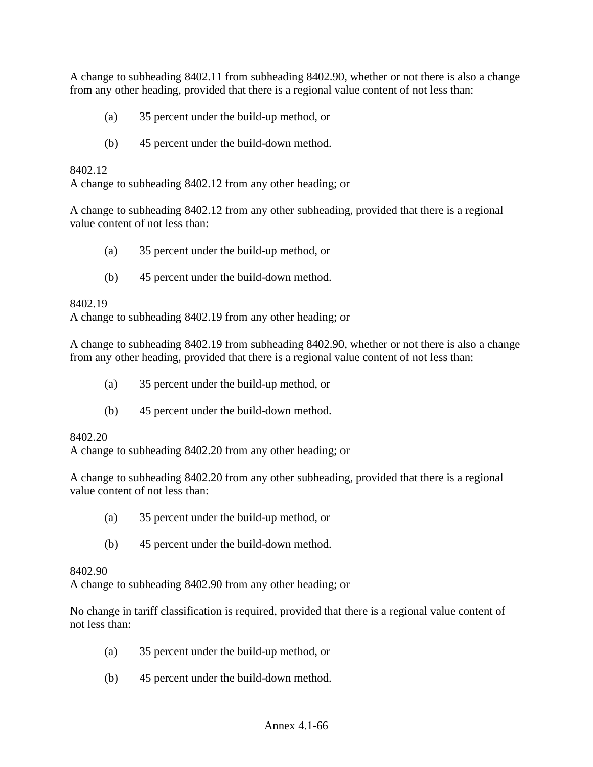A change to subheading 8402.11 from subheading 8402.90, whether or not there is also a change from any other heading, provided that there is a regional value content of not less than:

- (a) 35 percent under the build-up method, or
- (b) 45 percent under the build-down method.

### 8402.12

A change to subheading 8402.12 from any other heading; or

A change to subheading 8402.12 from any other subheading, provided that there is a regional value content of not less than:

- (a) 35 percent under the build-up method, or
- (b) 45 percent under the build-down method.

#### 8402.19

A change to subheading 8402.19 from any other heading; or

A change to subheading 8402.19 from subheading 8402.90, whether or not there is also a change from any other heading, provided that there is a regional value content of not less than:

- (a) 35 percent under the build-up method, or
- (b) 45 percent under the build-down method.

#### 8402.20

A change to subheading 8402.20 from any other heading; or

A change to subheading 8402.20 from any other subheading, provided that there is a regional value content of not less than:

- (a) 35 percent under the build-up method, or
- (b) 45 percent under the build-down method.

#### 8402.90

A change to subheading 8402.90 from any other heading; or

No change in tariff classification is required, provided that there is a regional value content of not less than:

- (a) 35 percent under the build-up method, or
- (b) 45 percent under the build-down method.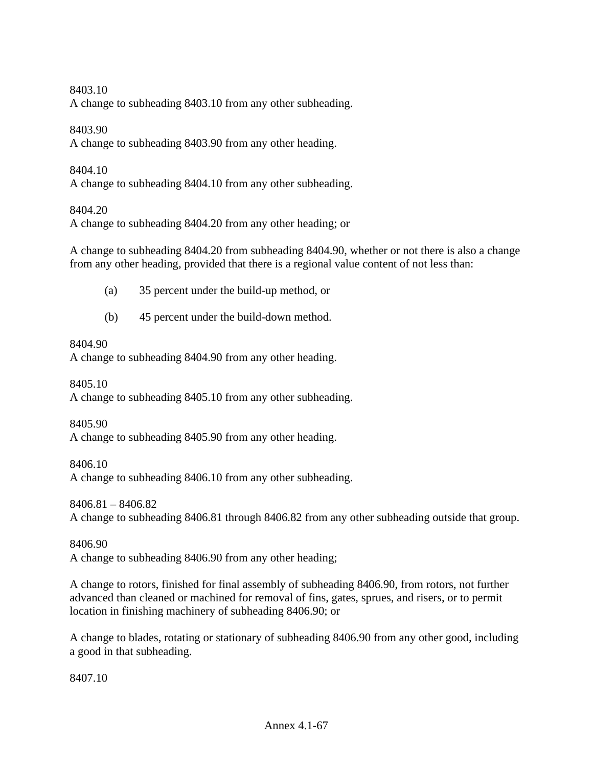8403.10

A change to subheading 8403.10 from any other subheading.

8403.90

A change to subheading 8403.90 from any other heading.

8404.10

A change to subheading 8404.10 from any other subheading.

8404.20

A change to subheading 8404.20 from any other heading; or

A change to subheading 8404.20 from subheading 8404.90, whether or not there is also a change from any other heading, provided that there is a regional value content of not less than:

- (a) 35 percent under the build-up method, or
- (b) 45 percent under the build-down method.

### 8404.90

A change to subheading 8404.90 from any other heading.

8405.10

A change to subheading 8405.10 from any other subheading.

8405.90

A change to subheading 8405.90 from any other heading.

8406.10

A change to subheading 8406.10 from any other subheading.

8406.81 – 8406.82

A change to subheading 8406.81 through 8406.82 from any other subheading outside that group.

8406.90

A change to subheading 8406.90 from any other heading;

A change to rotors, finished for final assembly of subheading 8406.90, from rotors, not further advanced than cleaned or machined for removal of fins, gates, sprues, and risers, or to permit location in finishing machinery of subheading 8406.90; or

A change to blades, rotating or stationary of subheading 8406.90 from any other good, including a good in that subheading.

8407.10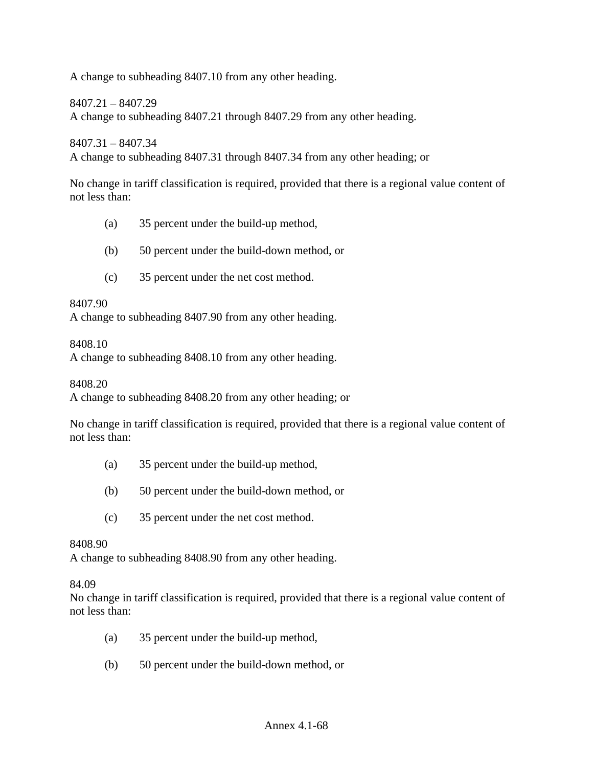A change to subheading 8407.10 from any other heading.

8407.21 – 8407.29

A change to subheading 8407.21 through 8407.29 from any other heading.

8407.31 – 8407.34

A change to subheading 8407.31 through 8407.34 from any other heading; or

No change in tariff classification is required, provided that there is a regional value content of not less than:

- (a) 35 percent under the build-up method,
- (b) 50 percent under the build-down method, or
- (c) 35 percent under the net cost method.

#### 8407.90

A change to subheading 8407.90 from any other heading.

8408.10

A change to subheading 8408.10 from any other heading.

8408.20

A change to subheading 8408.20 from any other heading; or

No change in tariff classification is required, provided that there is a regional value content of not less than:

- (a) 35 percent under the build-up method,
- (b) 50 percent under the build-down method, or
- (c) 35 percent under the net cost method.

#### 8408.90

A change to subheading 8408.90 from any other heading.

84.09

No change in tariff classification is required, provided that there is a regional value content of not less than:

- (a) 35 percent under the build-up method,
- (b) 50 percent under the build-down method, or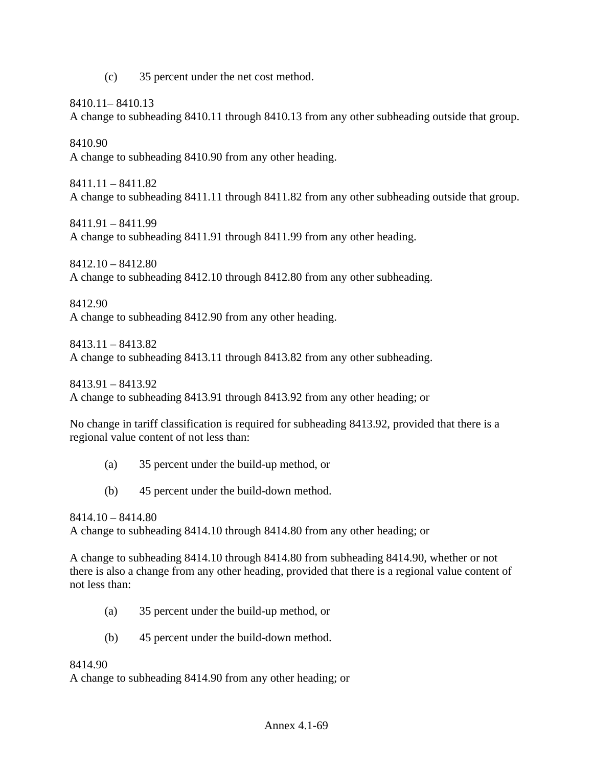(c) 35 percent under the net cost method.

8410.11– 8410.13

A change to subheading 8410.11 through 8410.13 from any other subheading outside that group.

8410.90 A change to subheading 8410.90 from any other heading.

8411.11 – 8411.82 A change to subheading 8411.11 through 8411.82 from any other subheading outside that group.

8411.91 – 8411.99 A change to subheading 8411.91 through 8411.99 from any other heading.

8412.10 – 8412.80 A change to subheading 8412.10 through 8412.80 from any other subheading.

8412.90

A change to subheading 8412.90 from any other heading.

8413.11 – 8413.82

A change to subheading 8413.11 through 8413.82 from any other subheading.

8413.91 – 8413.92 A change to subheading 8413.91 through 8413.92 from any other heading; or

No change in tariff classification is required for subheading 8413.92, provided that there is a regional value content of not less than:

- (a) 35 percent under the build-up method, or
- (b) 45 percent under the build-down method.

8414.10 – 8414.80

A change to subheading 8414.10 through 8414.80 from any other heading; or

A change to subheading 8414.10 through 8414.80 from subheading 8414.90, whether or not there is also a change from any other heading, provided that there is a regional value content of not less than:

- (a) 35 percent under the build-up method, or
- (b) 45 percent under the build-down method.

8414.90

A change to subheading 8414.90 from any other heading; or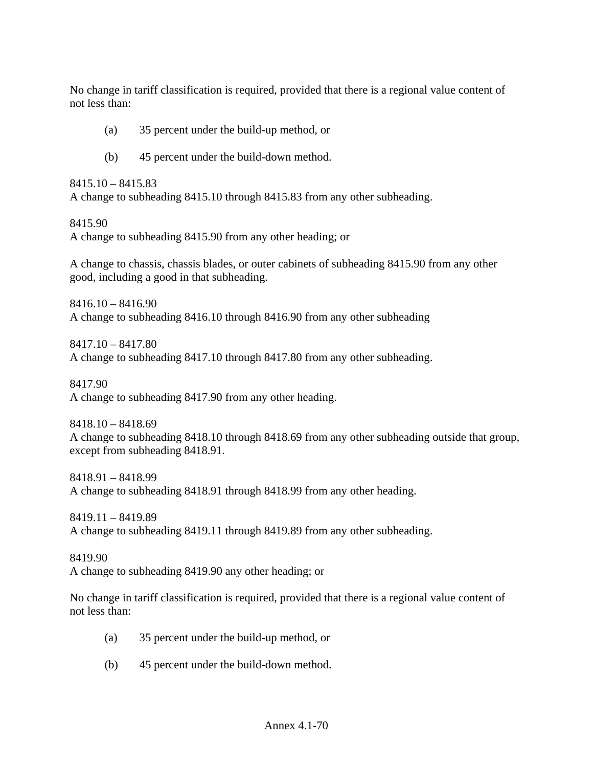No change in tariff classification is required, provided that there is a regional value content of not less than:

- (a) 35 percent under the build-up method, or
- (b) 45 percent under the build-down method.

8415.10 – 8415.83 A change to subheading 8415.10 through 8415.83 from any other subheading.

8415.90

A change to subheading 8415.90 from any other heading; or

A change to chassis, chassis blades, or outer cabinets of subheading 8415.90 from any other good, including a good in that subheading.

8416.10 – 8416.90 A change to subheading 8416.10 through 8416.90 from any other subheading

8417.10 – 8417.80 A change to subheading 8417.10 through 8417.80 from any other subheading.

8417.90 A change to subheading 8417.90 from any other heading.

8418.10 – 8418.69 A change to subheading 8418.10 through 8418.69 from any other subheading outside that group, except from subheading 8418.91.

8418.91 – 8418.99 A change to subheading 8418.91 through 8418.99 from any other heading.

8419.11 – 8419.89 A change to subheading 8419.11 through 8419.89 from any other subheading.

8419.90 A change to subheading 8419.90 any other heading; or

No change in tariff classification is required, provided that there is a regional value content of not less than:

- (a) 35 percent under the build-up method, or
- (b) 45 percent under the build-down method.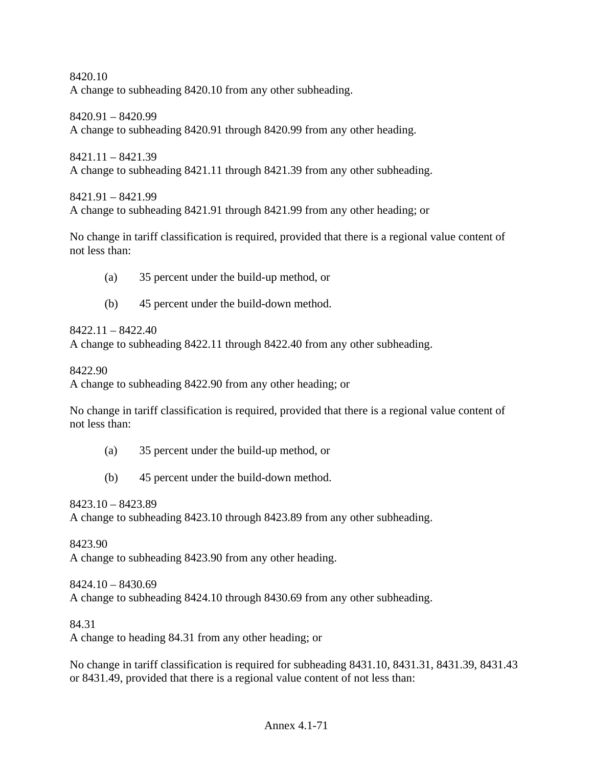8420.10 A change to subheading 8420.10 from any other subheading.

8420.91 – 8420.99 A change to subheading 8420.91 through 8420.99 from any other heading.

8421.11 – 8421.39 A change to subheading 8421.11 through 8421.39 from any other subheading.

8421.91 – 8421.99 A change to subheading 8421.91 through 8421.99 from any other heading; or

No change in tariff classification is required, provided that there is a regional value content of not less than:

- (a) 35 percent under the build-up method, or
- (b) 45 percent under the build-down method.

8422.11 – 8422.40

A change to subheading 8422.11 through 8422.40 from any other subheading.

8422.90

A change to subheading 8422.90 from any other heading; or

No change in tariff classification is required, provided that there is a regional value content of not less than:

- (a) 35 percent under the build-up method, or
- (b) 45 percent under the build-down method.

8423.10 – 8423.89

A change to subheading 8423.10 through 8423.89 from any other subheading.

8423.90

A change to subheading 8423.90 from any other heading.

8424.10 – 8430.69 A change to subheading 8424.10 through 8430.69 from any other subheading.

84.31

A change to heading 84.31 from any other heading; or

No change in tariff classification is required for subheading 8431.10, 8431.31, 8431.39, 8431.43 or 8431.49, provided that there is a regional value content of not less than: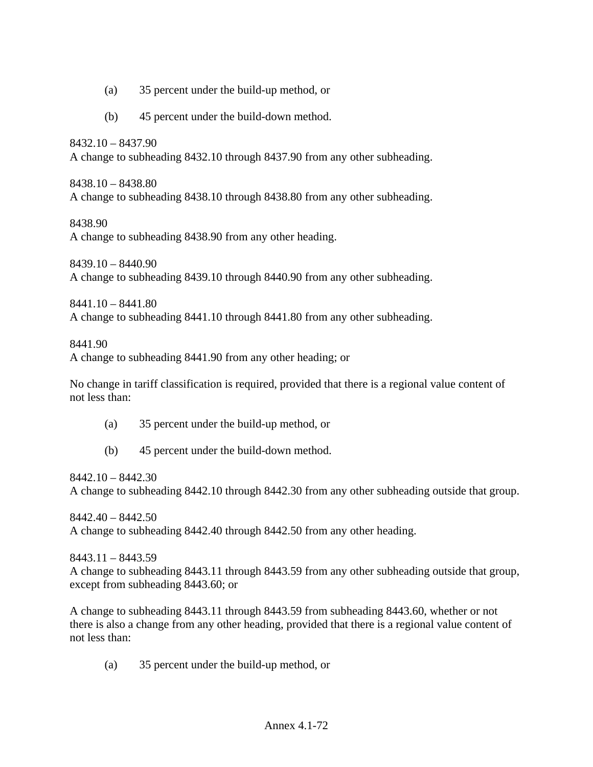- (a) 35 percent under the build-up method, or
- (b) 45 percent under the build-down method.

8432.10 – 8437.90 A change to subheading 8432.10 through 8437.90 from any other subheading.

8438.10 – 8438.80 A change to subheading 8438.10 through 8438.80 from any other subheading.

8438.90

A change to subheading 8438.90 from any other heading.

 $8439.10 - 8440.90$ A change to subheading 8439.10 through 8440.90 from any other subheading.

8441.10 – 8441.80 A change to subheading 8441.10 through 8441.80 from any other subheading.

8441.90 A change to subheading 8441.90 from any other heading; or

No change in tariff classification is required, provided that there is a regional value content of not less than:

- (a) 35 percent under the build-up method, or
- (b) 45 percent under the build-down method.

8442.10 – 8442.30 A change to subheading 8442.10 through 8442.30 from any other subheading outside that group.

8442.40 – 8442.50 A change to subheading 8442.40 through 8442.50 from any other heading.

8443.11 – 8443.59

A change to subheading 8443.11 through 8443.59 from any other subheading outside that group, except from subheading 8443.60; or

A change to subheading 8443.11 through 8443.59 from subheading 8443.60, whether or not there is also a change from any other heading, provided that there is a regional value content of not less than:

(a) 35 percent under the build-up method, or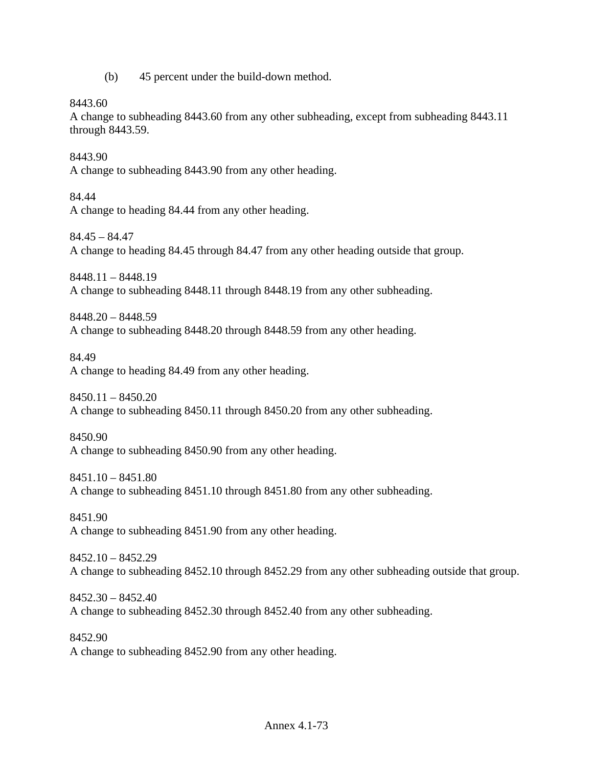(b) 45 percent under the build-down method.

8443.60

A change to subheading 8443.60 from any other subheading, except from subheading 8443.11 through 8443.59.

8443.90 A change to subheading 8443.90 from any other heading.

84.44 A change to heading 84.44 from any other heading.

84.45 – 84.47 A change to heading 84.45 through 84.47 from any other heading outside that group.

8448.11 – 8448.19 A change to subheading 8448.11 through 8448.19 from any other subheading.

8448.20 – 8448.59 A change to subheading 8448.20 through 8448.59 from any other heading.

84.49 A change to heading 84.49 from any other heading.

8450.11 – 8450.20 A change to subheading 8450.11 through 8450.20 from any other subheading.

8450.90 A change to subheading 8450.90 from any other heading.

8451.10 – 8451.80 A change to subheading 8451.10 through 8451.80 from any other subheading.

8451.90 A change to subheading 8451.90 from any other heading.

8452.10 – 8452.29 A change to subheading 8452.10 through 8452.29 from any other subheading outside that group.

8452.30 – 8452.40 A change to subheading 8452.30 through 8452.40 from any other subheading.

8452.90 A change to subheading 8452.90 from any other heading.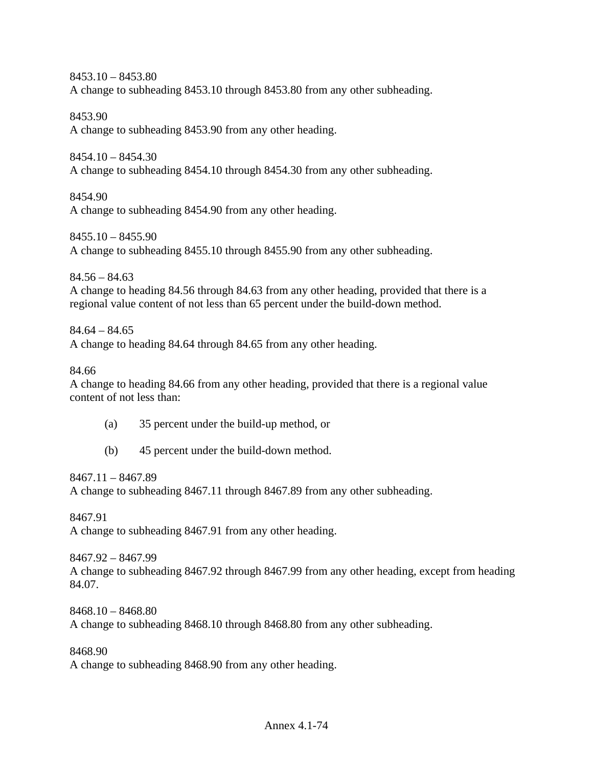8453.10 – 8453.80 A change to subheading 8453.10 through 8453.80 from any other subheading.

8453.90 A change to subheading 8453.90 from any other heading.

8454.10 – 8454.30 A change to subheading 8454.10 through 8454.30 from any other subheading.

8454.90 A change to subheading 8454.90 from any other heading.

8455.10 – 8455.90 A change to subheading 8455.10 through 8455.90 from any other subheading.

 $84.56 - 84.63$ A change to heading 84.56 through 84.63 from any other heading, provided that there is a regional value content of not less than 65 percent under the build-down method.

 $84.64 - 84.65$ A change to heading 84.64 through 84.65 from any other heading.

84.66

A change to heading 84.66 from any other heading, provided that there is a regional value content of not less than:

- (a) 35 percent under the build-up method, or
- (b) 45 percent under the build-down method.

8467.11 – 8467.89

A change to subheading 8467.11 through 8467.89 from any other subheading.

8467.91 A change to subheading 8467.91 from any other heading.

8467.92 – 8467.99 A change to subheading 8467.92 through 8467.99 from any other heading, except from heading 84.07.

8468.10 – 8468.80 A change to subheading 8468.10 through 8468.80 from any other subheading.

8468.90

A change to subheading 8468.90 from any other heading.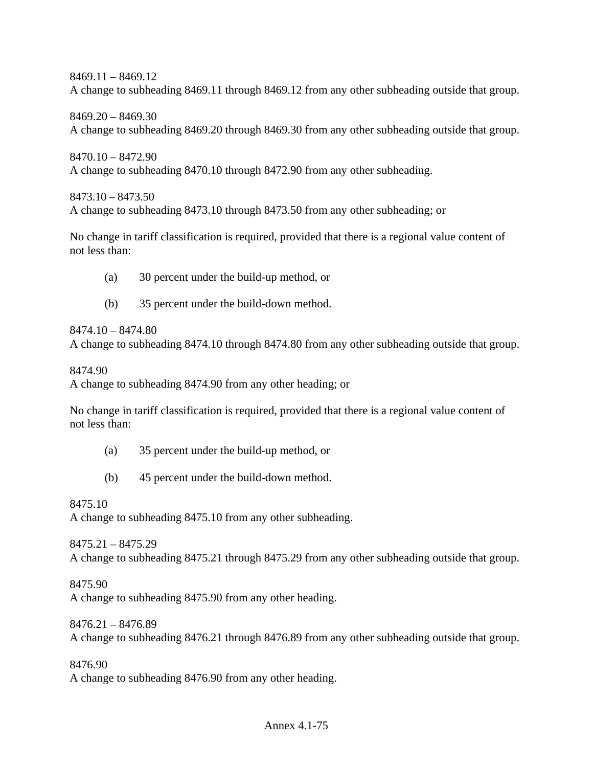8469.11 – 8469.12 A change to subheading 8469.11 through 8469.12 from any other subheading outside that group.

8469.20 – 8469.30 A change to subheading 8469.20 through 8469.30 from any other subheading outside that group.

8470.10 – 8472.90 A change to subheading 8470.10 through 8472.90 from any other subheading.

8473.10 – 8473.50 A change to subheading 8473.10 through 8473.50 from any other subheading; or

No change in tariff classification is required, provided that there is a regional value content of not less than:

- (a) 30 percent under the build-up method, or
- (b) 35 percent under the build-down method.

8474.10 – 8474.80

A change to subheading 8474.10 through 8474.80 from any other subheading outside that group.

8474.90

A change to subheading 8474.90 from any other heading; or

No change in tariff classification is required, provided that there is a regional value content of not less than:

- (a) 35 percent under the build-up method, or
- (b) 45 percent under the build-down method.

8475.10

A change to subheading 8475.10 from any other subheading.

8475.21 – 8475.29 A change to subheading 8475.21 through 8475.29 from any other subheading outside that group.

8475.90 A change to subheading 8475.90 from any other heading.

8476.21 – 8476.89 A change to subheading 8476.21 through 8476.89 from any other subheading outside that group.

8476.90 A change to subheading 8476.90 from any other heading.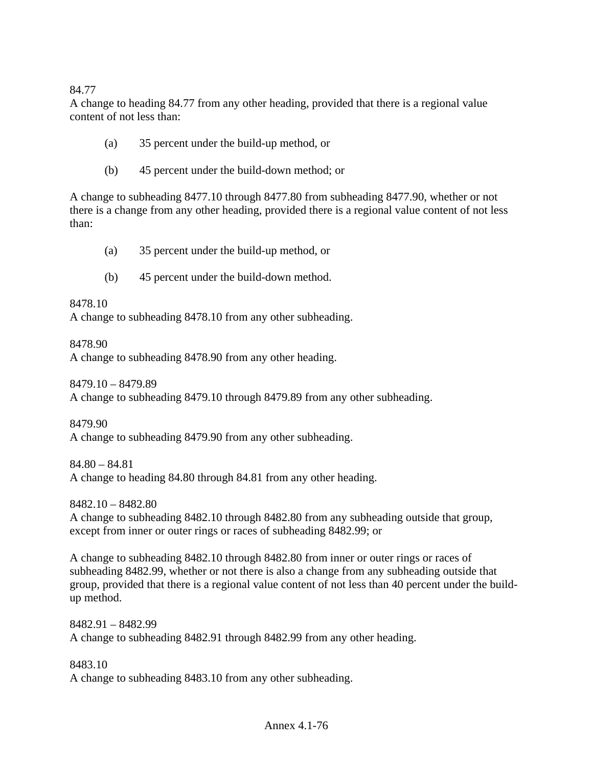84.77

A change to heading 84.77 from any other heading, provided that there is a regional value content of not less than:

- (a) 35 percent under the build-up method, or
- (b) 45 percent under the build-down method; or

A change to subheading 8477.10 through 8477.80 from subheading 8477.90, whether or not there is a change from any other heading, provided there is a regional value content of not less than:

- (a) 35 percent under the build-up method, or
- (b) 45 percent under the build-down method.

8478.10

A change to subheading 8478.10 from any other subheading.

8478.90

A change to subheading 8478.90 from any other heading.

8479.10 – 8479.89

A change to subheading 8479.10 through 8479.89 from any other subheading.

8479.90

A change to subheading 8479.90 from any other subheading.

84.80 – 84.81

A change to heading 84.80 through 84.81 from any other heading.

8482.10 – 8482.80

A change to subheading 8482.10 through 8482.80 from any subheading outside that group, except from inner or outer rings or races of subheading 8482.99; or

A change to subheading 8482.10 through 8482.80 from inner or outer rings or races of subheading 8482.99, whether or not there is also a change from any subheading outside that group, provided that there is a regional value content of not less than 40 percent under the buildup method.

8482.91 – 8482.99 A change to subheading 8482.91 through 8482.99 from any other heading.

8483.10 A change to subheading 8483.10 from any other subheading.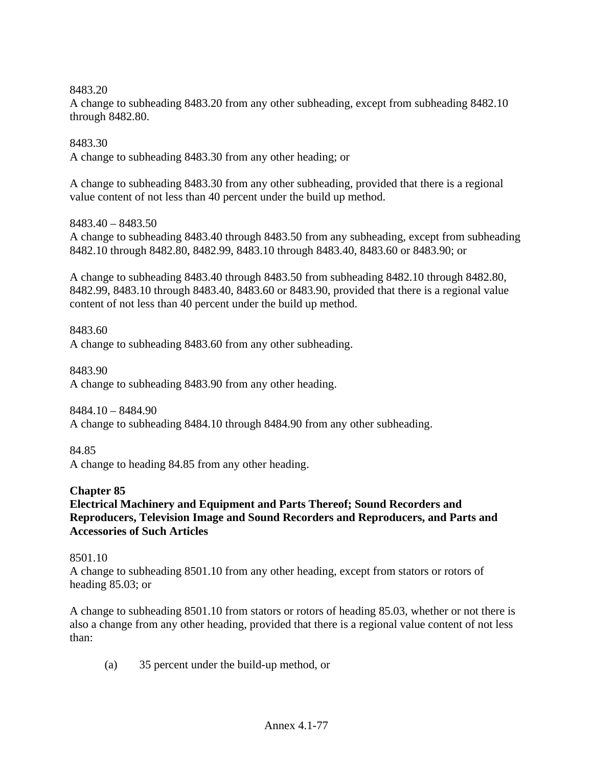8483.20

A change to subheading 8483.20 from any other subheading, except from subheading 8482.10 through 8482.80.

8483.30

A change to subheading 8483.30 from any other heading; or

A change to subheading 8483.30 from any other subheading, provided that there is a regional value content of not less than 40 percent under the build up method.

8483.40 – 8483.50

A change to subheading 8483.40 through 8483.50 from any subheading, except from subheading 8482.10 through 8482.80, 8482.99, 8483.10 through 8483.40, 8483.60 or 8483.90; or

A change to subheading 8483.40 through 8483.50 from subheading 8482.10 through 8482.80, 8482.99, 8483.10 through 8483.40, 8483.60 or 8483.90, provided that there is a regional value content of not less than 40 percent under the build up method.

8483.60 A change to subheading 8483.60 from any other subheading.

8483.90 A change to subheading 8483.90 from any other heading.

8484.10 – 8484.90 A change to subheading 8484.10 through 8484.90 from any other subheading.

84.85 A change to heading 84.85 from any other heading.

**Chapter 85** 

**Electrical Machinery and Equipment and Parts Thereof; Sound Recorders and Reproducers, Television Image and Sound Recorders and Reproducers, and Parts and Accessories of Such Articles** 

8501.10

A change to subheading 8501.10 from any other heading, except from stators or rotors of heading 85.03; or

A change to subheading 8501.10 from stators or rotors of heading 85.03, whether or not there is also a change from any other heading, provided that there is a regional value content of not less than:

(a) 35 percent under the build-up method, or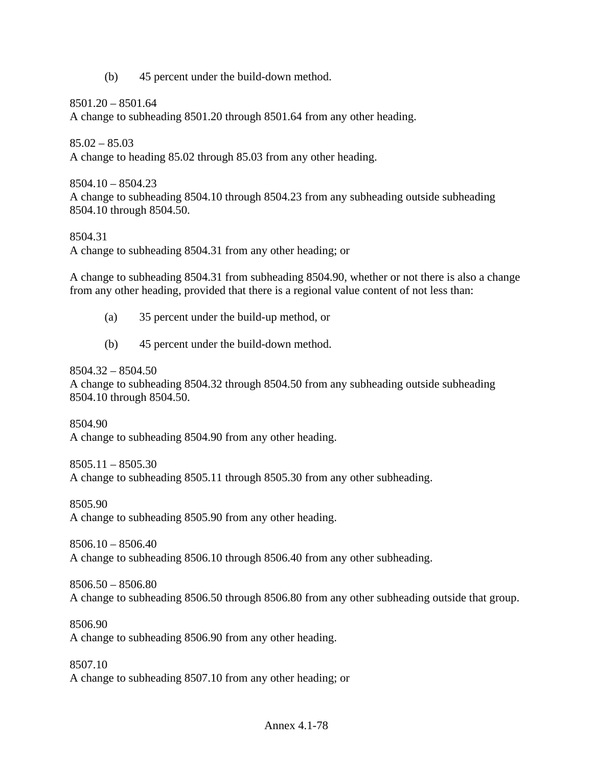(b) 45 percent under the build-down method.

8501.20 – 8501.64

A change to subheading 8501.20 through 8501.64 from any other heading.

 $85.02 - 85.03$ 

A change to heading 85.02 through 85.03 from any other heading.

 $8504.10 - 8504.23$ A change to subheading 8504.10 through 8504.23 from any subheading outside subheading 8504.10 through 8504.50.

## 8504.31

A change to subheading 8504.31 from any other heading; or

A change to subheading 8504.31 from subheading 8504.90, whether or not there is also a change from any other heading, provided that there is a regional value content of not less than:

- (a) 35 percent under the build-up method, or
- (b) 45 percent under the build-down method.

 $8504.32 - 8504.50$ 

A change to subheading 8504.32 through 8504.50 from any subheading outside subheading 8504.10 through 8504.50.

8504.90 A change to subheading 8504.90 from any other heading.

8505.11 – 8505.30 A change to subheading 8505.11 through 8505.30 from any other subheading.

8505.90

A change to subheading 8505.90 from any other heading.

8506.10 – 8506.40 A change to subheading 8506.10 through 8506.40 from any other subheading.

8506.50 – 8506.80 A change to subheading 8506.50 through 8506.80 from any other subheading outside that group.

8506.90 A change to subheading 8506.90 from any other heading.

8507.10 A change to subheading 8507.10 from any other heading; or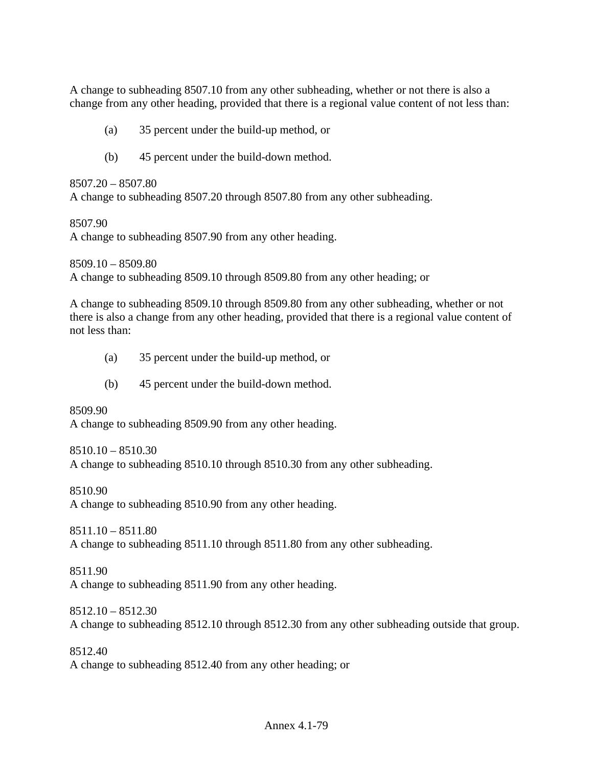A change to subheading 8507.10 from any other subheading, whether or not there is also a change from any other heading, provided that there is a regional value content of not less than:

- (a) 35 percent under the build-up method, or
- (b) 45 percent under the build-down method.

#### 8507.20 – 8507.80

A change to subheading 8507.20 through 8507.80 from any other subheading.

#### 8507.90

A change to subheading 8507.90 from any other heading.

8509.10 – 8509.80 A change to subheading 8509.10 through 8509.80 from any other heading; or

A change to subheading 8509.10 through 8509.80 from any other subheading, whether or not there is also a change from any other heading, provided that there is a regional value content of not less than:

- (a) 35 percent under the build-up method, or
- (b) 45 percent under the build-down method.

8509.90 A change to subheading 8509.90 from any other heading.

 $8510.10 - 8510.30$ A change to subheading 8510.10 through 8510.30 from any other subheading.

8510.90 A change to subheading 8510.90 from any other heading.

8511.10 – 8511.80 A change to subheading 8511.10 through 8511.80 from any other subheading.

8511.90 A change to subheading 8511.90 from any other heading.

 $8512.10 - 8512.30$ A change to subheading 8512.10 through 8512.30 from any other subheading outside that group.

8512.40 A change to subheading 8512.40 from any other heading; or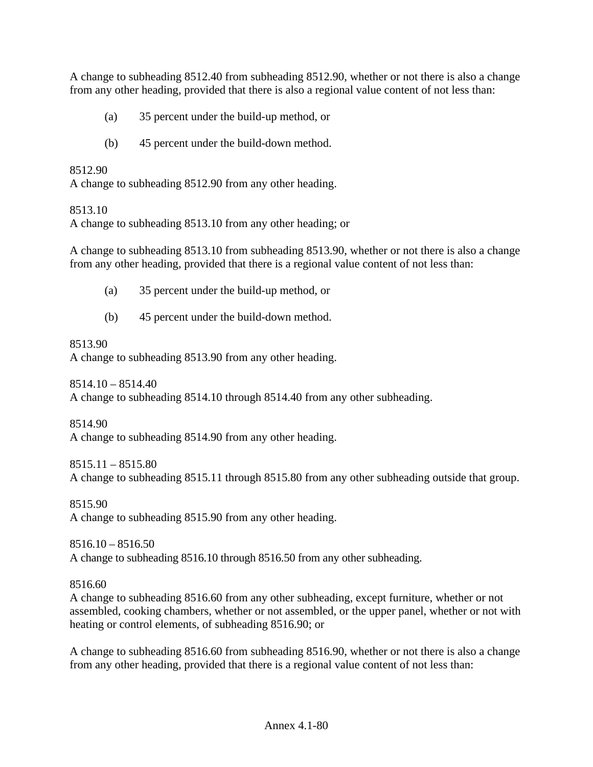A change to subheading 8512.40 from subheading 8512.90, whether or not there is also a change from any other heading, provided that there is also a regional value content of not less than:

- (a) 35 percent under the build-up method, or
- (b) 45 percent under the build-down method.

8512.90

A change to subheading 8512.90 from any other heading.

#### 8513.10

A change to subheading 8513.10 from any other heading; or

A change to subheading 8513.10 from subheading 8513.90, whether or not there is also a change from any other heading, provided that there is a regional value content of not less than:

- (a) 35 percent under the build-up method, or
- (b) 45 percent under the build-down method.

#### 8513.90

A change to subheading 8513.90 from any other heading.

8514.10 – 8514.40 A change to subheading 8514.10 through 8514.40 from any other subheading.

8514.90 A change to subheading 8514.90 from any other heading.

8515.11 – 8515.80 A change to subheading 8515.11 through 8515.80 from any other subheading outside that group.

8515.90 A change to subheading 8515.90 from any other heading.

 $8516.10 - 8516.50$ A change to subheading 8516.10 through 8516.50 from any other subheading.

### 8516.60

A change to subheading 8516.60 from any other subheading, except furniture, whether or not assembled, cooking chambers, whether or not assembled, or the upper panel, whether or not with heating or control elements, of subheading 8516.90; or

A change to subheading 8516.60 from subheading 8516.90, whether or not there is also a change from any other heading, provided that there is a regional value content of not less than: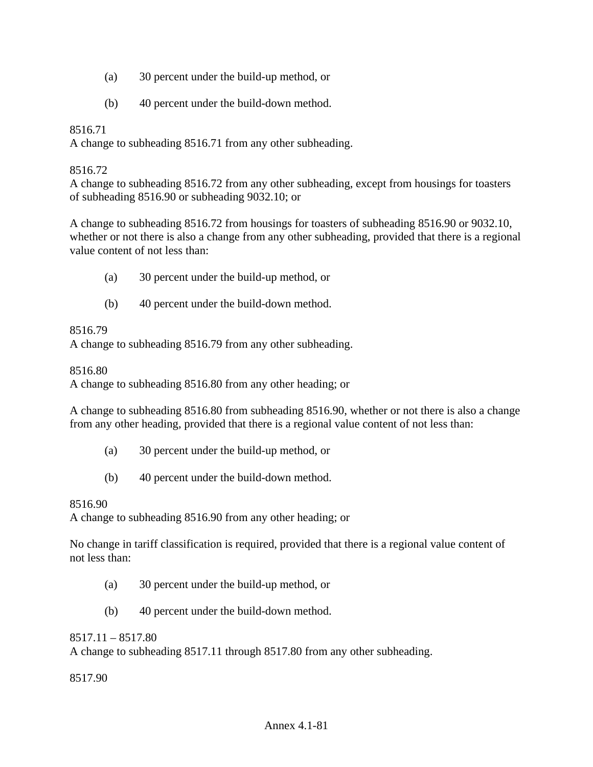- (a) 30 percent under the build-up method, or
- (b) 40 percent under the build-down method.

# 8516.71

A change to subheading 8516.71 from any other subheading.

### 8516.72

A change to subheading 8516.72 from any other subheading, except from housings for toasters of subheading 8516.90 or subheading 9032.10; or

A change to subheading 8516.72 from housings for toasters of subheading 8516.90 or 9032.10, whether or not there is also a change from any other subheading, provided that there is a regional value content of not less than:

- (a) 30 percent under the build-up method, or
- (b) 40 percent under the build-down method.

#### 8516.79

A change to subheading 8516.79 from any other subheading.

8516.80

A change to subheading 8516.80 from any other heading; or

A change to subheading 8516.80 from subheading 8516.90, whether or not there is also a change from any other heading, provided that there is a regional value content of not less than:

- (a) 30 percent under the build-up method, or
- (b) 40 percent under the build-down method.

#### 8516.90

A change to subheading 8516.90 from any other heading; or

No change in tariff classification is required, provided that there is a regional value content of not less than:

- (a) 30 percent under the build-up method, or
- (b) 40 percent under the build-down method.

#### 8517.11 – 8517.80

A change to subheading 8517.11 through 8517.80 from any other subheading.

8517.90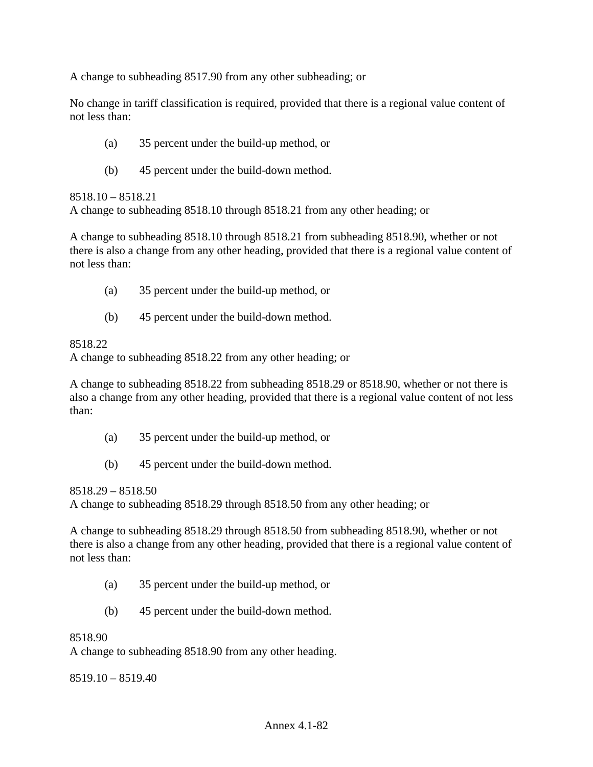A change to subheading 8517.90 from any other subheading; or

No change in tariff classification is required, provided that there is a regional value content of not less than:

- (a) 35 percent under the build-up method, or
- (b) 45 percent under the build-down method.

8518.10 – 8518.21

A change to subheading 8518.10 through 8518.21 from any other heading; or

A change to subheading 8518.10 through 8518.21 from subheading 8518.90, whether or not there is also a change from any other heading, provided that there is a regional value content of not less than:

- (a) 35 percent under the build-up method, or
- (b) 45 percent under the build-down method.

## 8518.22

A change to subheading 8518.22 from any other heading; or

A change to subheading 8518.22 from subheading 8518.29 or 8518.90, whether or not there is also a change from any other heading, provided that there is a regional value content of not less than:

- (a) 35 percent under the build-up method, or
- (b) 45 percent under the build-down method.

8518.29 – 8518.50

A change to subheading 8518.29 through 8518.50 from any other heading; or

A change to subheading 8518.29 through 8518.50 from subheading 8518.90, whether or not there is also a change from any other heading, provided that there is a regional value content of not less than:

- (a) 35 percent under the build-up method, or
- (b) 45 percent under the build-down method.

#### 8518.90

A change to subheading 8518.90 from any other heading.

8519.10 – 8519.40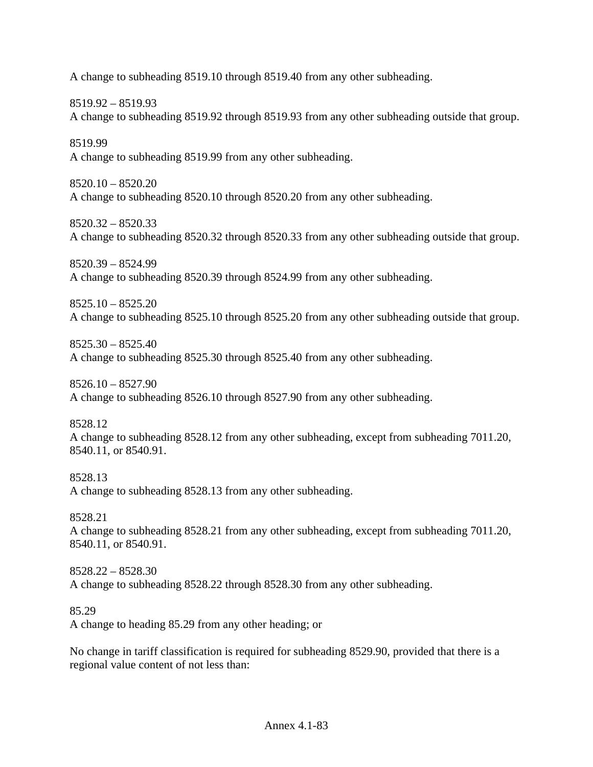A change to subheading 8519.10 through 8519.40 from any other subheading.

8519.92 – 8519.93

A change to subheading 8519.92 through 8519.93 from any other subheading outside that group.

8519.99 A change to subheading 8519.99 from any other subheading.

 $8520.10 - 8520.20$ A change to subheading 8520.10 through 8520.20 from any other subheading.

8520.32 – 8520.33 A change to subheading 8520.32 through 8520.33 from any other subheading outside that group.

8520.39 – 8524.99 A change to subheading 8520.39 through 8524.99 from any other subheading.

8525.10 – 8525.20 A change to subheading 8525.10 through 8525.20 from any other subheading outside that group.

8525.30 – 8525.40 A change to subheading 8525.30 through 8525.40 from any other subheading.

8526.10 – 8527.90 A change to subheading 8526.10 through 8527.90 from any other subheading.

8528.12

A change to subheading 8528.12 from any other subheading, except from subheading 7011.20, 8540.11, or 8540.91.

8528.13 A change to subheading 8528.13 from any other subheading.

8528.21

A change to subheading 8528.21 from any other subheading, except from subheading 7011.20, 8540.11, or 8540.91.

8528.22 – 8528.30 A change to subheading 8528.22 through 8528.30 from any other subheading.

85.29

A change to heading 85.29 from any other heading; or

No change in tariff classification is required for subheading 8529.90, provided that there is a regional value content of not less than: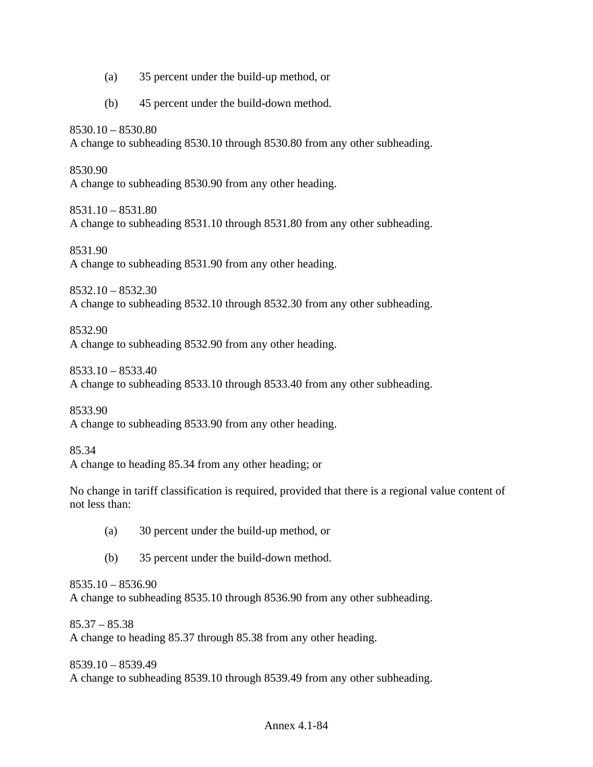- (a) 35 percent under the build-up method, or
- (b) 45 percent under the build-down method.

8530.10 – 8530.80 A change to subheading 8530.10 through 8530.80 from any other subheading.

8530.90 A change to subheading 8530.90 from any other heading.

8531.10 – 8531.80 A change to subheading 8531.10 through 8531.80 from any other subheading.

8531.90 A change to subheading 8531.90 from any other heading.

8532.10 – 8532.30 A change to subheading 8532.10 through 8532.30 from any other subheading.

8532.90 A change to subheading 8532.90 from any other heading.

8533.10 – 8533.40 A change to subheading 8533.10 through 8533.40 from any other subheading.

8533.90 A change to subheading 8533.90 from any other heading.

85.34 A change to heading 85.34 from any other heading; or

No change in tariff classification is required, provided that there is a regional value content of not less than:

- (a) 30 percent under the build-up method, or
- (b) 35 percent under the build-down method.

8535.10 – 8536.90 A change to subheading 8535.10 through 8536.90 from any other subheading.

 $85.37 - 85.38$ A change to heading 85.37 through 85.38 from any other heading.

8539.10 – 8539.49 A change to subheading 8539.10 through 8539.49 from any other subheading.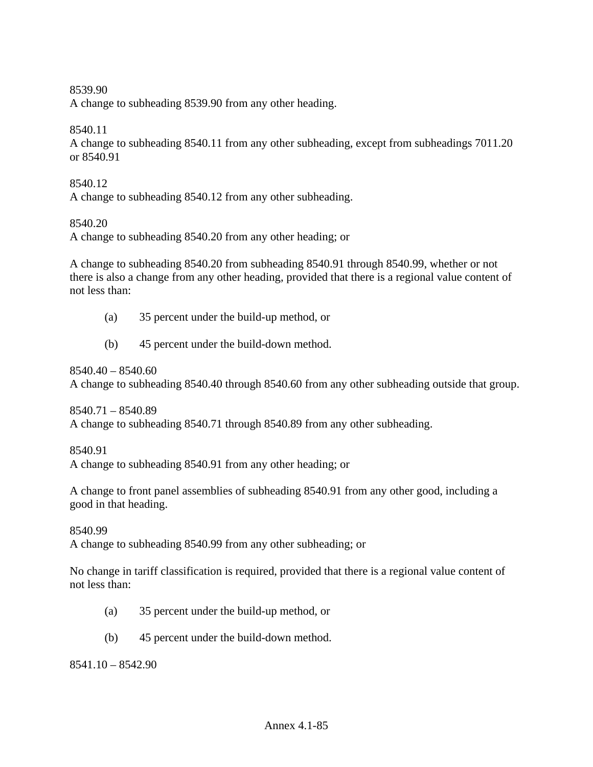### 8539.90

A change to subheading 8539.90 from any other heading.

## 8540.11

A change to subheading 8540.11 from any other subheading, except from subheadings 7011.20 or 8540.91

#### 8540.12

A change to subheading 8540.12 from any other subheading.

## 8540.20

A change to subheading 8540.20 from any other heading; or

A change to subheading 8540.20 from subheading 8540.91 through 8540.99, whether or not there is also a change from any other heading, provided that there is a regional value content of not less than:

- (a) 35 percent under the build-up method, or
- (b) 45 percent under the build-down method.

 $8540.40 - 8540.60$ 

A change to subheading 8540.40 through 8540.60 from any other subheading outside that group.

8540.71 – 8540.89 A change to subheading 8540.71 through 8540.89 from any other subheading.

8540.91

A change to subheading 8540.91 from any other heading; or

A change to front panel assemblies of subheading 8540.91 from any other good, including a good in that heading.

8540.99

A change to subheading 8540.99 from any other subheading; or

No change in tariff classification is required, provided that there is a regional value content of not less than:

- (a) 35 percent under the build-up method, or
- (b) 45 percent under the build-down method.

8541.10 – 8542.90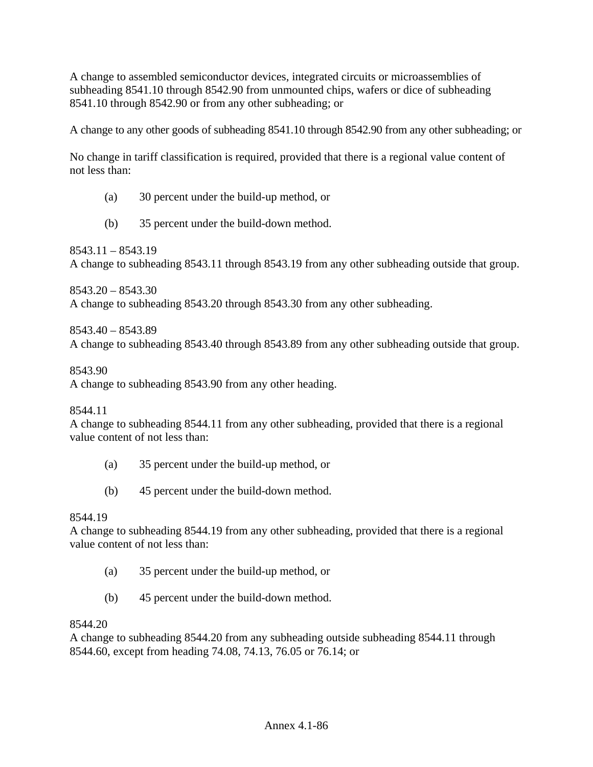A change to assembled semiconductor devices, integrated circuits or microassemblies of subheading 8541.10 through 8542.90 from unmounted chips, wafers or dice of subheading 8541.10 through 8542.90 or from any other subheading; or

A change to any other goods of subheading 8541.10 through 8542.90 from any other subheading; or

No change in tariff classification is required, provided that there is a regional value content of not less than:

- (a) 30 percent under the build-up method, or
- (b) 35 percent under the build-down method.

 $8543.11 - 8543.19$ A change to subheading 8543.11 through 8543.19 from any other subheading outside that group.

 $8543.20 - 8543.30$ A change to subheading 8543.20 through 8543.30 from any other subheading.

8543.40 – 8543.89 A change to subheading 8543.40 through 8543.89 from any other subheading outside that group.

8543.90

A change to subheading 8543.90 from any other heading.

8544.11

A change to subheading 8544.11 from any other subheading, provided that there is a regional value content of not less than:

- (a) 35 percent under the build-up method, or
- (b) 45 percent under the build-down method.

# 8544.19

A change to subheading 8544.19 from any other subheading, provided that there is a regional value content of not less than:

- (a) 35 percent under the build-up method, or
- (b) 45 percent under the build-down method.

#### 8544.20

A change to subheading 8544.20 from any subheading outside subheading 8544.11 through 8544.60, except from heading 74.08, 74.13, 76.05 or 76.14; or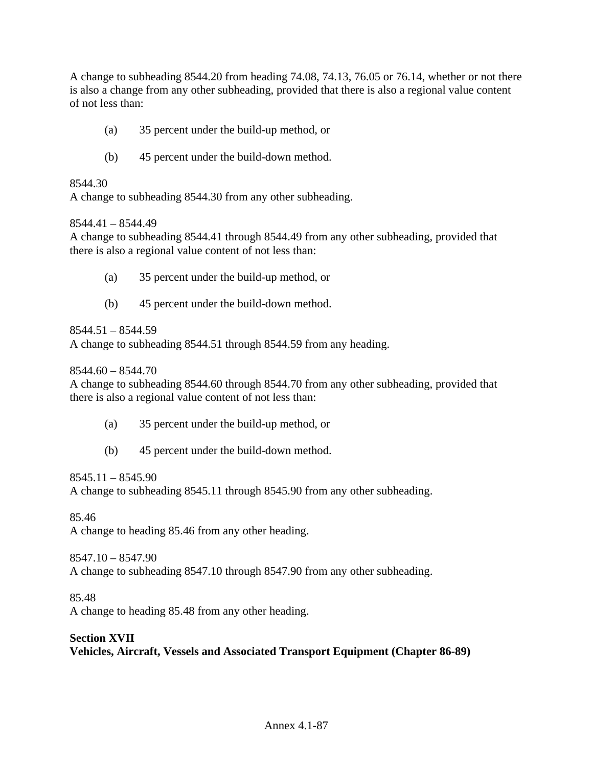A change to subheading 8544.20 from heading 74.08, 74.13, 76.05 or 76.14, whether or not there is also a change from any other subheading, provided that there is also a regional value content of not less than:

- (a) 35 percent under the build-up method, or
- (b) 45 percent under the build-down method.

### 8544.30

A change to subheading 8544.30 from any other subheading.

## 8544.41 – 8544.49

A change to subheading 8544.41 through 8544.49 from any other subheading, provided that there is also a regional value content of not less than:

- (a) 35 percent under the build-up method, or
- (b) 45 percent under the build-down method.

## 8544.51 – 8544.59

A change to subheading 8544.51 through 8544.59 from any heading.

 $8544.60 - 8544.70$ 

A change to subheading 8544.60 through 8544.70 from any other subheading, provided that there is also a regional value content of not less than:

- (a) 35 percent under the build-up method, or
- (b) 45 percent under the build-down method.

#### $8545.11 - 8545.90$

A change to subheading 8545.11 through 8545.90 from any other subheading.

85.46

A change to heading 85.46 from any other heading.

8547.10 – 8547.90

A change to subheading 8547.10 through 8547.90 from any other subheading.

85.48

A change to heading 85.48 from any other heading.

# **Section XVII**

**Vehicles, Aircraft, Vessels and Associated Transport Equipment (Chapter 86-89)**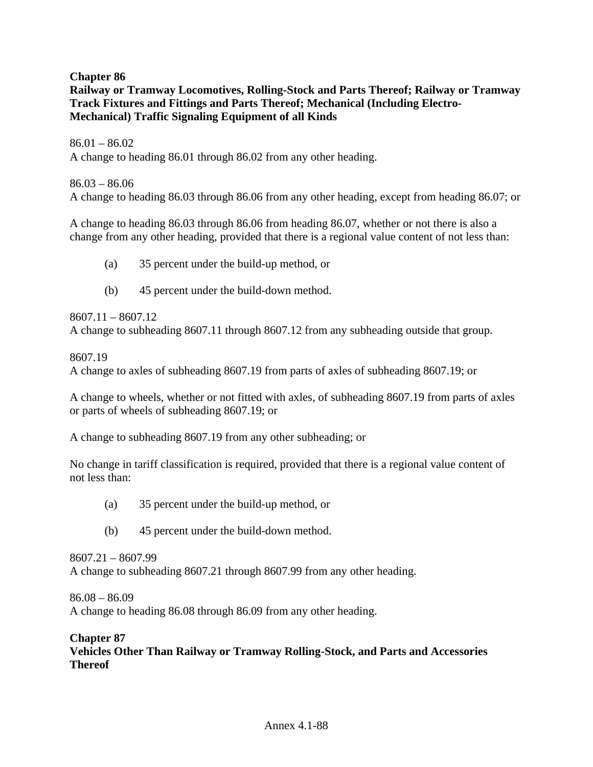**Chapter 86 Railway or Tramway Locomotives, Rolling-Stock and Parts Thereof; Railway or Tramway Track Fixtures and Fittings and Parts Thereof; Mechanical (Including Electro-Mechanical) Traffic Signaling Equipment of all Kinds**

 $86.01 - 86.02$ A change to heading 86.01 through 86.02 from any other heading.

86.03 – 86.06 A change to heading 86.03 through 86.06 from any other heading, except from heading 86.07; or

A change to heading 86.03 through 86.06 from heading 86.07, whether or not there is also a change from any other heading, provided that there is a regional value content of not less than:

- (a) 35 percent under the build-up method, or
- (b) 45 percent under the build-down method.

8607.11 – 8607.12 A change to subheading 8607.11 through 8607.12 from any subheading outside that group.

8607.19

A change to axles of subheading 8607.19 from parts of axles of subheading 8607.19; or

A change to wheels, whether or not fitted with axles, of subheading 8607.19 from parts of axles or parts of wheels of subheading 8607.19; or

A change to subheading 8607.19 from any other subheading; or

No change in tariff classification is required, provided that there is a regional value content of not less than:

- (a) 35 percent under the build-up method, or
- (b) 45 percent under the build-down method.

8607.21 – 8607.99 A change to subheading 8607.21 through 8607.99 from any other heading.

 $86.08 - 86.09$ 

A change to heading 86.08 through 86.09 from any other heading.

# **Chapter 87**

**Vehicles Other Than Railway or Tramway Rolling-Stock, and Parts and Accessories Thereof**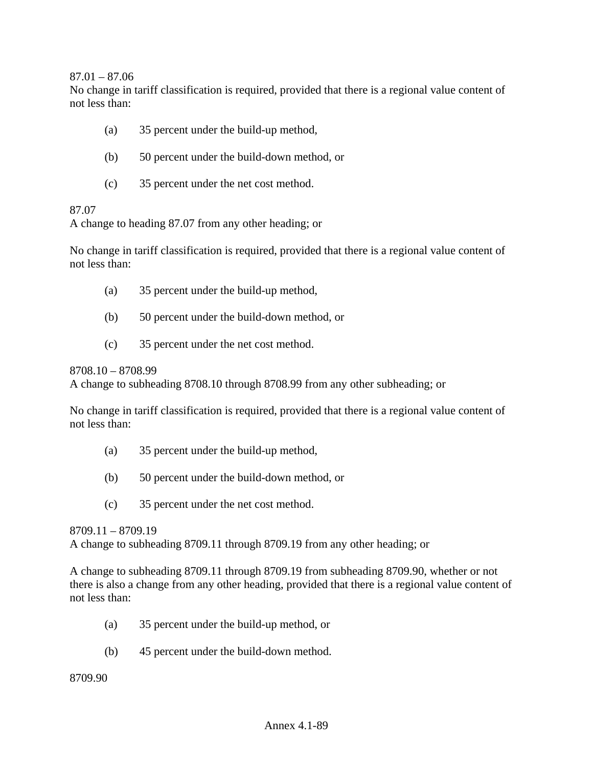$87.01 - 87.06$ 

No change in tariff classification is required, provided that there is a regional value content of not less than:

- (a) 35 percent under the build-up method,
- (b) 50 percent under the build-down method, or
- (c) 35 percent under the net cost method.

#### 87.07

A change to heading 87.07 from any other heading; or

No change in tariff classification is required, provided that there is a regional value content of not less than:

- (a) 35 percent under the build-up method,
- (b) 50 percent under the build-down method, or
- (c) 35 percent under the net cost method.

8708.10 – 8708.99

A change to subheading 8708.10 through 8708.99 from any other subheading; or

No change in tariff classification is required, provided that there is a regional value content of not less than:

- (a) 35 percent under the build-up method,
- (b) 50 percent under the build-down method, or
- (c) 35 percent under the net cost method.

8709.11 – 8709.19

A change to subheading 8709.11 through 8709.19 from any other heading; or

A change to subheading 8709.11 through 8709.19 from subheading 8709.90, whether or not there is also a change from any other heading, provided that there is a regional value content of not less than:

- (a) 35 percent under the build-up method, or
- (b) 45 percent under the build-down method.

8709.90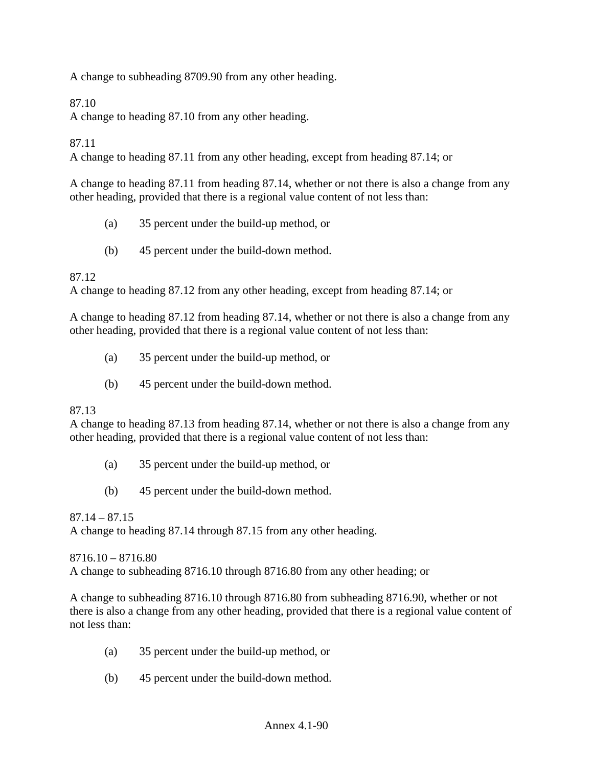A change to subheading 8709.90 from any other heading.

# 87.10

A change to heading 87.10 from any other heading.

# 87.11

A change to heading 87.11 from any other heading, except from heading 87.14; or

A change to heading 87.11 from heading 87.14, whether or not there is also a change from any other heading, provided that there is a regional value content of not less than:

- (a) 35 percent under the build-up method, or
- (b) 45 percent under the build-down method.

## 87.12

A change to heading 87.12 from any other heading, except from heading 87.14; or

A change to heading 87.12 from heading 87.14, whether or not there is also a change from any other heading, provided that there is a regional value content of not less than:

- (a) 35 percent under the build-up method, or
- (b) 45 percent under the build-down method.

#### 87.13

A change to heading 87.13 from heading 87.14, whether or not there is also a change from any other heading, provided that there is a regional value content of not less than:

- (a) 35 percent under the build-up method, or
- (b) 45 percent under the build-down method.

### $87.14 - 87.15$

A change to heading 87.14 through 87.15 from any other heading.

8716.10 – 8716.80

A change to subheading 8716.10 through 8716.80 from any other heading; or

A change to subheading 8716.10 through 8716.80 from subheading 8716.90, whether or not there is also a change from any other heading, provided that there is a regional value content of not less than:

- (a) 35 percent under the build-up method, or
- (b) 45 percent under the build-down method.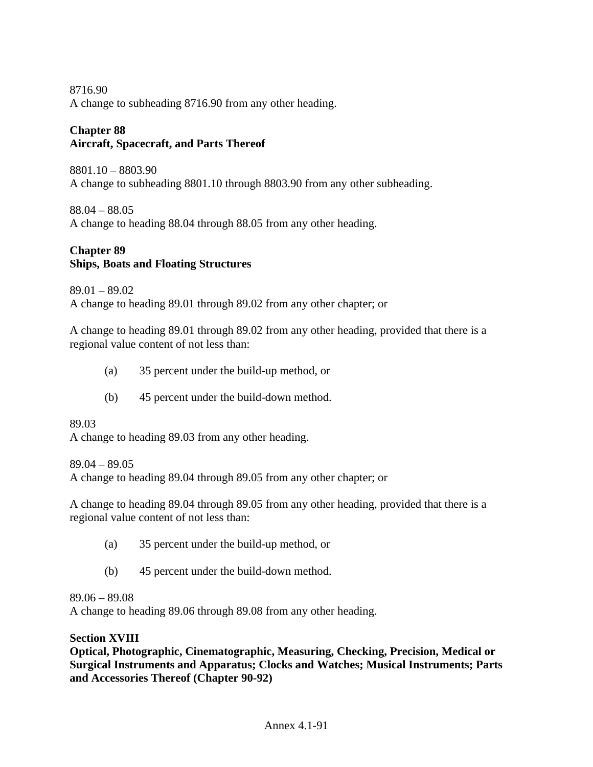8716.90 A change to subheading 8716.90 from any other heading.

# **Chapter 88 Aircraft, Spacecraft, and Parts Thereof**

8801.10 – 8803.90 A change to subheading 8801.10 through 8803.90 from any other subheading.

88.04 – 88.05 A change to heading 88.04 through 88.05 from any other heading.

# **Chapter 89 Ships, Boats and Floating Structures**

89.01 – 89.02

A change to heading 89.01 through 89.02 from any other chapter; or

A change to heading 89.01 through 89.02 from any other heading, provided that there is a regional value content of not less than:

- (a) 35 percent under the build-up method, or
- (b) 45 percent under the build-down method.

89.03

A change to heading 89.03 from any other heading.

89.04 – 89.05

A change to heading 89.04 through 89.05 from any other chapter; or

A change to heading 89.04 through 89.05 from any other heading, provided that there is a regional value content of not less than:

- (a) 35 percent under the build-up method, or
- (b) 45 percent under the build-down method.

# 89.06 – 89.08

A change to heading 89.06 through 89.08 from any other heading.

#### **Section XVIII**

**Optical, Photographic, Cinematographic, Measuring, Checking, Precision, Medical or Surgical Instruments and Apparatus; Clocks and Watches; Musical Instruments; Parts and Accessories Thereof (Chapter 90-92)**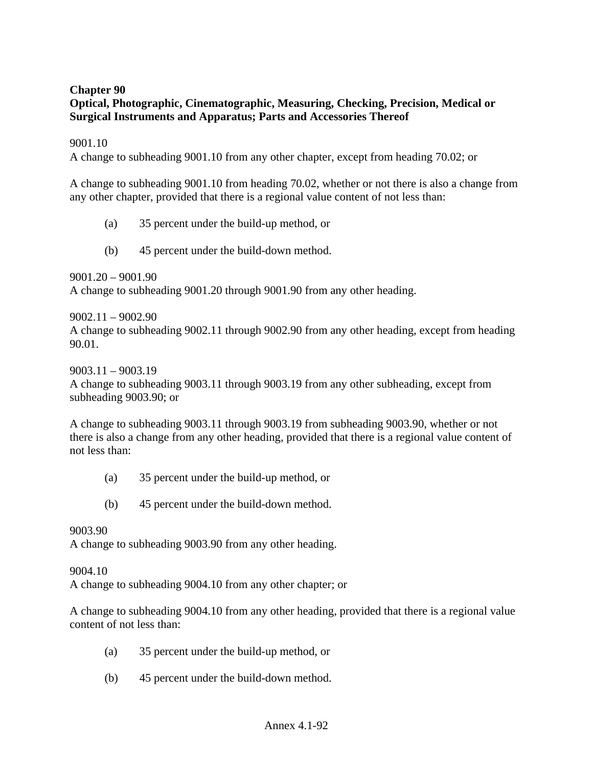# **Chapter 90**

# **Optical, Photographic, Cinematographic, Measuring, Checking, Precision, Medical or Surgical Instruments and Apparatus; Parts and Accessories Thereof**

#### 9001.10

A change to subheading 9001.10 from any other chapter, except from heading 70.02; or

A change to subheading 9001.10 from heading 70.02, whether or not there is also a change from any other chapter, provided that there is a regional value content of not less than:

- (a) 35 percent under the build-up method, or
- (b) 45 percent under the build-down method.

9001.20 – 9001.90 A change to subheading 9001.20 through 9001.90 from any other heading.

9002.11 – 9002.90

A change to subheading 9002.11 through 9002.90 from any other heading, except from heading 90.01.

9003.11 – 9003.19

A change to subheading 9003.11 through 9003.19 from any other subheading, except from subheading 9003.90; or

A change to subheading 9003.11 through 9003.19 from subheading 9003.90, whether or not there is also a change from any other heading, provided that there is a regional value content of not less than:

- (a) 35 percent under the build-up method, or
- (b) 45 percent under the build-down method.

#### 9003.90

A change to subheading 9003.90 from any other heading.

#### 9004.10

A change to subheading 9004.10 from any other chapter; or

A change to subheading 9004.10 from any other heading, provided that there is a regional value content of not less than:

- (a) 35 percent under the build-up method, or
- (b) 45 percent under the build-down method.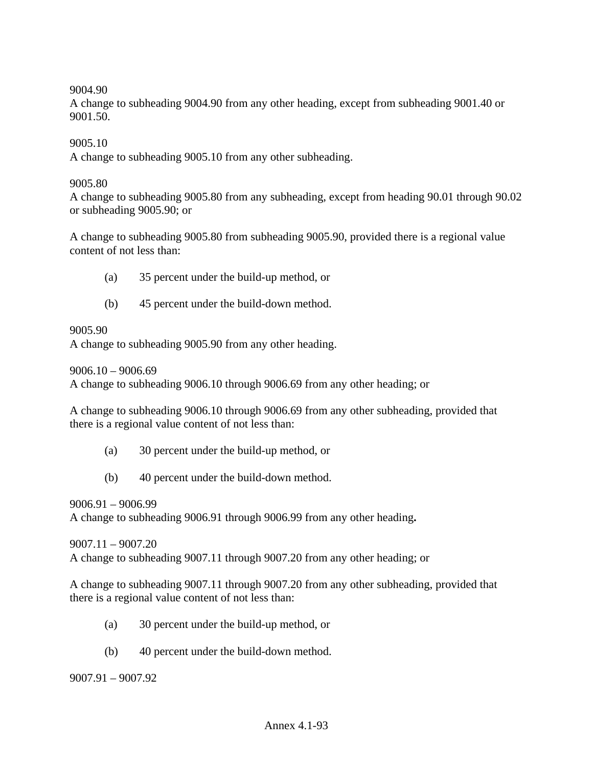### 9004.90

A change to subheading 9004.90 from any other heading, except from subheading 9001.40 or 9001.50.

9005.10

A change to subheading 9005.10 from any other subheading.

#### 9005.80

A change to subheading 9005.80 from any subheading, except from heading 90.01 through 90.02 or subheading 9005.90; or

A change to subheading 9005.80 from subheading 9005.90, provided there is a regional value content of not less than:

- (a) 35 percent under the build-up method, or
- (b) 45 percent under the build-down method.

#### 9005.90

A change to subheading 9005.90 from any other heading.

 $9006.10 - 9006.69$ 

A change to subheading 9006.10 through 9006.69 from any other heading; or

A change to subheading 9006.10 through 9006.69 from any other subheading, provided that there is a regional value content of not less than:

- (a) 30 percent under the build-up method, or
- (b) 40 percent under the build-down method.

9006.91 – 9006.99

A change to subheading 9006.91 through 9006.99 from any other heading**.** 

9007.11 – 9007.20

A change to subheading 9007.11 through 9007.20 from any other heading; or

A change to subheading 9007.11 through 9007.20 from any other subheading, provided that there is a regional value content of not less than:

- (a) 30 percent under the build-up method, or
- (b) 40 percent under the build-down method.

9007.91 – 9007.92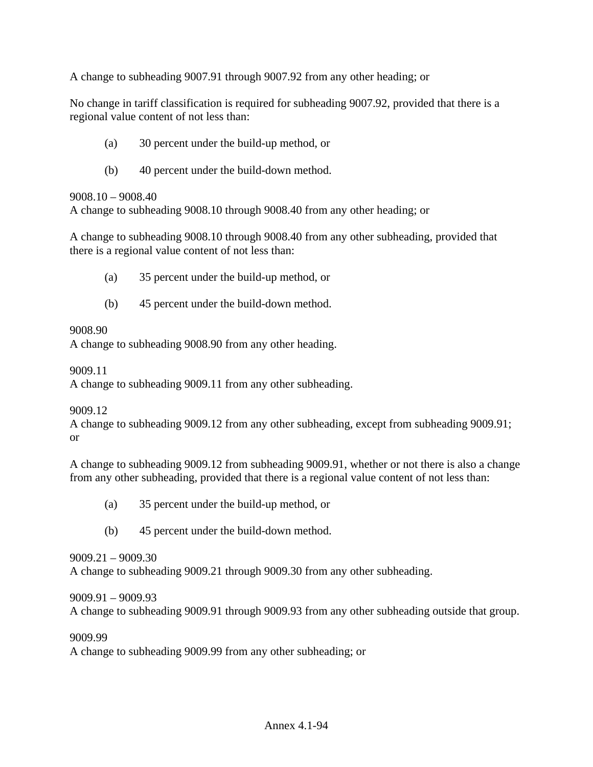A change to subheading 9007.91 through 9007.92 from any other heading; or

No change in tariff classification is required for subheading 9007.92, provided that there is a regional value content of not less than:

- (a) 30 percent under the build-up method, or
- (b) 40 percent under the build-down method.

### 9008.10 – 9008.40

A change to subheading 9008.10 through 9008.40 from any other heading; or

A change to subheading 9008.10 through 9008.40 from any other subheading, provided that there is a regional value content of not less than:

- (a) 35 percent under the build-up method, or
- (b) 45 percent under the build-down method.

## 9008.90

A change to subheading 9008.90 from any other heading.

9009.11

A change to subheading 9009.11 from any other subheading.

# 9009.12

A change to subheading 9009.12 from any other subheading, except from subheading 9009.91; or

A change to subheading 9009.12 from subheading 9009.91, whether or not there is also a change from any other subheading, provided that there is a regional value content of not less than:

- (a) 35 percent under the build-up method, or
- (b) 45 percent under the build-down method.

# 9009.21 – 9009.30

A change to subheading 9009.21 through 9009.30 from any other subheading.

# 9009.91 – 9009.93

A change to subheading 9009.91 through 9009.93 from any other subheading outside that group.

9009.99

A change to subheading 9009.99 from any other subheading; or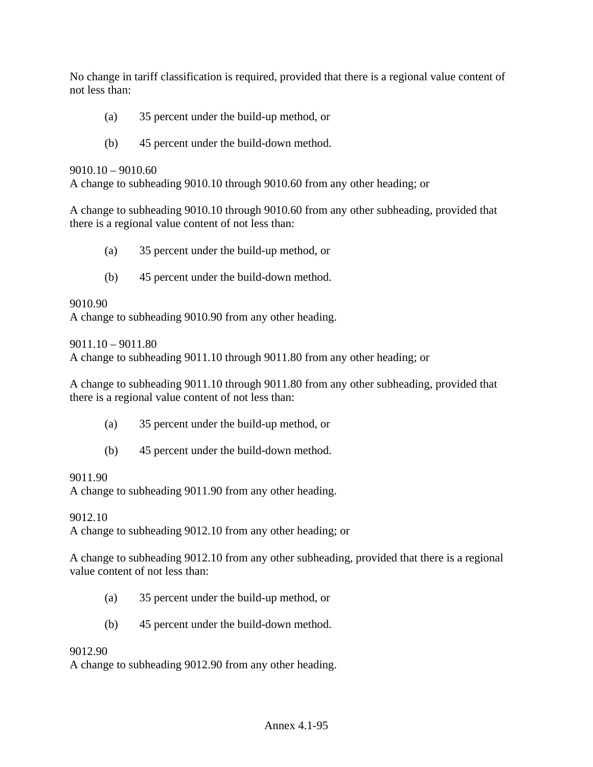No change in tariff classification is required, provided that there is a regional value content of not less than:

- (a) 35 percent under the build-up method, or
- (b) 45 percent under the build-down method.

#### 9010.10 – 9010.60

A change to subheading 9010.10 through 9010.60 from any other heading; or

A change to subheading 9010.10 through 9010.60 from any other subheading, provided that there is a regional value content of not less than:

- (a) 35 percent under the build-up method, or
- (b) 45 percent under the build-down method.

#### 9010.90

A change to subheading 9010.90 from any other heading.

9011.10 – 9011.80

A change to subheading 9011.10 through 9011.80 from any other heading; or

A change to subheading 9011.10 through 9011.80 from any other subheading, provided that there is a regional value content of not less than:

- (a) 35 percent under the build-up method, or
- (b) 45 percent under the build-down method.

#### 9011.90

A change to subheading 9011.90 from any other heading.

#### 9012.10

A change to subheading 9012.10 from any other heading; or

A change to subheading 9012.10 from any other subheading, provided that there is a regional value content of not less than:

- (a) 35 percent under the build-up method, or
- (b) 45 percent under the build-down method.

#### 9012.90

A change to subheading 9012.90 from any other heading.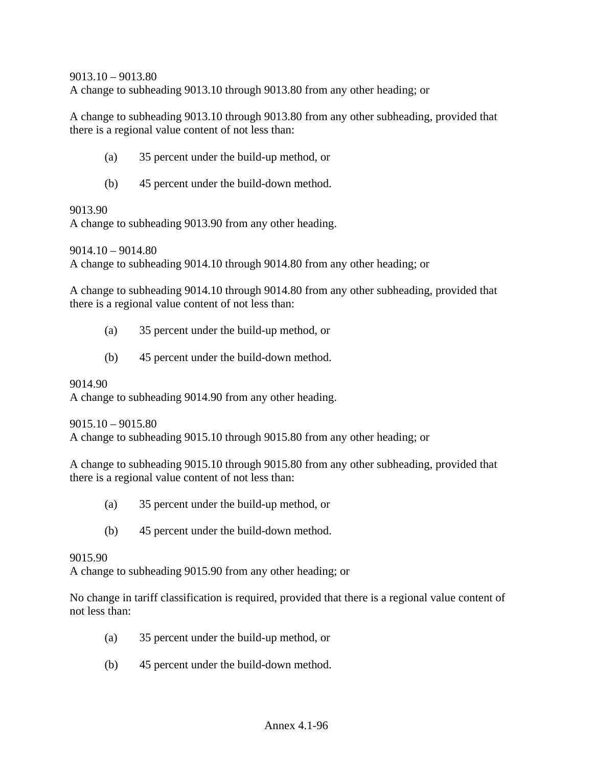9013.10 – 9013.80 A change to subheading 9013.10 through 9013.80 from any other heading; or

A change to subheading 9013.10 through 9013.80 from any other subheading, provided that there is a regional value content of not less than:

- (a) 35 percent under the build-up method, or
- (b) 45 percent under the build-down method.

#### 9013.90

A change to subheading 9013.90 from any other heading.

9014.10 – 9014.80

A change to subheading 9014.10 through 9014.80 from any other heading; or

A change to subheading 9014.10 through 9014.80 from any other subheading, provided that there is a regional value content of not less than:

- (a) 35 percent under the build-up method, or
- (b) 45 percent under the build-down method.

#### 9014.90

A change to subheading 9014.90 from any other heading.

9015.10 – 9015.80

A change to subheading 9015.10 through 9015.80 from any other heading; or

A change to subheading 9015.10 through 9015.80 from any other subheading, provided that there is a regional value content of not less than:

- (a) 35 percent under the build-up method, or
- (b) 45 percent under the build-down method.

9015.90

A change to subheading 9015.90 from any other heading; or

No change in tariff classification is required, provided that there is a regional value content of not less than:

- (a) 35 percent under the build-up method, or
- (b) 45 percent under the build-down method.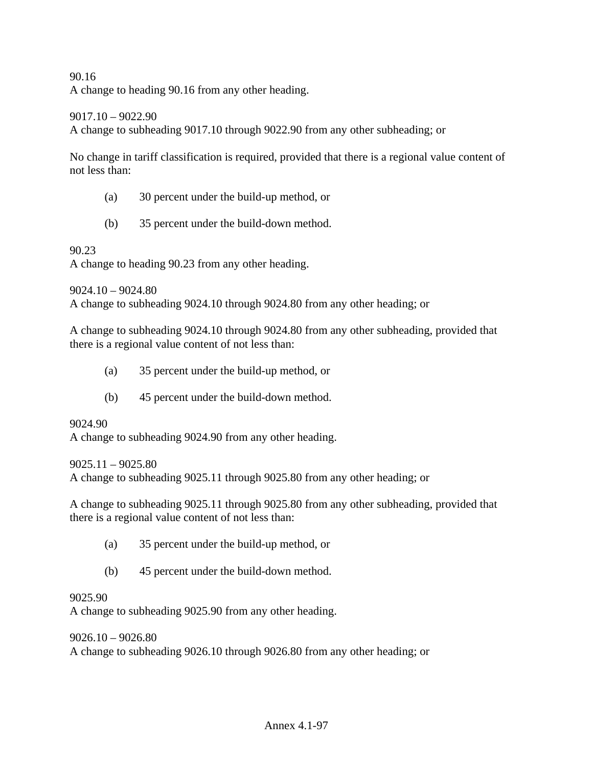### 90.16

A change to heading 90.16 from any other heading.

#### 9017.10 – 9022.90

A change to subheading 9017.10 through 9022.90 from any other subheading; or

No change in tariff classification is required, provided that there is a regional value content of not less than:

- (a) 30 percent under the build-up method, or
- (b) 35 percent under the build-down method.

90.23

A change to heading 90.23 from any other heading.

9024.10 – 9024.80

A change to subheading 9024.10 through 9024.80 from any other heading; or

A change to subheading 9024.10 through 9024.80 from any other subheading, provided that there is a regional value content of not less than:

- (a) 35 percent under the build-up method, or
- (b) 45 percent under the build-down method.

9024.90

A change to subheading 9024.90 from any other heading.

9025.11 – 9025.80

A change to subheading 9025.11 through 9025.80 from any other heading; or

A change to subheading 9025.11 through 9025.80 from any other subheading, provided that there is a regional value content of not less than:

- (a) 35 percent under the build-up method, or
- (b) 45 percent under the build-down method.

#### 9025.90

A change to subheading 9025.90 from any other heading.

 $9026.10 - 9026.80$ 

A change to subheading 9026.10 through 9026.80 from any other heading; or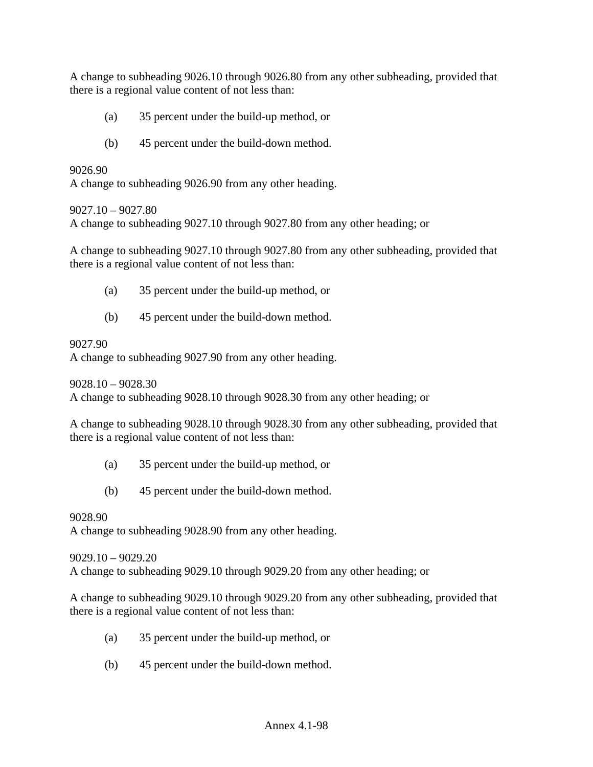A change to subheading 9026.10 through 9026.80 from any other subheading, provided that there is a regional value content of not less than:

- (a) 35 percent under the build-up method, or
- (b) 45 percent under the build-down method.

### 9026.90

A change to subheading 9026.90 from any other heading.

#### 9027.10 – 9027.80

A change to subheading 9027.10 through 9027.80 from any other heading; or

A change to subheading 9027.10 through 9027.80 from any other subheading, provided that there is a regional value content of not less than:

- (a) 35 percent under the build-up method, or
- (b) 45 percent under the build-down method.

#### 9027.90

A change to subheading 9027.90 from any other heading.

9028.10 – 9028.30

A change to subheading 9028.10 through 9028.30 from any other heading; or

A change to subheading 9028.10 through 9028.30 from any other subheading, provided that there is a regional value content of not less than:

- (a) 35 percent under the build-up method, or
- (b) 45 percent under the build-down method.

# 9028.90 A change to subheading 9028.90 from any other heading.

9029.10 – 9029.20 A change to subheading 9029.10 through 9029.20 from any other heading; or

A change to subheading 9029.10 through 9029.20 from any other subheading, provided that there is a regional value content of not less than:

- (a) 35 percent under the build-up method, or
- (b) 45 percent under the build-down method.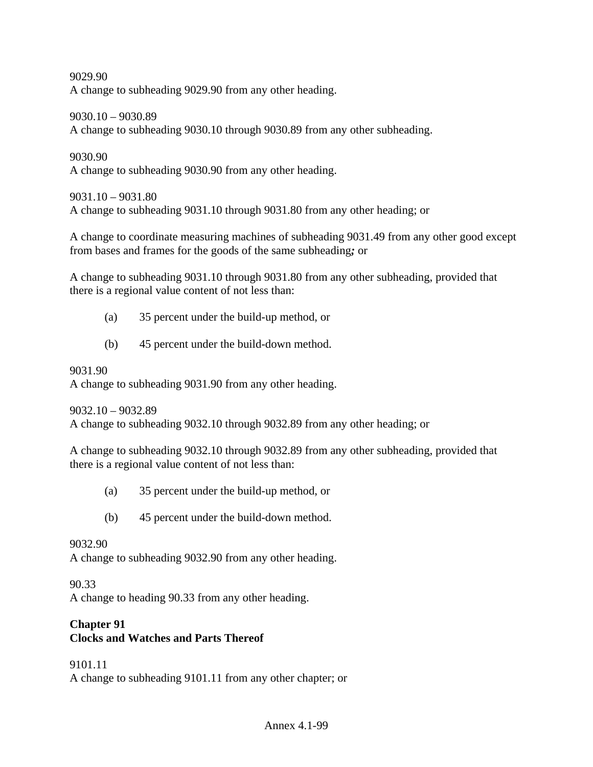9029.90 A change to subheading 9029.90 from any other heading.

9030.10 – 9030.89 A change to subheading 9030.10 through 9030.89 from any other subheading.

9030.90 A change to subheading 9030.90 from any other heading.

9031.10 – 9031.80 A change to subheading 9031.10 through 9031.80 from any other heading; or

A change to coordinate measuring machines of subheading 9031.49 from any other good except from bases and frames for the goods of the same subheading*;* or

A change to subheading 9031.10 through 9031.80 from any other subheading, provided that there is a regional value content of not less than:

- (a) 35 percent under the build-up method, or
- (b) 45 percent under the build-down method.

# 9031.90

A change to subheading 9031.90 from any other heading.

9032.10 – 9032.89

A change to subheading 9032.10 through 9032.89 from any other heading; or

A change to subheading 9032.10 through 9032.89 from any other subheading, provided that there is a regional value content of not less than:

- (a) 35 percent under the build-up method, or
- (b) 45 percent under the build-down method.

# 9032.90

A change to subheading 9032.90 from any other heading.

90.33

A change to heading 90.33 from any other heading.

#### **Chapter 91 Clocks and Watches and Parts Thereof**

# 9101.11

A change to subheading 9101.11 from any other chapter; or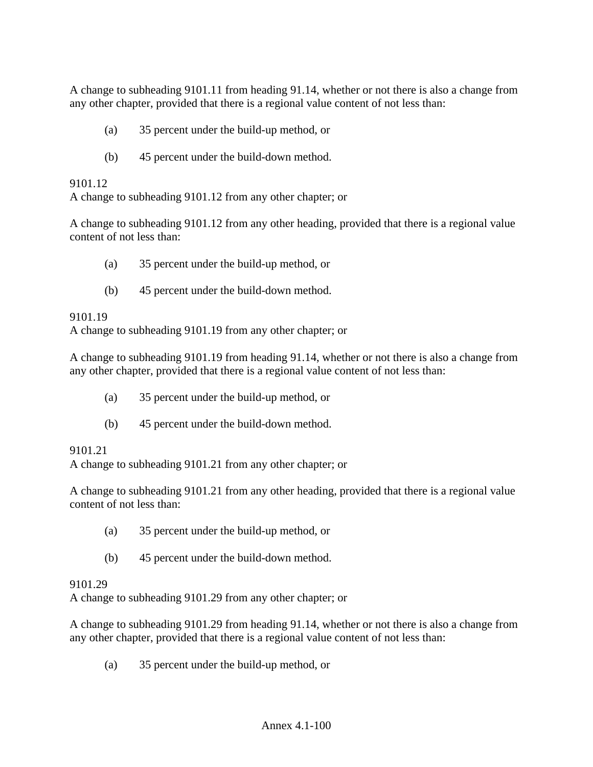A change to subheading 9101.11 from heading 91.14, whether or not there is also a change from any other chapter, provided that there is a regional value content of not less than:

- (a) 35 percent under the build-up method, or
- (b) 45 percent under the build-down method.

## 9101.12

A change to subheading 9101.12 from any other chapter; or

A change to subheading 9101.12 from any other heading, provided that there is a regional value content of not less than:

- (a) 35 percent under the build-up method, or
- (b) 45 percent under the build-down method.

## 9101.19

A change to subheading 9101.19 from any other chapter; or

A change to subheading 9101.19 from heading 91.14, whether or not there is also a change from any other chapter, provided that there is a regional value content of not less than:

- (a) 35 percent under the build-up method, or
- (b) 45 percent under the build-down method.

#### 9101.21

A change to subheading 9101.21 from any other chapter; or

A change to subheading 9101.21 from any other heading, provided that there is a regional value content of not less than:

- (a) 35 percent under the build-up method, or
- (b) 45 percent under the build-down method.

#### 9101.29

A change to subheading 9101.29 from any other chapter; or

A change to subheading 9101.29 from heading 91.14, whether or not there is also a change from any other chapter, provided that there is a regional value content of not less than:

(a) 35 percent under the build-up method, or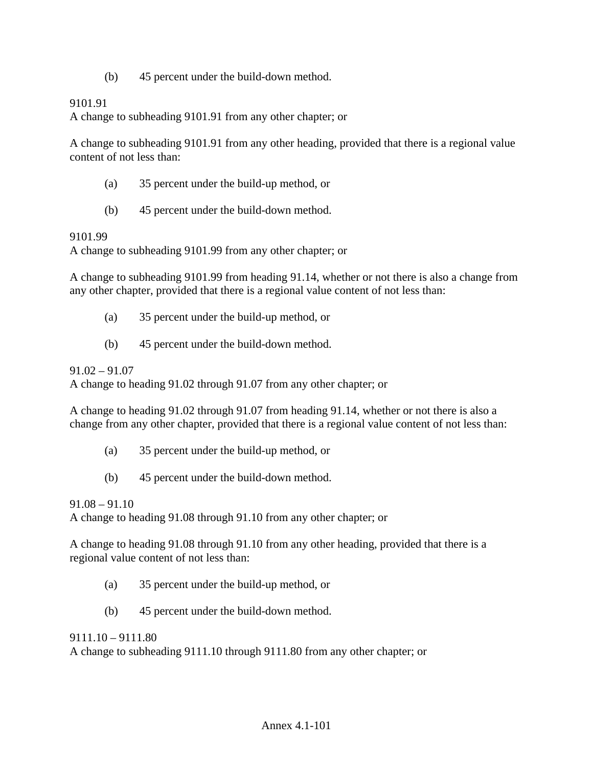(b) 45 percent under the build-down method.

### 9101.91

A change to subheading 9101.91 from any other chapter; or

A change to subheading 9101.91 from any other heading, provided that there is a regional value content of not less than:

- (a) 35 percent under the build-up method, or
- (b) 45 percent under the build-down method.

#### 9101.99

A change to subheading 9101.99 from any other chapter; or

A change to subheading 9101.99 from heading 91.14, whether or not there is also a change from any other chapter, provided that there is a regional value content of not less than:

- (a) 35 percent under the build-up method, or
- (b) 45 percent under the build-down method.

91.02 – 91.07

A change to heading 91.02 through 91.07 from any other chapter; or

A change to heading 91.02 through 91.07 from heading 91.14, whether or not there is also a change from any other chapter, provided that there is a regional value content of not less than:

- (a) 35 percent under the build-up method, or
- (b) 45 percent under the build-down method.

 $91.08 - 91.10$ 

A change to heading 91.08 through 91.10 from any other chapter; or

A change to heading 91.08 through 91.10 from any other heading, provided that there is a regional value content of not less than:

- (a) 35 percent under the build-up method, or
- (b) 45 percent under the build-down method.

 $9111.10 - 9111.80$ 

A change to subheading 9111.10 through 9111.80 from any other chapter; or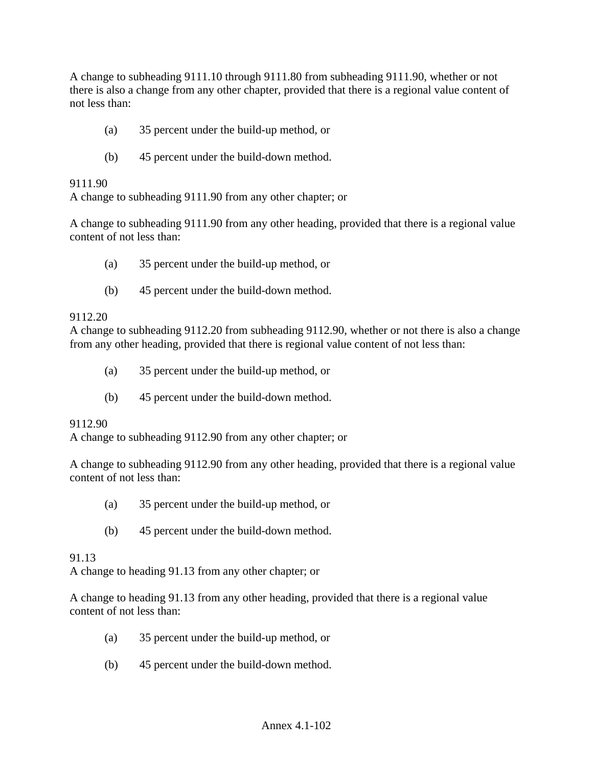A change to subheading 9111.10 through 9111.80 from subheading 9111.90, whether or not there is also a change from any other chapter, provided that there is a regional value content of not less than:

- (a) 35 percent under the build-up method, or
- (b) 45 percent under the build-down method.

### 9111.90

A change to subheading 9111.90 from any other chapter; or

A change to subheading 9111.90 from any other heading, provided that there is a regional value content of not less than:

- (a) 35 percent under the build-up method, or
- (b) 45 percent under the build-down method.

## 9112.20

A change to subheading 9112.20 from subheading 9112.90, whether or not there is also a change from any other heading, provided that there is regional value content of not less than:

- (a) 35 percent under the build-up method, or
- (b) 45 percent under the build-down method.

#### 9112.90

A change to subheading 9112.90 from any other chapter; or

A change to subheading 9112.90 from any other heading, provided that there is a regional value content of not less than:

- (a) 35 percent under the build-up method, or
- (b) 45 percent under the build-down method.

#### 91.13

A change to heading 91.13 from any other chapter; or

A change to heading 91.13 from any other heading, provided that there is a regional value content of not less than:

- (a) 35 percent under the build-up method, or
- (b) 45 percent under the build-down method.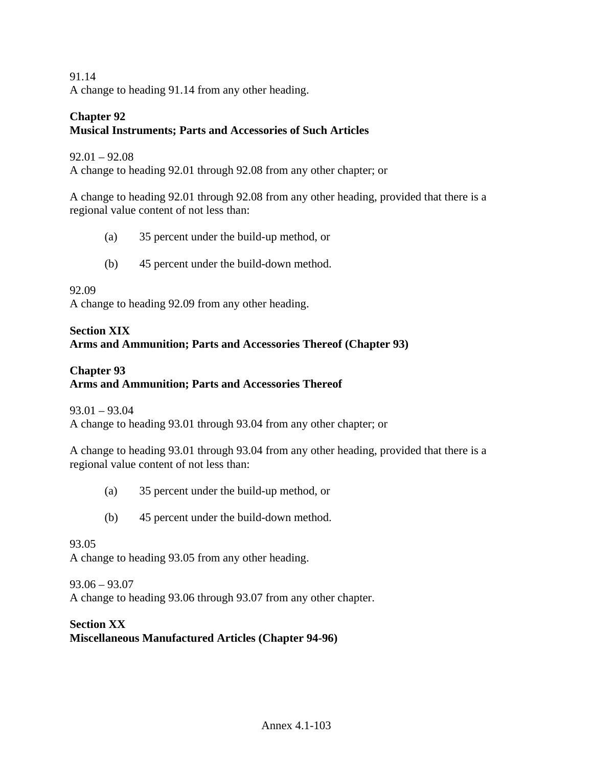91.14 A change to heading 91.14 from any other heading.

#### **Chapter 92 Musical Instruments; Parts and Accessories of Such Articles**

## 92.01 – 92.08

A change to heading 92.01 through 92.08 from any other chapter; or

A change to heading 92.01 through 92.08 from any other heading, provided that there is a regional value content of not less than:

- (a) 35 percent under the build-up method, or
- (b) 45 percent under the build-down method.

## 92.09

A change to heading 92.09 from any other heading.

# **Section XIX Arms and Ammunition; Parts and Accessories Thereof (Chapter 93)**

## **Chapter 93 Arms and Ammunition; Parts and Accessories Thereof**

93.01 – 93.04 A change to heading 93.01 through 93.04 from any other chapter; or

A change to heading 93.01 through 93.04 from any other heading, provided that there is a regional value content of not less than:

- (a) 35 percent under the build-up method, or
- (b) 45 percent under the build-down method.

#### 93.05

A change to heading 93.05 from any other heading.

#### 93.06 – 93.07

A change to heading 93.06 through 93.07 from any other chapter.

# **Section XX Miscellaneous Manufactured Articles (Chapter 94-96)**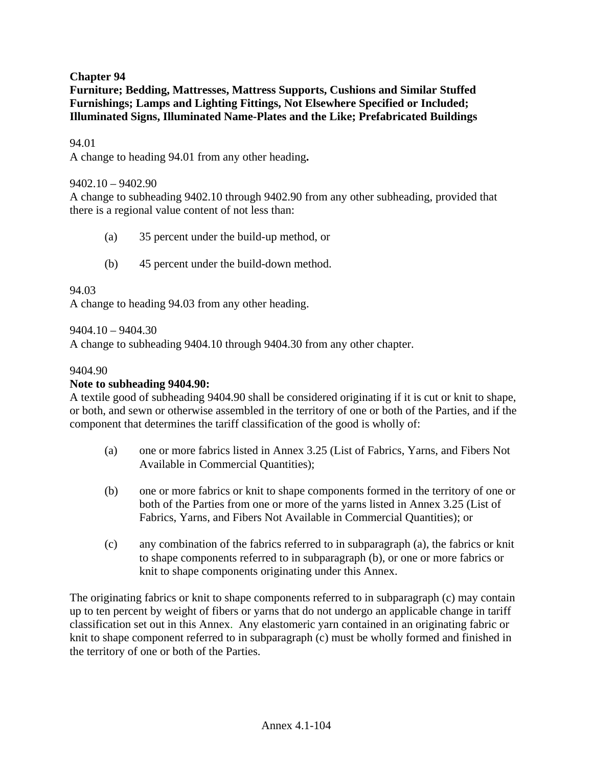# **Chapter 94**

**Furniture; Bedding, Mattresses, Mattress Supports, Cushions and Similar Stuffed Furnishings; Lamps and Lighting Fittings, Not Elsewhere Specified or Included; Illuminated Signs, Illuminated Name-Plates and the Like; Prefabricated Buildings** 

## 94.01

A change to heading 94.01 from any other heading**.** 

#### 9402.10 – 9402.90

A change to subheading 9402.10 through 9402.90 from any other subheading, provided that there is a regional value content of not less than:

- (a) 35 percent under the build-up method, or
- (b) 45 percent under the build-down method.

#### 94.03

A change to heading 94.03 from any other heading.

 $9404.10 - 9404.30$ 

A change to subheading 9404.10 through 9404.30 from any other chapter.

#### 9404.90

#### **Note to subheading 9404.90:**

A textile good of subheading 9404.90 shall be considered originating if it is cut or knit to shape, or both, and sewn or otherwise assembled in the territory of one or both of the Parties, and if the component that determines the tariff classification of the good is wholly of:

- (a) one or more fabrics listed in Annex 3.25 (List of Fabrics, Yarns, and Fibers Not Available in Commercial Quantities);
- (b) one or more fabrics or knit to shape components formed in the territory of one or both of the Parties from one or more of the yarns listed in Annex 3.25 (List of Fabrics, Yarns, and Fibers Not Available in Commercial Quantities); or
- (c) any combination of the fabrics referred to in subparagraph (a), the fabrics or knit to shape components referred to in subparagraph (b), or one or more fabrics or knit to shape components originating under this Annex.

The originating fabrics or knit to shape components referred to in subparagraph (c) may contain up to ten percent by weight of fibers or yarns that do not undergo an applicable change in tariff classification set out in this Annex. Any elastomeric yarn contained in an originating fabric or knit to shape component referred to in subparagraph (c) must be wholly formed and finished in the territory of one or both of the Parties.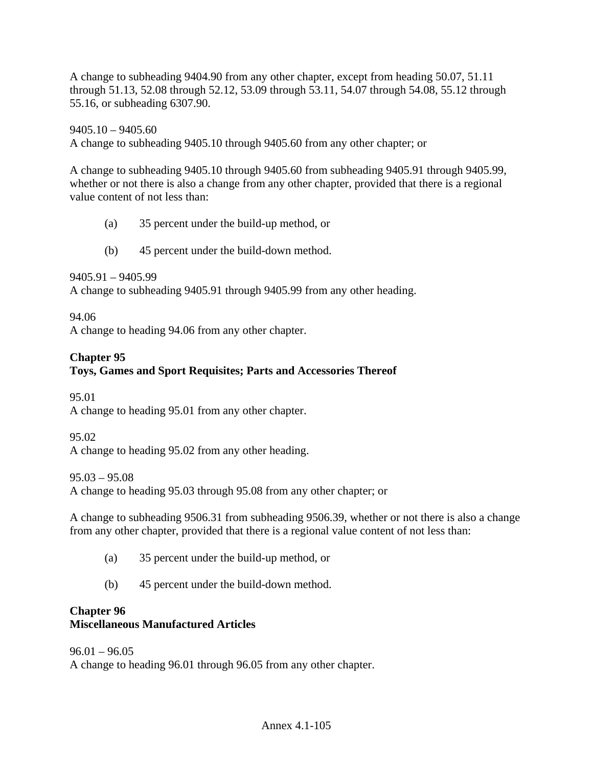A change to subheading 9404.90 from any other chapter, except from heading 50.07, 51.11 through 51.13, 52.08 through 52.12, 53.09 through 53.11, 54.07 through 54.08, 55.12 through 55.16, or subheading 6307.90.

 $9405.10 - 9405.60$ A change to subheading 9405.10 through 9405.60 from any other chapter; or

A change to subheading 9405.10 through 9405.60 from subheading 9405.91 through 9405.99, whether or not there is also a change from any other chapter, provided that there is a regional value content of not less than:

- (a) 35 percent under the build-up method, or
- (b) 45 percent under the build-down method.

9405.91 – 9405.99

A change to subheading 9405.91 through 9405.99 from any other heading.

94.06

A change to heading 94.06 from any other chapter.

# **Chapter 95**

# **Toys, Games and Sport Requisites; Parts and Accessories Thereof**

95.01

A change to heading 95.01 from any other chapter.

95.02

A change to heading 95.02 from any other heading.

95.03 – 95.08

A change to heading 95.03 through 95.08 from any other chapter; or

A change to subheading 9506.31 from subheading 9506.39, whether or not there is also a change from any other chapter, provided that there is a regional value content of not less than:

- (a) 35 percent under the build-up method, or
- (b) 45 percent under the build-down method.

#### **Chapter 96 Miscellaneous Manufactured Articles**

# $96.01 - 96.05$ A change to heading 96.01 through 96.05 from any other chapter.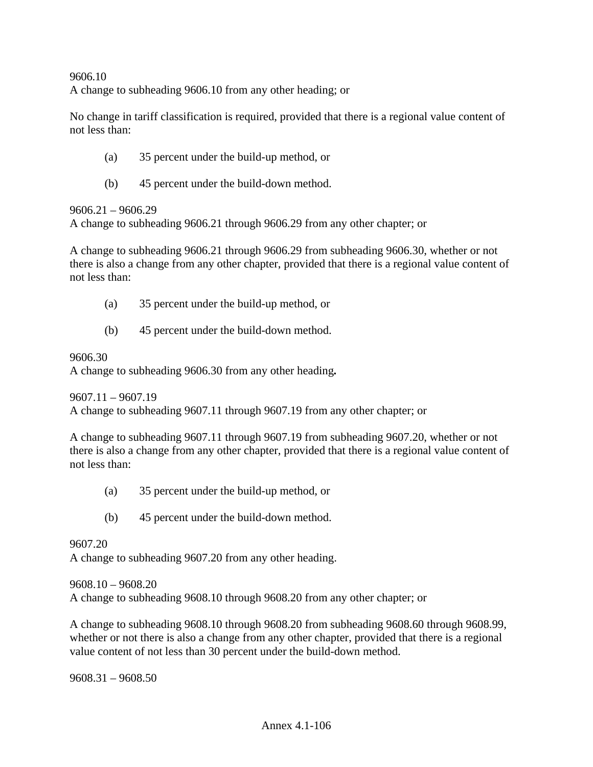9606.10 A change to subheading 9606.10 from any other heading; or

No change in tariff classification is required, provided that there is a regional value content of not less than:

- (a) 35 percent under the build-up method, or
- (b) 45 percent under the build-down method.

9606.21 – 9606.29

A change to subheading 9606.21 through 9606.29 from any other chapter; or

A change to subheading 9606.21 through 9606.29 from subheading 9606.30, whether or not there is also a change from any other chapter, provided that there is a regional value content of not less than:

- (a) 35 percent under the build-up method, or
- (b) 45 percent under the build-down method.

9606.30

A change to subheading 9606.30 from any other heading*.* 

9607.11 – 9607.19 A change to subheading 9607.11 through 9607.19 from any other chapter; or

A change to subheading 9607.11 through 9607.19 from subheading 9607.20, whether or not there is also a change from any other chapter, provided that there is a regional value content of not less than:

- (a) 35 percent under the build-up method, or
- (b) 45 percent under the build-down method.

9607.20

A change to subheading 9607.20 from any other heading.

9608.10 – 9608.20 A change to subheading 9608.10 through 9608.20 from any other chapter; or

A change to subheading 9608.10 through 9608.20 from subheading 9608.60 through 9608.99, whether or not there is also a change from any other chapter, provided that there is a regional value content of not less than 30 percent under the build-down method.

9608.31 – 9608.50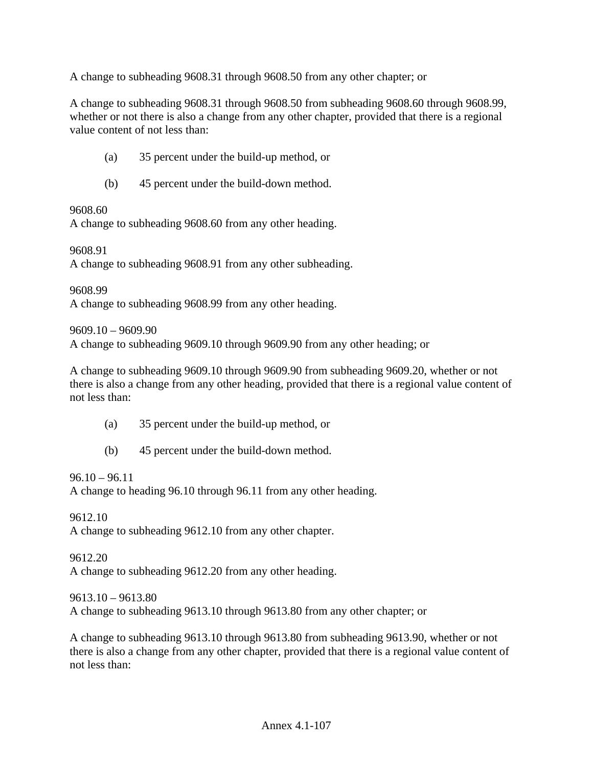A change to subheading 9608.31 through 9608.50 from any other chapter; or

A change to subheading 9608.31 through 9608.50 from subheading 9608.60 through 9608.99, whether or not there is also a change from any other chapter, provided that there is a regional value content of not less than:

- (a) 35 percent under the build-up method, or
- (b) 45 percent under the build-down method.

9608.60

A change to subheading 9608.60 from any other heading.

9608.91

A change to subheading 9608.91 from any other subheading.

9608.99 A change to subheading 9608.99 from any other heading.

9609.10 – 9609.90

A change to subheading 9609.10 through 9609.90 from any other heading; or

A change to subheading 9609.10 through 9609.90 from subheading 9609.20, whether or not there is also a change from any other heading, provided that there is a regional value content of not less than:

- (a) 35 percent under the build-up method, or
- (b) 45 percent under the build-down method.

 $96.10 - 96.11$ 

A change to heading 96.10 through 96.11 from any other heading.

9612.10 A change to subheading 9612.10 from any other chapter.

9612.20 A change to subheading 9612.20 from any other heading.

9613.10 – 9613.80

A change to subheading 9613.10 through 9613.80 from any other chapter; or

A change to subheading 9613.10 through 9613.80 from subheading 9613.90, whether or not there is also a change from any other chapter, provided that there is a regional value content of not less than: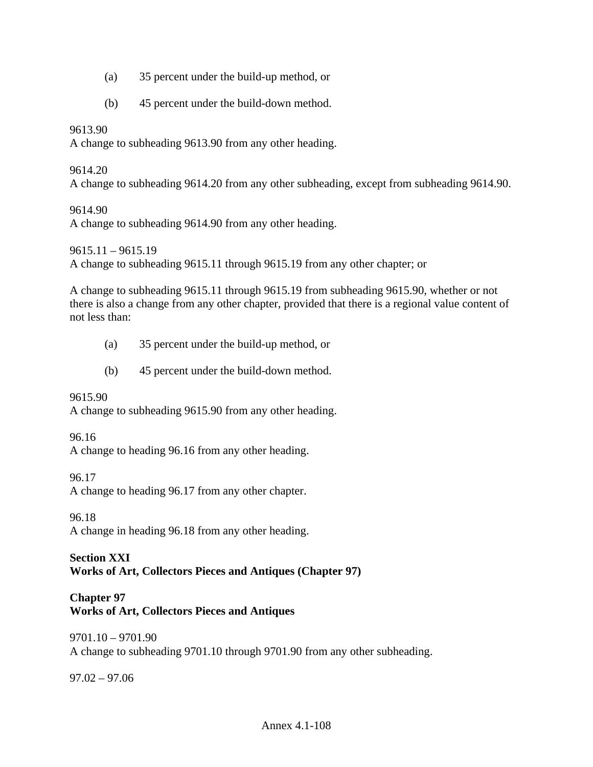- (a) 35 percent under the build-up method, or
- (b) 45 percent under the build-down method.

# 9613.90

A change to subheading 9613.90 from any other heading.

## 9614.20

A change to subheading 9614.20 from any other subheading, except from subheading 9614.90.

# 9614.90

A change to subheading 9614.90 from any other heading.

9615.11 – 9615.19

A change to subheading 9615.11 through 9615.19 from any other chapter; or

A change to subheading 9615.11 through 9615.19 from subheading 9615.90, whether or not there is also a change from any other chapter, provided that there is a regional value content of not less than:

- (a) 35 percent under the build-up method, or
- (b) 45 percent under the build-down method.

# 9615.90

A change to subheading 9615.90 from any other heading.

# 96.16

A change to heading 96.16 from any other heading.

96.17

A change to heading 96.17 from any other chapter.

96.18 A change in heading 96.18 from any other heading.

## **Section XXI Works of Art, Collectors Pieces and Antiques (Chapter 97)**

# **Chapter 97 Works of Art, Collectors Pieces and Antiques**

9701.10 – 9701.90 A change to subheading 9701.10 through 9701.90 from any other subheading.

97.02 – 97.06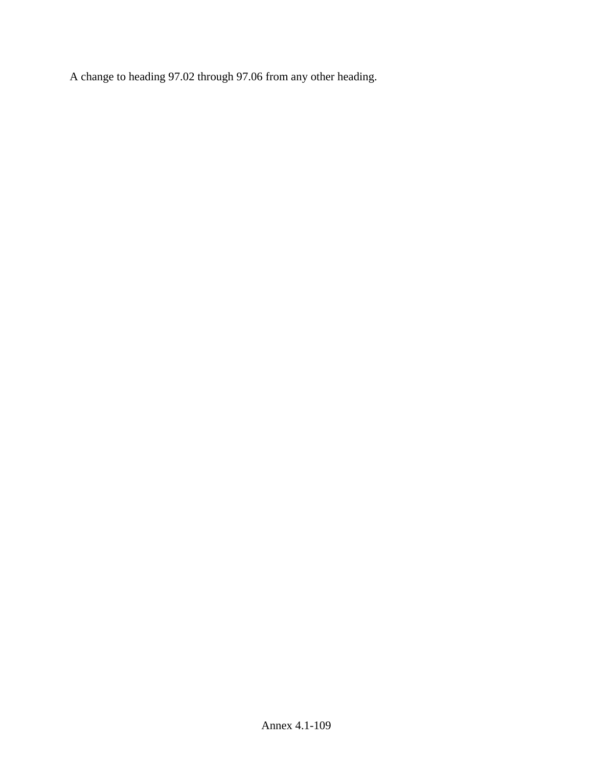A change to heading 97.02 through 97.06 from any other heading.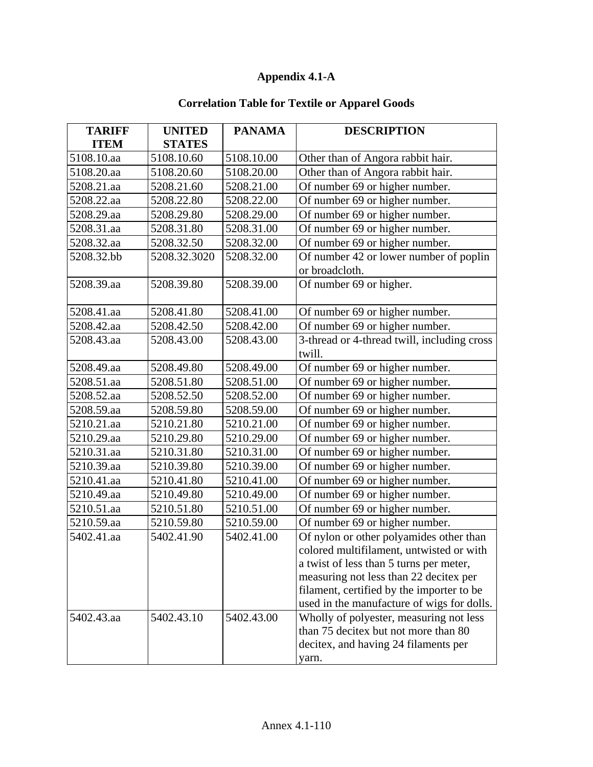## **Appendix 4.1-A**

## **Correlation Table for Textile or Apparel Goods**

| <b>TARIFF</b> | <b>UNITED</b> | <b>PANAMA</b> | <b>DESCRIPTION</b>                          |
|---------------|---------------|---------------|---------------------------------------------|
| <b>ITEM</b>   | <b>STATES</b> |               |                                             |
| 5108.10.aa    | 5108.10.60    | 5108.10.00    | Other than of Angora rabbit hair.           |
| 5108.20.aa    | 5108.20.60    | 5108.20.00    | Other than of Angora rabbit hair.           |
| 5208.21.aa    | 5208.21.60    | 5208.21.00    | Of number 69 or higher number.              |
| 5208.22.aa    | 5208.22.80    | 5208.22.00    | Of number 69 or higher number.              |
| 5208.29.aa    | 5208.29.80    | 5208.29.00    | Of number 69 or higher number.              |
| 5208.31.aa    | 5208.31.80    | 5208.31.00    | Of number 69 or higher number.              |
| 5208.32.aa    | 5208.32.50    | 5208.32.00    | Of number 69 or higher number.              |
| 5208.32.bb    | 5208.32.3020  | 5208.32.00    | Of number 42 or lower number of poplin      |
|               |               |               | or broadcloth.                              |
| 5208.39.aa    | 5208.39.80    | 5208.39.00    | Of number 69 or higher.                     |
|               |               |               |                                             |
| 5208.41.aa    | 5208.41.80    | 5208.41.00    | Of number 69 or higher number.              |
| 5208.42.aa    | 5208.42.50    | 5208.42.00    | Of number 69 or higher number.              |
| 5208.43.aa    | 5208.43.00    | 5208.43.00    | 3-thread or 4-thread twill, including cross |
|               |               |               | twill.                                      |
| 5208.49.aa    | 5208.49.80    | 5208.49.00    | Of number 69 or higher number.              |
| 5208.51.aa    | 5208.51.80    | 5208.51.00    | Of number 69 or higher number.              |
| 5208.52.aa    | 5208.52.50    | 5208.52.00    | Of number 69 or higher number.              |
| 5208.59.aa    | 5208.59.80    | 5208.59.00    | Of number 69 or higher number.              |
| 5210.21.aa    | 5210.21.80    | 5210.21.00    | Of number 69 or higher number.              |
| 5210.29.aa    | 5210.29.80    | 5210.29.00    | Of number 69 or higher number.              |
| 5210.31.aa    | 5210.31.80    | 5210.31.00    | Of number 69 or higher number.              |
| 5210.39.aa    | 5210.39.80    | 5210.39.00    | Of number 69 or higher number.              |
| 5210.41.aa    | 5210.41.80    | 5210.41.00    | Of number 69 or higher number.              |
| 5210.49.aa    | 5210.49.80    | 5210.49.00    | Of number 69 or higher number.              |
| 5210.51.aa    | 5210.51.80    | 5210.51.00    | Of number 69 or higher number.              |
| 5210.59.aa    | 5210.59.80    | 5210.59.00    | Of number 69 or higher number.              |
| 5402.41.aa    | 5402.41.90    | 5402.41.00    | Of nylon or other polyamides other than     |
|               |               |               | colored multifilament, untwisted or with    |
|               |               |               | a twist of less than 5 turns per meter,     |
|               |               |               | measuring not less than 22 decitex per      |
|               |               |               | filament, certified by the importer to be   |
|               |               |               | used in the manufacture of wigs for dolls.  |
| 5402.43.aa    | 5402.43.10    | 5402.43.00    | Wholly of polyester, measuring not less     |
|               |               |               | than 75 decitex but not more than 80        |
|               |               |               | decitex, and having 24 filaments per        |
|               |               |               | yarn.                                       |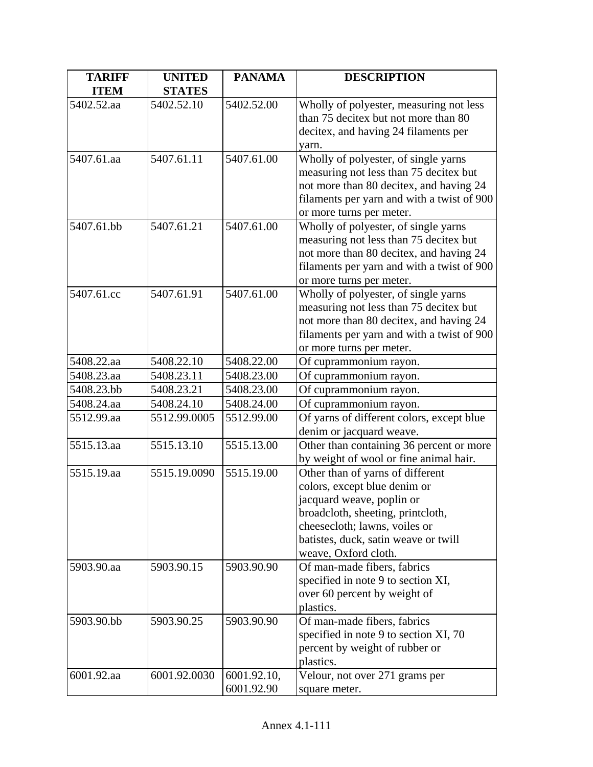| <b>TARIFF</b> | <b>UNITED</b> | <b>PANAMA</b> | <b>DESCRIPTION</b>                                                             |
|---------------|---------------|---------------|--------------------------------------------------------------------------------|
| <b>ITEM</b>   | <b>STATES</b> |               |                                                                                |
| 5402.52.aa    | 5402.52.10    | 5402.52.00    | Wholly of polyester, measuring not less                                        |
|               |               |               | than 75 decitex but not more than 80                                           |
|               |               |               | decitex, and having 24 filaments per                                           |
|               |               |               | yarn.                                                                          |
| 5407.61.aa    | 5407.61.11    | 5407.61.00    | Wholly of polyester, of single yarns                                           |
|               |               |               | measuring not less than 75 decitex but                                         |
|               |               |               | not more than 80 decitex, and having 24                                        |
|               |               |               | filaments per yarn and with a twist of 900                                     |
|               |               |               | or more turns per meter.                                                       |
| 5407.61.bb    | 5407.61.21    | 5407.61.00    | Wholly of polyester, of single yarns                                           |
|               |               |               | measuring not less than 75 decitex but                                         |
|               |               |               | not more than 80 decitex, and having 24                                        |
|               |               |               | filaments per yarn and with a twist of 900                                     |
| 5407.61.cc    | 5407.61.91    | 5407.61.00    | or more turns per meter.                                                       |
|               |               |               | Wholly of polyester, of single yarns<br>measuring not less than 75 decitex but |
|               |               |               | not more than 80 decitex, and having 24                                        |
|               |               |               | filaments per yarn and with a twist of 900                                     |
|               |               |               | or more turns per meter.                                                       |
| 5408.22.aa    | 5408.22.10    | 5408.22.00    | Of cuprammonium rayon.                                                         |
| 5408.23.aa    | 5408.23.11    | 5408.23.00    | Of cuprammonium rayon.                                                         |
| 5408.23.bb    | 5408.23.21    | 5408.23.00    | Of cuprammonium rayon.                                                         |
| 5408.24.aa    | 5408.24.10    | 5408.24.00    | Of cuprammonium rayon.                                                         |
| 5512.99.aa    | 5512.99.0005  | 5512.99.00    | Of yarns of different colors, except blue                                      |
|               |               |               | denim or jacquard weave.                                                       |
| 5515.13.aa    | 5515.13.10    | 5515.13.00    | Other than containing 36 percent or more                                       |
|               |               |               | by weight of wool or fine animal hair.                                         |
| 5515.19.aa    | 5515.19.0090  | 5515.19.00    | Other than of yarns of different                                               |
|               |               |               | colors, except blue denim or                                                   |
|               |               |               | jacquard weave, poplin or                                                      |
|               |               |               | broadcloth, sheeting, printcloth,                                              |
|               |               |               | cheesecloth; lawns, voiles or                                                  |
|               |               |               | batistes, duck, satin weave or twill                                           |
|               |               |               | weave, Oxford cloth.                                                           |
| 5903.90.aa    | 5903.90.15    | 5903.90.90    | Of man-made fibers, fabrics                                                    |
|               |               |               | specified in note 9 to section XI,                                             |
|               |               |               | over 60 percent by weight of                                                   |
| 5903.90.bb    | 5903.90.25    | 5903.90.90    | plastics.                                                                      |
|               |               |               | Of man-made fibers, fabrics<br>specified in note 9 to section XI, 70           |
|               |               |               | percent by weight of rubber or                                                 |
|               |               |               | plastics.                                                                      |
| 6001.92.aa    | 6001.92.0030  | 6001.92.10,   | Velour, not over 271 grams per                                                 |
|               |               | 6001.92.90    | square meter.                                                                  |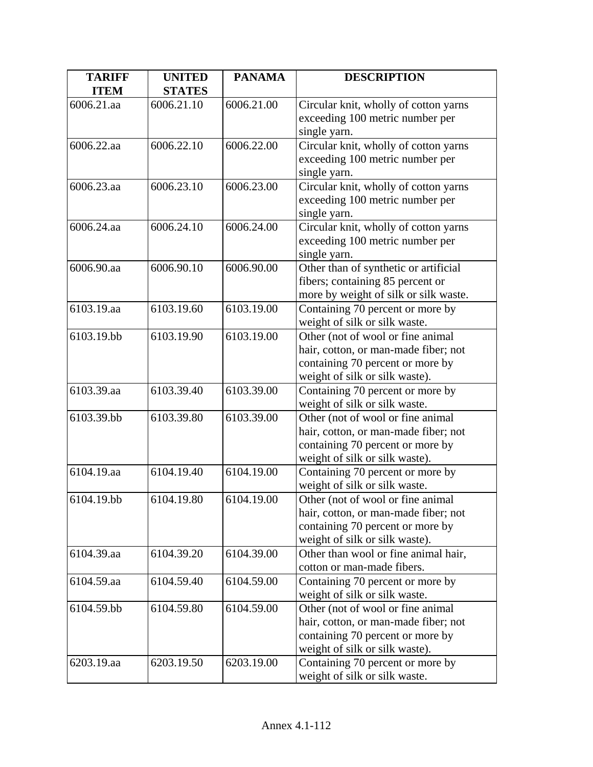| Circular knit, wholly of cotton yarns<br>exceeding 100 metric number per |
|--------------------------------------------------------------------------|
|                                                                          |
|                                                                          |
|                                                                          |
| Circular knit, wholly of cotton yarns                                    |
| exceeding 100 metric number per                                          |
|                                                                          |
| Circular knit, wholly of cotton yarns                                    |
| exceeding 100 metric number per                                          |
|                                                                          |
| Circular knit, wholly of cotton yarns                                    |
| exceeding 100 metric number per                                          |
|                                                                          |
| Other than of synthetic or artificial                                    |
| fibers; containing 85 percent or                                         |
| more by weight of silk or silk waste.                                    |
| Containing 70 percent or more by                                         |
| weight of silk or silk waste.                                            |
| Other (not of wool or fine animal                                        |
| hair, cotton, or man-made fiber; not                                     |
| containing 70 percent or more by                                         |
| weight of silk or silk waste).                                           |
| Containing 70 percent or more by                                         |
| weight of silk or silk waste.                                            |
| Other (not of wool or fine animal                                        |
| hair, cotton, or man-made fiber; not                                     |
| containing 70 percent or more by                                         |
| weight of silk or silk waste).                                           |
| Containing 70 percent or more by                                         |
| weight of silk or silk waste.                                            |
| Other (not of wool or fine animal                                        |
| hair, cotton, or man-made fiber; not                                     |
| containing 70 percent or more by                                         |
| weight of silk or silk waste).                                           |
| Other than wool or fine animal hair,                                     |
| cotton or man-made fibers.                                               |
| Containing 70 percent or more by                                         |
| weight of silk or silk waste.                                            |
| Other (not of wool or fine animal                                        |
| hair, cotton, or man-made fiber; not<br>containing 70 percent or more by |
| weight of silk or silk waste).                                           |
| Containing 70 percent or more by                                         |
| weight of silk or silk waste.                                            |
|                                                                          |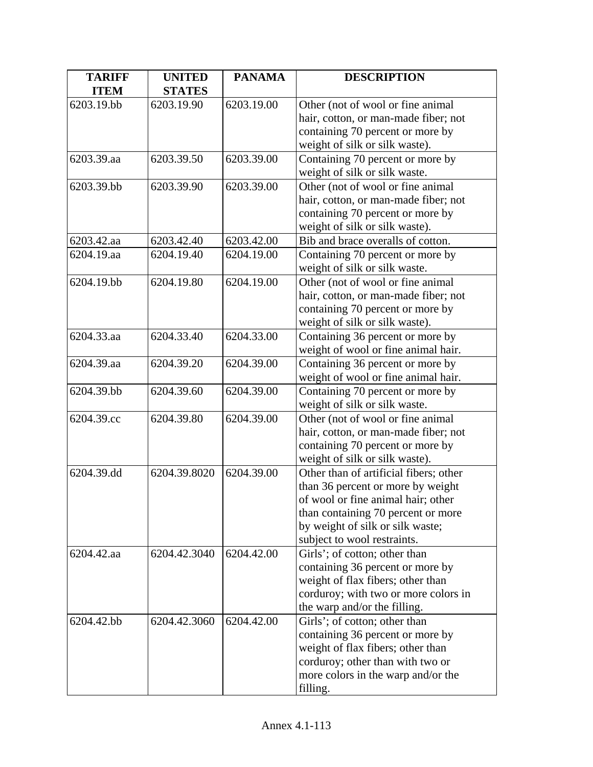| <b>TARIFF</b> | <b>UNITED</b> | <b>PANAMA</b> | <b>DESCRIPTION</b>                     |
|---------------|---------------|---------------|----------------------------------------|
| <b>ITEM</b>   | <b>STATES</b> |               |                                        |
| 6203.19.bb    | 6203.19.90    | 6203.19.00    | Other (not of wool or fine animal      |
|               |               |               | hair, cotton, or man-made fiber; not   |
|               |               |               | containing 70 percent or more by       |
|               |               |               | weight of silk or silk waste).         |
| 6203.39.aa    | 6203.39.50    | 6203.39.00    | Containing 70 percent or more by       |
|               |               |               | weight of silk or silk waste.          |
| 6203.39.bb    | 6203.39.90    | 6203.39.00    | Other (not of wool or fine animal      |
|               |               |               | hair, cotton, or man-made fiber; not   |
|               |               |               | containing 70 percent or more by       |
|               |               |               | weight of silk or silk waste).         |
| 6203.42.aa    | 6203.42.40    | 6203.42.00    | Bib and brace overalls of cotton.      |
| 6204.19.aa    | 6204.19.40    | 6204.19.00    | Containing 70 percent or more by       |
|               |               |               | weight of silk or silk waste.          |
| 6204.19.bb    | 6204.19.80    | 6204.19.00    | Other (not of wool or fine animal      |
|               |               |               | hair, cotton, or man-made fiber; not   |
|               |               |               | containing 70 percent or more by       |
|               |               |               | weight of silk or silk waste).         |
| 6204.33.aa    | 6204.33.40    | 6204.33.00    | Containing 36 percent or more by       |
|               |               |               | weight of wool or fine animal hair.    |
| 6204.39.aa    | 6204.39.20    | 6204.39.00    | Containing 36 percent or more by       |
|               |               |               | weight of wool or fine animal hair.    |
| 6204.39.bb    | 6204.39.60    | 6204.39.00    | Containing 70 percent or more by       |
|               |               |               | weight of silk or silk waste.          |
| 6204.39.cc    | 6204.39.80    | 6204.39.00    | Other (not of wool or fine animal      |
|               |               |               | hair, cotton, or man-made fiber; not   |
|               |               |               | containing 70 percent or more by       |
|               |               |               | weight of silk or silk waste).         |
| 6204.39.dd    | 6204.39.8020  | 6204.39.00    | Other than of artificial fibers; other |
|               |               |               | than 36 percent or more by weight      |
|               |               |               | of wool or fine animal hair; other     |
|               |               |               | than containing 70 percent or more     |
|               |               |               | by weight of silk or silk waste;       |
|               |               |               | subject to wool restraints.            |
| 6204.42.aa    | 6204.42.3040  | 6204.42.00    | Girls'; of cotton; other than          |
|               |               |               | containing 36 percent or more by       |
|               |               |               | weight of flax fibers; other than      |
|               |               |               | corduroy; with two or more colors in   |
|               |               |               | the warp and/or the filling.           |
| 6204.42.bb    | 6204.42.3060  | 6204.42.00    | Girls'; of cotton; other than          |
|               |               |               | containing 36 percent or more by       |
|               |               |               | weight of flax fibers; other than      |
|               |               |               | corduroy; other than with two or       |
|               |               |               | more colors in the warp and/or the     |
|               |               |               | filling.                               |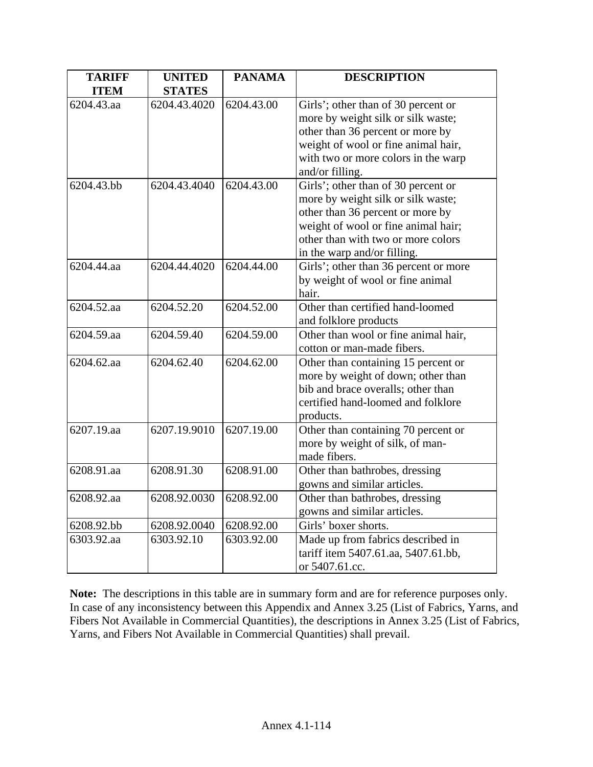| <b>TARIFF</b><br><b>ITEM</b> | <b>UNITED</b><br><b>STATES</b> | <b>PANAMA</b> | <b>DESCRIPTION</b>                    |
|------------------------------|--------------------------------|---------------|---------------------------------------|
| 6204.43.aa                   | 6204.43.4020                   | 6204.43.00    | Girls'; other than of 30 percent or   |
|                              |                                |               | more by weight silk or silk waste;    |
|                              |                                |               | other than 36 percent or more by      |
|                              |                                |               | weight of wool or fine animal hair,   |
|                              |                                |               | with two or more colors in the warp   |
|                              |                                |               | and/or filling.                       |
| 6204.43.bb                   | 6204.43.4040                   | 6204.43.00    | Girls'; other than of 30 percent or   |
|                              |                                |               | more by weight silk or silk waste;    |
|                              |                                |               | other than 36 percent or more by      |
|                              |                                |               | weight of wool or fine animal hair;   |
|                              |                                |               | other than with two or more colors    |
|                              |                                |               | in the warp and/or filling.           |
| 6204.44.aa                   | 6204.44.4020                   | 6204.44.00    | Girls'; other than 36 percent or more |
|                              |                                |               | by weight of wool or fine animal      |
|                              |                                |               | hair.                                 |
| 6204.52.aa                   | 6204.52.20                     | 6204.52.00    | Other than certified hand-loomed      |
|                              |                                |               | and folklore products                 |
| 6204.59.aa                   | 6204.59.40                     | 6204.59.00    | Other than wool or fine animal hair,  |
|                              |                                |               | cotton or man-made fibers.            |
| 6204.62.aa                   | 6204.62.40                     | 6204.62.00    | Other than containing 15 percent or   |
|                              |                                |               | more by weight of down; other than    |
|                              |                                |               | bib and brace overalls; other than    |
|                              |                                |               | certified hand-loomed and folklore    |
|                              |                                |               | products.                             |
| 6207.19.aa                   | 6207.19.9010                   | 6207.19.00    | Other than containing 70 percent or   |
|                              |                                |               | more by weight of silk, of man-       |
|                              |                                |               | made fibers.                          |
| 6208.91.aa                   | 6208.91.30                     | 6208.91.00    | Other than bathrobes, dressing        |
|                              |                                |               | gowns and similar articles.           |
| 6208.92.aa                   | 6208.92.0030                   | 6208.92.00    | Other than bathrobes, dressing        |
|                              |                                |               | gowns and similar articles.           |
| 6208.92.bb                   | 6208.92.0040                   | 6208.92.00    | Girls' boxer shorts.                  |
| 6303.92.aa                   | 6303.92.10                     | 6303.92.00    | Made up from fabrics described in     |
|                              |                                |               | tariff item 5407.61.aa, 5407.61.bb,   |
|                              |                                |               | or 5407.61.cc.                        |

**Note:** The descriptions in this table are in summary form and are for reference purposes only. In case of any inconsistency between this Appendix and Annex 3.25 (List of Fabrics, Yarns, and Fibers Not Available in Commercial Quantities), the descriptions in Annex 3.25 (List of Fabrics, Yarns, and Fibers Not Available in Commercial Quantities) shall prevail.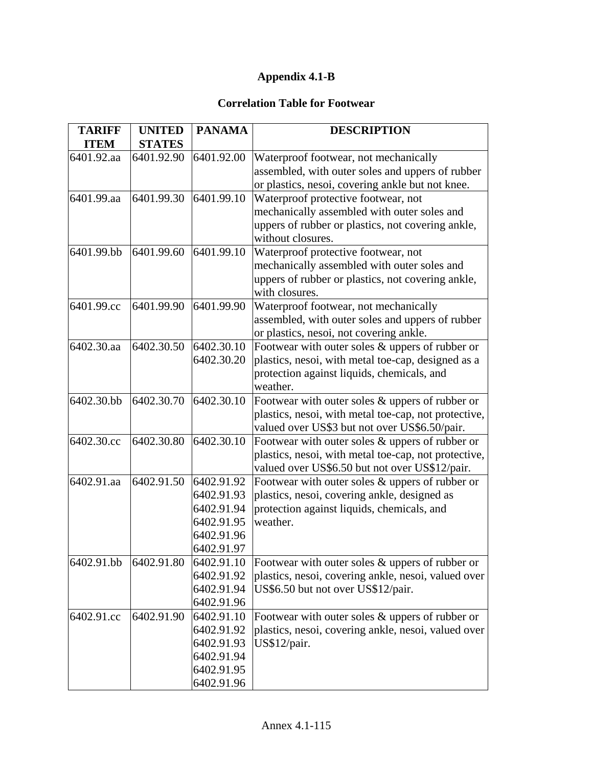## **Appendix 4.1-B**

## **Correlation Table for Footwear**

| <b>TARIFF</b> | <b>UNITED</b> | <b>PANAMA</b> | <b>DESCRIPTION</b>                                   |
|---------------|---------------|---------------|------------------------------------------------------|
| <b>ITEM</b>   | <b>STATES</b> |               |                                                      |
| 6401.92.aa    | 6401.92.90    | 6401.92.00    | Waterproof footwear, not mechanically                |
|               |               |               | assembled, with outer soles and uppers of rubber     |
|               |               |               | or plastics, nesoi, covering ankle but not knee.     |
| 6401.99.aa    | 6401.99.30    | 6401.99.10    | Waterproof protective footwear, not                  |
|               |               |               | mechanically assembled with outer soles and          |
|               |               |               | uppers of rubber or plastics, not covering ankle,    |
|               |               |               | without closures.                                    |
| 6401.99.bb    | 6401.99.60    | 6401.99.10    | Waterproof protective footwear, not                  |
|               |               |               | mechanically assembled with outer soles and          |
|               |               |               | uppers of rubber or plastics, not covering ankle,    |
|               |               |               | with closures.                                       |
| 6401.99.cc    | 6401.99.90    | 6401.99.90    | Waterproof footwear, not mechanically                |
|               |               |               | assembled, with outer soles and uppers of rubber     |
|               |               |               | or plastics, nesoi, not covering ankle.              |
| 6402.30.aa    | 6402.30.50    | 6402.30.10    | Footwear with outer soles & uppers of rubber or      |
|               |               | 6402.30.20    | plastics, nesoi, with metal toe-cap, designed as a   |
|               |               |               | protection against liquids, chemicals, and           |
|               |               |               | weather.                                             |
| 6402.30.bb    | 6402.30.70    | 6402.30.10    | Footwear with outer soles $&$ uppers of rubber or    |
|               |               |               | plastics, nesoi, with metal toe-cap, not protective, |
|               |               |               | valued over US\$3 but not over US\$6.50/pair.        |
| 6402.30.cc    | 6402.30.80    | 6402.30.10    | Footwear with outer soles & uppers of rubber or      |
|               |               |               | plastics, nesoi, with metal toe-cap, not protective, |
|               |               |               | valued over US\$6.50 but not over US\$12/pair.       |
| 6402.91.aa    | 6402.91.50    | 6402.91.92    | Footwear with outer soles & uppers of rubber or      |
|               |               | 6402.91.93    | plastics, nesoi, covering ankle, designed as         |
|               |               | 6402.91.94    | protection against liquids, chemicals, and           |
|               |               | 6402.91.95    | weather.                                             |
|               |               | 6402.91.96    |                                                      |
|               |               | 6402.91.97    |                                                      |
| 6402.91.bb    | 6402.91.80    | 6402.91.10    | Footwear with outer soles & uppers of rubber or      |
|               |               | 6402.91.92    | plastics, nesoi, covering ankle, nesoi, valued over  |
|               |               | 6402.91.94    | US\$6.50 but not over US\$12/pair.                   |
|               |               | 6402.91.96    |                                                      |
| 6402.91.cc    | 6402.91.90    | 6402.91.10    | Footwear with outer soles & uppers of rubber or      |
|               |               | 6402.91.92    | plastics, nesoi, covering ankle, nesoi, valued over  |
|               |               | 6402.91.93    | US\$12/pair.                                         |
|               |               | 6402.91.94    |                                                      |
|               |               | 6402.91.95    |                                                      |
|               |               | 6402.91.96    |                                                      |